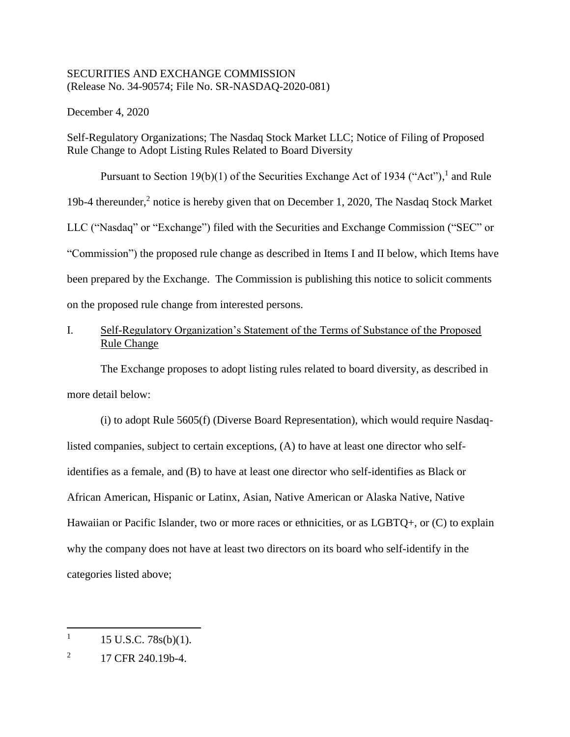### SECURITIES AND EXCHANGE COMMISSION (Release No. 34-90574; File No. SR-NASDAQ-2020-081)

December 4, 2020

Self-Regulatory Organizations; The Nasdaq Stock Market LLC; Notice of Filing of Proposed Rule Change to Adopt Listing Rules Related to Board Diversity

Pursuant to Section 19(b)(1) of the Securities Exchange Act of 1934 ("Act"), and Rule 19b-4 thereunder,<sup>2</sup> notice is hereby given that on December 1, 2020, The Nasdaq Stock Market LLC ("Nasdaq" or "Exchange") filed with the Securities and Exchange Commission ("SEC" or "Commission") the proposed rule change as described in Items I and II below, which Items have been prepared by the Exchange. The Commission is publishing this notice to solicit comments on the proposed rule change from interested persons.

# I. Self-Regulatory Organization's Statement of the Terms of Substance of the Proposed Rule Change

The Exchange proposes to adopt listing rules related to board diversity, as described in more detail below:

(i) to adopt Rule 5605(f) (Diverse Board Representation), which would require Nasdaqlisted companies, subject to certain exceptions, (A) to have at least one director who selfidentifies as a female, and (B) to have at least one director who self-identifies as Black or African American, Hispanic or Latinx, Asian, Native American or Alaska Native, Native Hawaiian or Pacific Islander, two or more races or ethnicities, or as LGBTQ+, or (C) to explain why the company does not have at least two directors on its board who self-identify in the categories listed above;

<sup>1</sup> 15 U.S.C. 78s(b)(1).

<sup>2</sup> 17 CFR 240.19b-4.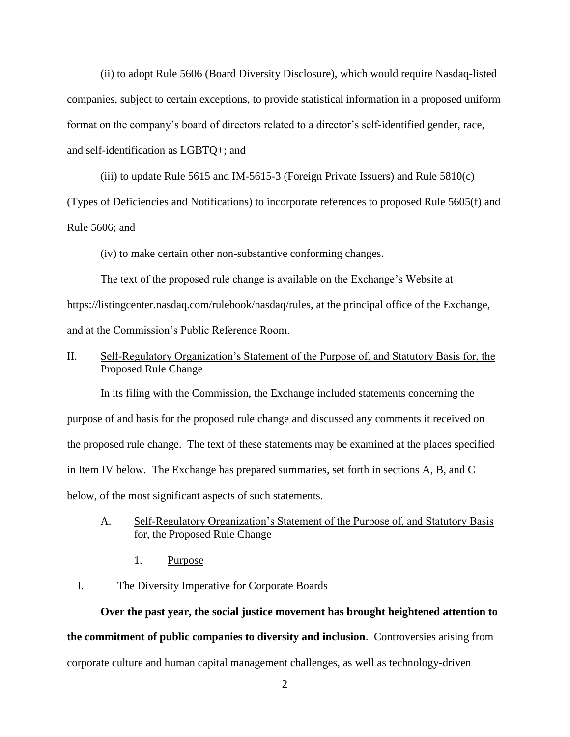(ii) to adopt Rule 5606 (Board Diversity Disclosure), which would require Nasdaq-listed companies, subject to certain exceptions, to provide statistical information in a proposed uniform format on the company's board of directors related to a director's self-identified gender, race, and self-identification as LGBTQ+; and

(iii) to update Rule 5615 and IM-5615-3 (Foreign Private Issuers) and Rule 5810(c) (Types of Deficiencies and Notifications) to incorporate references to proposed Rule 5605(f) and Rule 5606; and

(iv) to make certain other non-substantive conforming changes.

The text of the proposed rule change is available on the Exchange's Website at https://listingcenter.nasdaq.com/rulebook/nasdaq/rules, at the principal office of the Exchange, and at the Commission's Public Reference Room.

## II. Self-Regulatory Organization's Statement of the Purpose of, and Statutory Basis for, the Proposed Rule Change

In its filing with the Commission, the Exchange included statements concerning the purpose of and basis for the proposed rule change and discussed any comments it received on the proposed rule change. The text of these statements may be examined at the places specified in Item IV below. The Exchange has prepared summaries, set forth in sections A, B, and C below, of the most significant aspects of such statements.

### A. Self-Regulatory Organization's Statement of the Purpose of, and Statutory Basis for, the Proposed Rule Change

1. Purpose

#### I. The Diversity Imperative for Corporate Boards

**Over the past year, the social justice movement has brought heightened attention to the commitment of public companies to diversity and inclusion**. Controversies arising from corporate culture and human capital management challenges, as well as technology-driven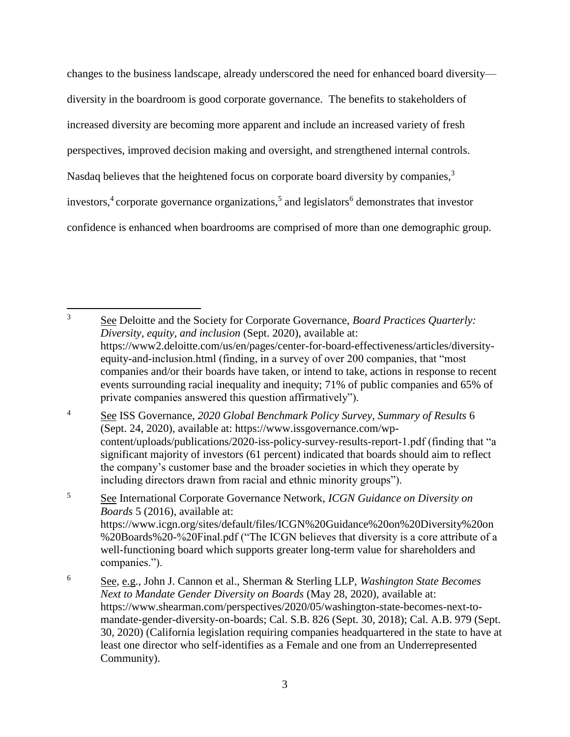changes to the business landscape, already underscored the need for enhanced board diversity diversity in the boardroom is good corporate governance. The benefits to stakeholders of increased diversity are becoming more apparent and include an increased variety of fresh perspectives, improved decision making and oversight, and strengthened internal controls. Nasdaq believes that the heightened focus on corporate board diversity by companies,<sup>3</sup> investors,<sup>4</sup> corporate governance organizations,<sup>5</sup> and legislators<sup>6</sup> demonstrates that investor confidence is enhanced when boardrooms are comprised of more than one demographic group.

 $\overline{3}$ <sup>3</sup> See Deloitte and the Society for Corporate Governance, *Board Practices Quarterly: Diversity, equity, and inclusion* (Sept. 2020), available at: https://www2.deloitte.com/us/en/pages/center-for-board-effectiveness/articles/diversityequity-and-inclusion.html (finding, in a survey of over 200 companies, that "most companies and/or their boards have taken, or intend to take, actions in response to recent events surrounding racial inequality and inequity; 71% of public companies and 65% of private companies answered this question affirmatively").

<sup>4</sup> See ISS Governance, *2020 Global Benchmark Policy Survey, Summary of Results* 6 (Sept. 24, 2020), available at: https://www.issgovernance.com/wpcontent/uploads/publications/2020-iss-policy-survey-results-report-1.pdf (finding that "a significant majority of investors (61 percent) indicated that boards should aim to reflect the company's customer base and the broader societies in which they operate by including directors drawn from racial and ethnic minority groups").

<sup>5</sup> See International Corporate Governance Network, *ICGN Guidance on Diversity on Boards* 5 (2016), available at: https://www.icgn.org/sites/default/files/ICGN%20Guidance%20on%20Diversity%20on %20Boards%20-%20Final.pdf ("The ICGN believes that diversity is a core attribute of a well-functioning board which supports greater long-term value for shareholders and companies.").

<sup>6</sup> See, e.g., John J. Cannon et al., Sherman & Sterling LLP, *Washington State Becomes Next to Mandate Gender Diversity on Boards* (May 28, 2020), available at: https://www.shearman.com/perspectives/2020/05/washington-state-becomes-next-tomandate-gender-diversity-on-boards; Cal. S.B. 826 (Sept. 30, 2018); Cal. A.B. 979 (Sept. 30, 2020) (California legislation requiring companies headquartered in the state to have at least one director who self-identifies as a Female and one from an Underrepresented Community).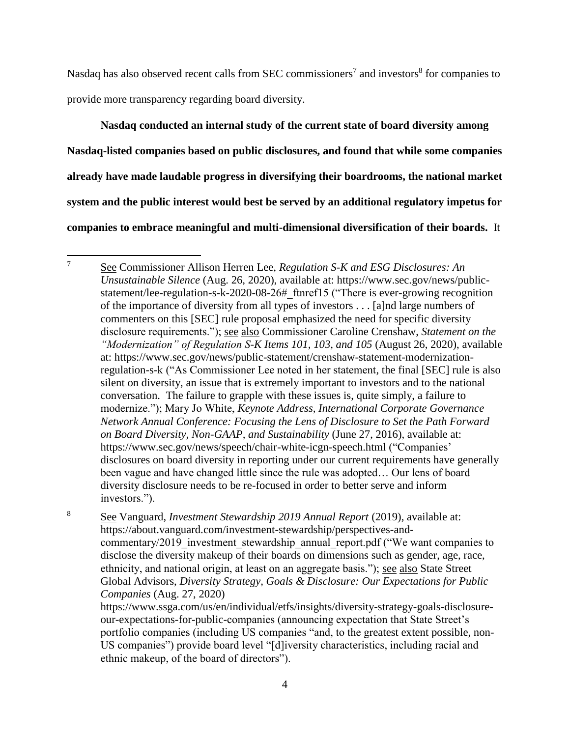Nasdaq has also observed recent calls from SEC commissioners<sup>7</sup> and investors<sup>8</sup> for companies to provide more transparency regarding board diversity.

**Nasdaq conducted an internal study of the current state of board diversity among Nasdaq-listed companies based on public disclosures, and found that while some companies already have made laudable progress in diversifying their boardrooms, the national market system and the public interest would best be served by an additional regulatory impetus for companies to embrace meaningful and multi-dimensional diversification of their boards.** It

<sup>8</sup> See Vanguard, *Investment Stewardship 2019 Annual Report* (2019), available at: https://about.vanguard.com/investment-stewardship/perspectives-andcommentary/2019 investment stewardship annual report.pdf ("We want companies to disclose the diversity makeup of their boards on dimensions such as gender, age, race, ethnicity, and national origin, at least on an aggregate basis."); see also State Street Global Advisors, *Diversity Strategy, Goals & Disclosure: Our Expectations for Public Companies* (Aug. 27, 2020)

https://www.ssga.com/us/en/individual/etfs/insights/diversity-strategy-goals-disclosureour-expectations-for-public-companies (announcing expectation that State Street's portfolio companies (including US companies "and, to the greatest extent possible, non-US companies") provide board level "[d]iversity characteristics, including racial and ethnic makeup, of the board of directors").

 $\overline{7}$ <sup>7</sup> See Commissioner Allison Herren Lee, *Regulation S-K and ESG Disclosures: An Unsustainable Silence* (Aug. 26, 2020), available at: https://www.sec.gov/news/publicstatement/lee-regulation-s-k-2020-08-26#\_ftnref15 ("There is ever-growing recognition of the importance of diversity from all types of investors . . . [a]nd large numbers of commenters on this [SEC] rule proposal emphasized the need for specific diversity disclosure requirements."); see also Commissioner Caroline Crenshaw, *Statement on the "Modernization" of Regulation S-K Items 101, 103, and 105* (August 26, 2020), available at: https://www.sec.gov/news/public-statement/crenshaw-statement-modernizationregulation-s-k ("As Commissioner Lee noted in her statement, the final [SEC] rule is also silent on diversity, an issue that is extremely important to investors and to the national conversation. The failure to grapple with these issues is, quite simply, a failure to modernize."); Mary Jo White, *Keynote Address, International Corporate Governance Network Annual Conference: Focusing the Lens of Disclosure to Set the Path Forward on Board Diversity, Non-GAAP, and Sustainability* (June 27, 2016), available at: https://www.sec.gov/news/speech/chair-white-icgn-speech.html ("Companies' disclosures on board diversity in reporting under our current requirements have generally been vague and have changed little since the rule was adopted… Our lens of board diversity disclosure needs to be re-focused in order to better serve and inform investors.").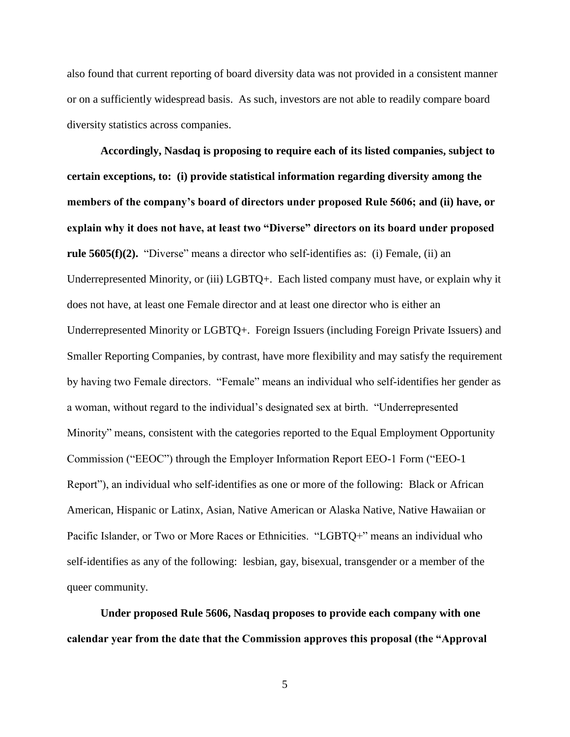also found that current reporting of board diversity data was not provided in a consistent manner or on a sufficiently widespread basis. As such, investors are not able to readily compare board diversity statistics across companies.

**Accordingly, Nasdaq is proposing to require each of its listed companies, subject to certain exceptions, to: (i) provide statistical information regarding diversity among the members of the company's board of directors under proposed Rule 5606; and (ii) have, or explain why it does not have, at least two "Diverse" directors on its board under proposed rule 5605(f)(2).** "Diverse" means a director who self-identifies as: (i) Female, (ii) an Underrepresented Minority, or (iii) LGBTQ+. Each listed company must have, or explain why it does not have, at least one Female director and at least one director who is either an Underrepresented Minority or LGBTQ+. Foreign Issuers (including Foreign Private Issuers) and Smaller Reporting Companies, by contrast, have more flexibility and may satisfy the requirement by having two Female directors. "Female" means an individual who self-identifies her gender as a woman, without regard to the individual's designated sex at birth. "Underrepresented Minority" means, consistent with the categories reported to the Equal Employment Opportunity Commission ("EEOC") through the Employer Information Report EEO-1 Form ("EEO-1 Report"), an individual who self-identifies as one or more of the following: Black or African American, Hispanic or Latinx, Asian, Native American or Alaska Native, Native Hawaiian or Pacific Islander, or Two or More Races or Ethnicities. "LGBTQ+" means an individual who self-identifies as any of the following: lesbian, gay, bisexual, transgender or a member of the queer community.

**Under proposed Rule 5606, Nasdaq proposes to provide each company with one calendar year from the date that the Commission approves this proposal (the "Approval** 

5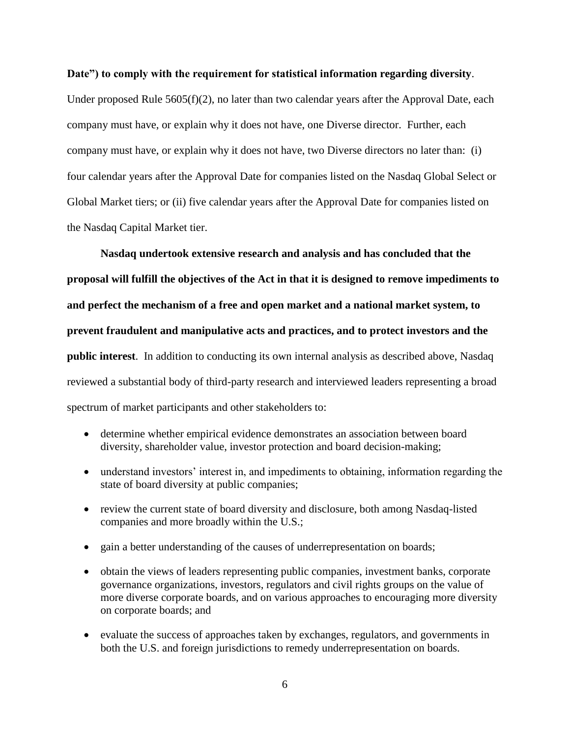#### **Date") to comply with the requirement for statistical information regarding diversity**.

Under proposed Rule 5605(f)(2), no later than two calendar years after the Approval Date, each company must have, or explain why it does not have, one Diverse director. Further, each company must have, or explain why it does not have, two Diverse directors no later than: (i) four calendar years after the Approval Date for companies listed on the Nasdaq Global Select or Global Market tiers; or (ii) five calendar years after the Approval Date for companies listed on the Nasdaq Capital Market tier.

**Nasdaq undertook extensive research and analysis and has concluded that the proposal will fulfill the objectives of the Act in that it is designed to remove impediments to and perfect the mechanism of a free and open market and a national market system, to prevent fraudulent and manipulative acts and practices, and to protect investors and the public interest**. In addition to conducting its own internal analysis as described above, Nasdaq reviewed a substantial body of third-party research and interviewed leaders representing a broad spectrum of market participants and other stakeholders to:

- determine whether empirical evidence demonstrates an association between board diversity, shareholder value, investor protection and board decision-making;
- understand investors' interest in, and impediments to obtaining, information regarding the state of board diversity at public companies;
- review the current state of board diversity and disclosure, both among Nasdaq-listed companies and more broadly within the U.S.;
- gain a better understanding of the causes of underrepresentation on boards;
- obtain the views of leaders representing public companies, investment banks, corporate governance organizations, investors, regulators and civil rights groups on the value of more diverse corporate boards, and on various approaches to encouraging more diversity on corporate boards; and
- evaluate the success of approaches taken by exchanges, regulators, and governments in both the U.S. and foreign jurisdictions to remedy underrepresentation on boards.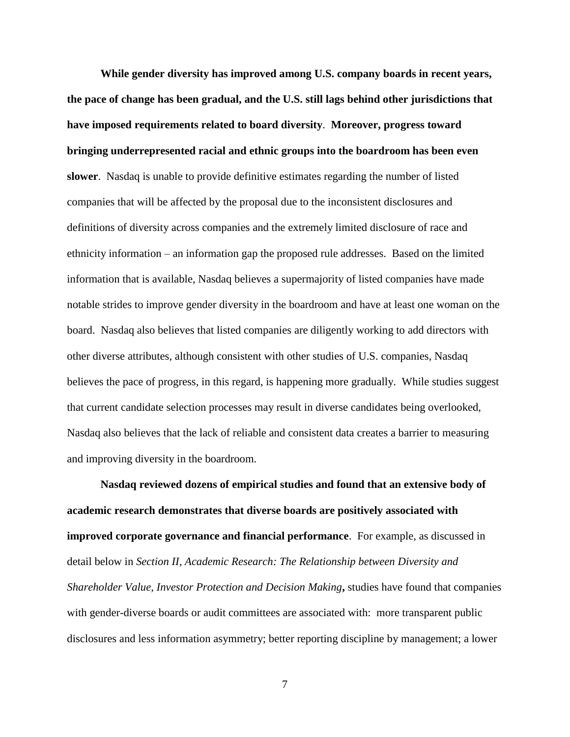**While gender diversity has improved among U.S. company boards in recent years, the pace of change has been gradual, and the U.S. still lags behind other jurisdictions that have imposed requirements related to board diversity**. **Moreover, progress toward bringing underrepresented racial and ethnic groups into the boardroom has been even slower**. Nasdaq is unable to provide definitive estimates regarding the number of listed companies that will be affected by the proposal due to the inconsistent disclosures and definitions of diversity across companies and the extremely limited disclosure of race and ethnicity information – an information gap the proposed rule addresses. Based on the limited information that is available, Nasdaq believes a supermajority of listed companies have made notable strides to improve gender diversity in the boardroom and have at least one woman on the board. Nasdaq also believes that listed companies are diligently working to add directors with other diverse attributes, although consistent with other studies of U.S. companies, Nasdaq believes the pace of progress, in this regard, is happening more gradually. While studies suggest that current candidate selection processes may result in diverse candidates being overlooked, Nasdaq also believes that the lack of reliable and consistent data creates a barrier to measuring and improving diversity in the boardroom.

**Nasdaq reviewed dozens of empirical studies and found that an extensive body of academic research demonstrates that diverse boards are positively associated with improved corporate governance and financial performance**. For example, as discussed in detail below in *Section II, Academic Research: The Relationship between Diversity and Shareholder Value, Investor Protection and Decision Making***,** studies have found that companies with gender-diverse boards or audit committees are associated with: more transparent public disclosures and less information asymmetry; better reporting discipline by management; a lower

7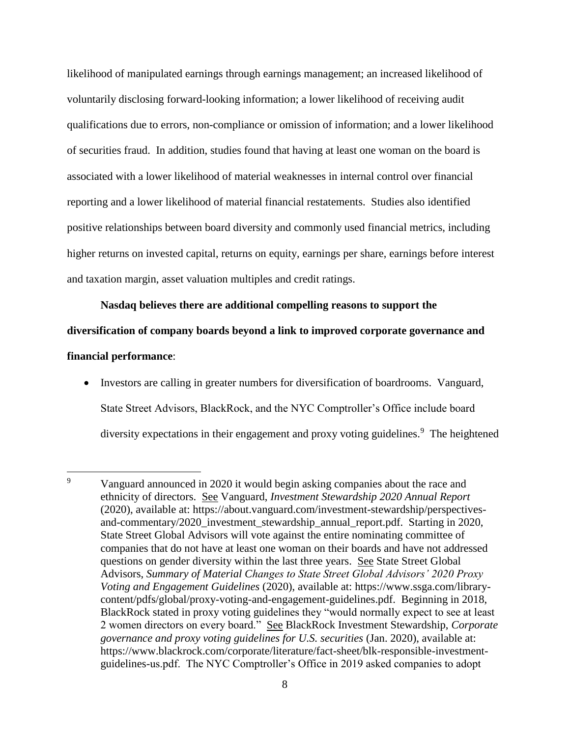likelihood of manipulated earnings through earnings management; an increased likelihood of voluntarily disclosing forward-looking information; a lower likelihood of receiving audit qualifications due to errors, non-compliance or omission of information; and a lower likelihood of securities fraud. In addition, studies found that having at least one woman on the board is associated with a lower likelihood of material weaknesses in internal control over financial reporting and a lower likelihood of material financial restatements. Studies also identified positive relationships between board diversity and commonly used financial metrics, including higher returns on invested capital, returns on equity, earnings per share, earnings before interest and taxation margin, asset valuation multiples and credit ratings.

**Nasdaq believes there are additional compelling reasons to support the diversification of company boards beyond a link to improved corporate governance and financial performance**:

• Investors are calling in greater numbers for diversification of boardrooms. Vanguard, State Street Advisors, BlackRock, and the NYC Comptroller's Office include board diversity expectations in their engagement and proxy voting guidelines.<sup>9</sup> The heightened

 $\overline{9}$ Vanguard announced in 2020 it would begin asking companies about the race and ethnicity of directors. See Vanguard, *Investment Stewardship 2020 Annual Report* (2020), available at: https://about.vanguard.com/investment-stewardship/perspectivesand-commentary/2020\_investment\_stewardship\_annual\_report.pdf. Starting in 2020, State Street Global Advisors will vote against the entire nominating committee of companies that do not have at least one woman on their boards and have not addressed questions on gender diversity within the last three years. See State Street Global Advisors, *Summary of Material Changes to State Street Global Advisors' 2020 Proxy Voting and Engagement Guidelines* (2020), available at: https://www.ssga.com/librarycontent/pdfs/global/proxy-voting-and-engagement-guidelines.pdf. Beginning in 2018, BlackRock stated in proxy voting guidelines they "would normally expect to see at least 2 women directors on every board." See BlackRock Investment Stewardship, *Corporate governance and proxy voting guidelines for U.S. securities* (Jan. 2020), available at: https://www.blackrock.com/corporate/literature/fact-sheet/blk-responsible-investmentguidelines-us.pdf. The NYC Comptroller's Office in 2019 asked companies to adopt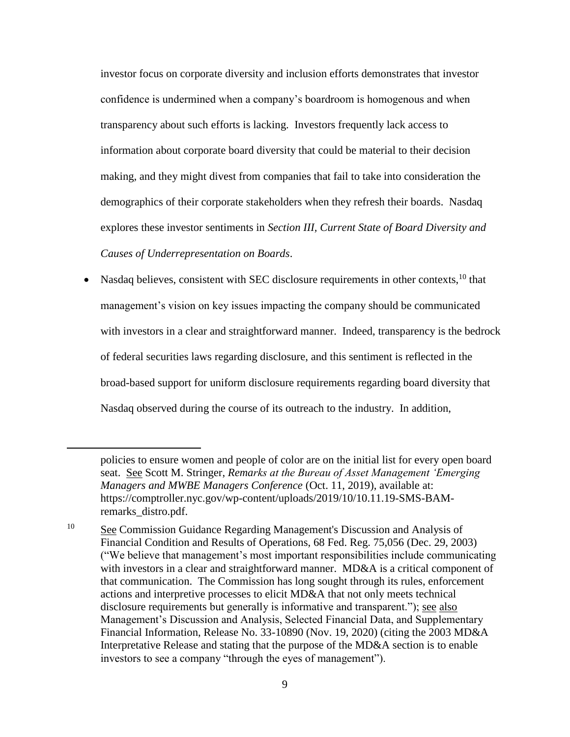investor focus on corporate diversity and inclusion efforts demonstrates that investor confidence is undermined when a company's boardroom is homogenous and when transparency about such efforts is lacking. Investors frequently lack access to information about corporate board diversity that could be material to their decision making, and they might divest from companies that fail to take into consideration the demographics of their corporate stakeholders when they refresh their boards. Nasdaq explores these investor sentiments in *Section III, Current State of Board Diversity and Causes of Underrepresentation on Boards*.

Nasdaq believes, consistent with SEC disclosure requirements in other contexts, <sup>10</sup> that management's vision on key issues impacting the company should be communicated with investors in a clear and straightforward manner. Indeed, transparency is the bedrock of federal securities laws regarding disclosure, and this sentiment is reflected in the broad-based support for uniform disclosure requirements regarding board diversity that Nasdaq observed during the course of its outreach to the industry. In addition,

policies to ensure women and people of color are on the initial list for every open board seat. See Scott M. Stringer, *Remarks at the Bureau of Asset Management 'Emerging Managers and MWBE Managers Conference* (Oct. 11, 2019), available at: https://comptroller.nyc.gov/wp-content/uploads/2019/10/10.11.19-SMS-BAMremarks\_distro.pdf.

<sup>10</sup> See Commission Guidance Regarding Management's Discussion and Analysis of Financial Condition and Results of Operations, 68 Fed. Reg. 75,056 (Dec. 29, 2003) ("We believe that management's most important responsibilities include communicating with investors in a clear and straightforward manner. MD&A is a critical component of that communication. The Commission has long sought through its rules, enforcement actions and interpretive processes to elicit MD&A that not only meets technical disclosure requirements but generally is informative and transparent."); see also Management's Discussion and Analysis, Selected Financial Data, and Supplementary Financial Information, Release No. 33-10890 (Nov. 19, 2020) (citing the 2003 MD&A Interpretative Release and stating that the purpose of the MD&A section is to enable investors to see a company "through the eyes of management").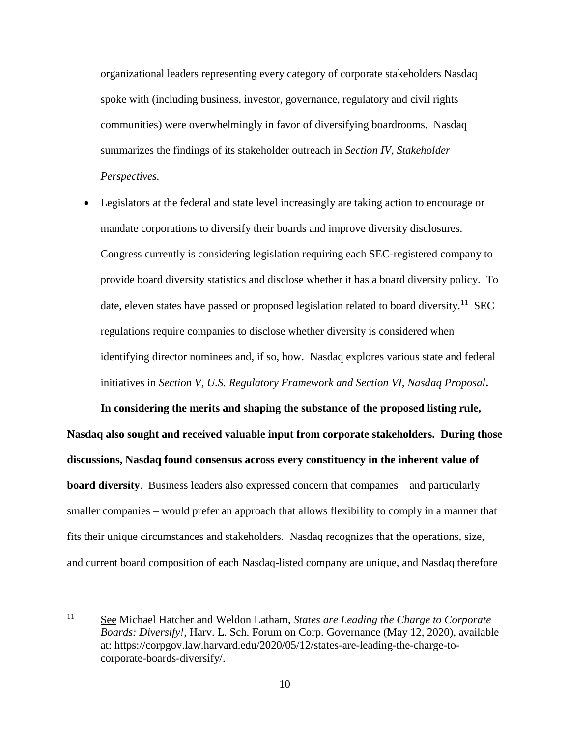organizational leaders representing every category of corporate stakeholders Nasdaq spoke with (including business, investor, governance, regulatory and civil rights communities) were overwhelmingly in favor of diversifying boardrooms. Nasdaq summarizes the findings of its stakeholder outreach in *Section IV, Stakeholder Perspectives.*

 Legislators at the federal and state level increasingly are taking action to encourage or mandate corporations to diversify their boards and improve diversity disclosures. Congress currently is considering legislation requiring each SEC-registered company to provide board diversity statistics and disclose whether it has a board diversity policy. To date, eleven states have passed or proposed legislation related to board diversity.<sup>11</sup> SEC regulations require companies to disclose whether diversity is considered when identifying director nominees and, if so, how. Nasdaq explores various state and federal initiatives in *Section V, U.S. Regulatory Framework and Section VI, Nasdaq Proposal***.**

**In considering the merits and shaping the substance of the proposed listing rule, Nasdaq also sought and received valuable input from corporate stakeholders. During those discussions, Nasdaq found consensus across every constituency in the inherent value of board diversity**. Business leaders also expressed concern that companies – and particularly smaller companies – would prefer an approach that allows flexibility to comply in a manner that fits their unique circumstances and stakeholders. Nasdaq recognizes that the operations, size, and current board composition of each Nasdaq-listed company are unique, and Nasdaq therefore

<sup>11</sup> See Michael Hatcher and Weldon Latham, *States are Leading the Charge to Corporate Boards: Diversify!*, Harv. L. Sch. Forum on Corp. Governance (May 12, 2020), available at: https://corpgov.law.harvard.edu/2020/05/12/states-are-leading-the-charge-tocorporate-boards-diversify/.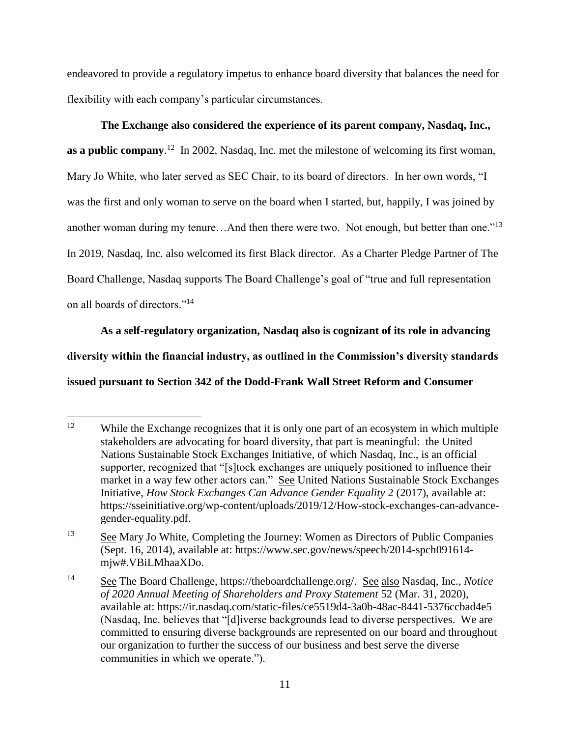endeavored to provide a regulatory impetus to enhance board diversity that balances the need for flexibility with each company's particular circumstances.

**The Exchange also considered the experience of its parent company, Nasdaq, Inc., as a public company.**<sup>12</sup> In 2002, Nasdaq, Inc. met the milestone of welcoming its first woman, Mary Jo White, who later served as SEC Chair, to its board of directors. In her own words, "I was the first and only woman to serve on the board when I started, but, happily, I was joined by another woman during my tenure...And then there were two. Not enough, but better than one."<sup>13</sup> In 2019, Nasdaq, Inc. also welcomed its first Black director. As a Charter Pledge Partner of The Board Challenge, Nasdaq supports The Board Challenge's goal of "true and full representation on all boards of directors."<sup>14</sup>

**As a self-regulatory organization, Nasdaq also is cognizant of its role in advancing diversity within the financial industry, as outlined in the Commission's diversity standards issued pursuant to Section 342 of the Dodd-Frank Wall Street Reform and Consumer** 

 $12$ While the Exchange recognizes that it is only one part of an ecosystem in which multiple stakeholders are advocating for board diversity, that part is meaningful: the United Nations Sustainable Stock Exchanges Initiative, of which Nasdaq, Inc., is an official supporter, recognized that "[s]tock exchanges are uniquely positioned to influence their market in a way few other actors can." See United Nations Sustainable Stock Exchanges Initiative, *How Stock Exchanges Can Advance Gender Equality* 2 (2017), available at: https://sseinitiative.org/wp-content/uploads/2019/12/How-stock-exchanges-can-advancegender-equality.pdf.

<sup>&</sup>lt;sup>13</sup> See Mary Jo White, Completing the Journey: Women as Directors of Public Companies (Sept. 16, 2014), available at: https://www.sec.gov/news/speech/2014-spch091614 mjw#.VBiLMhaaXDo.

<sup>14</sup> See The Board Challenge, https://theboardchallenge.org/. See also Nasdaq, Inc., *Notice of 2020 Annual Meeting of Shareholders and Proxy Statement* 52 (Mar. 31, 2020), available at: https://ir.nasdaq.com/static-files/ce5519d4-3a0b-48ac-8441-5376ccbad4e5 (Nasdaq, Inc. believes that "[d]iverse backgrounds lead to diverse perspectives. We are committed to ensuring diverse backgrounds are represented on our board and throughout our organization to further the success of our business and best serve the diverse communities in which we operate.").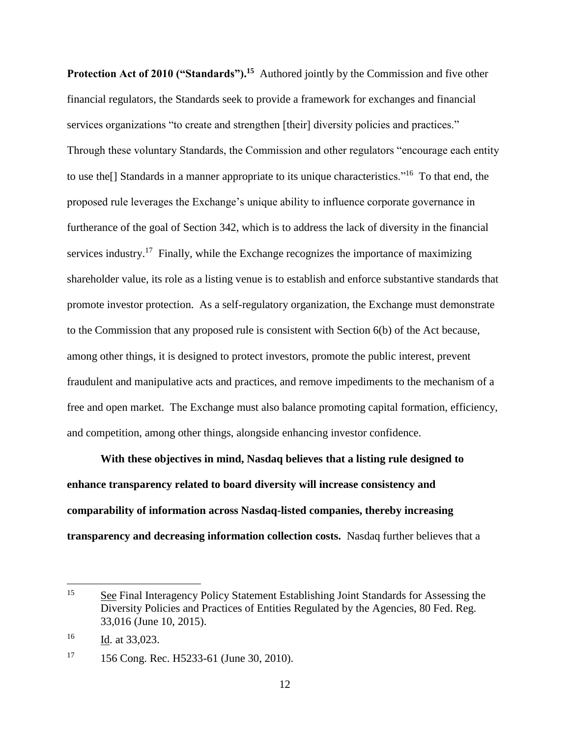Protection Act of 2010 ("Standards").<sup>15</sup> Authored jointly by the Commission and five other financial regulators, the Standards seek to provide a framework for exchanges and financial services organizations "to create and strengthen [their] diversity policies and practices." Through these voluntary Standards, the Commission and other regulators "encourage each entity to use the<sup>[]</sup> Standards in a manner appropriate to its unique characteristics."<sup>16</sup> To that end, the proposed rule leverages the Exchange's unique ability to influence corporate governance in furtherance of the goal of Section 342, which is to address the lack of diversity in the financial services industry.<sup>17</sup> Finally, while the Exchange recognizes the importance of maximizing shareholder value, its role as a listing venue is to establish and enforce substantive standards that promote investor protection. As a self-regulatory organization, the Exchange must demonstrate to the Commission that any proposed rule is consistent with Section 6(b) of the Act because, among other things, it is designed to protect investors, promote the public interest, prevent fraudulent and manipulative acts and practices, and remove impediments to the mechanism of a free and open market. The Exchange must also balance promoting capital formation, efficiency, and competition, among other things, alongside enhancing investor confidence.

**With these objectives in mind, Nasdaq believes that a listing rule designed to enhance transparency related to board diversity will increase consistency and comparability of information across Nasdaq-listed companies, thereby increasing transparency and decreasing information collection costs.** Nasdaq further believes that a

<sup>&</sup>lt;sup>15</sup> See Final Interagency Policy Statement Establishing Joint Standards for Assessing the Diversity Policies and Practices of Entities Regulated by the Agencies, 80 Fed. Reg. 33,016 (June 10, 2015).

 $\frac{Id}{16}$  at 33,023.

<sup>&</sup>lt;sup>17</sup> 156 Cong. Rec. H5233-61 (June 30, 2010).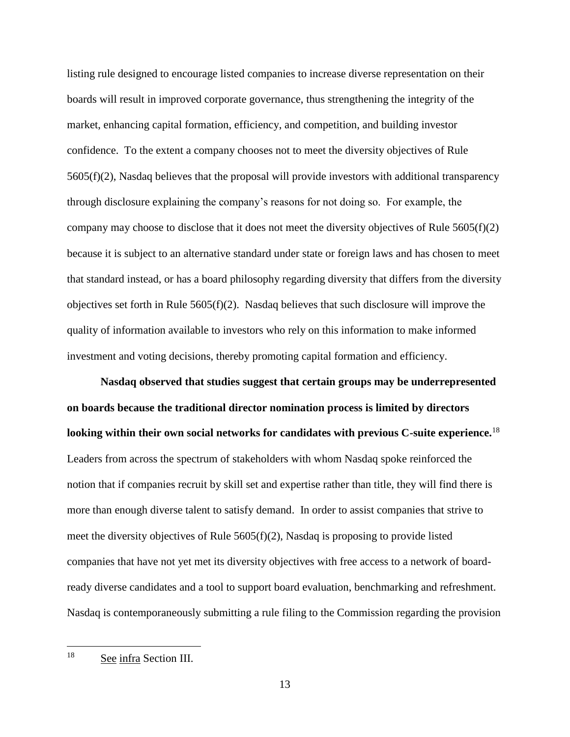listing rule designed to encourage listed companies to increase diverse representation on their boards will result in improved corporate governance, thus strengthening the integrity of the market, enhancing capital formation, efficiency, and competition, and building investor confidence. To the extent a company chooses not to meet the diversity objectives of Rule 5605(f)(2), Nasdaq believes that the proposal will provide investors with additional transparency through disclosure explaining the company's reasons for not doing so. For example, the company may choose to disclose that it does not meet the diversity objectives of Rule 5605(f)(2) because it is subject to an alternative standard under state or foreign laws and has chosen to meet that standard instead, or has a board philosophy regarding diversity that differs from the diversity objectives set forth in Rule  $5605(f)(2)$ . Nasdaq believes that such disclosure will improve the quality of information available to investors who rely on this information to make informed investment and voting decisions, thereby promoting capital formation and efficiency.

**Nasdaq observed that studies suggest that certain groups may be underrepresented on boards because the traditional director nomination process is limited by directors looking within their own social networks for candidates with previous C-suite experience.**<sup>18</sup> Leaders from across the spectrum of stakeholders with whom Nasdaq spoke reinforced the notion that if companies recruit by skill set and expertise rather than title, they will find there is more than enough diverse talent to satisfy demand. In order to assist companies that strive to meet the diversity objectives of Rule  $5605(f)(2)$ , Nasdaq is proposing to provide listed companies that have not yet met its diversity objectives with free access to a network of boardready diverse candidates and a tool to support board evaluation, benchmarking and refreshment. Nasdaq is contemporaneously submitting a rule filing to the Commission regarding the provision

18 See infra Section III.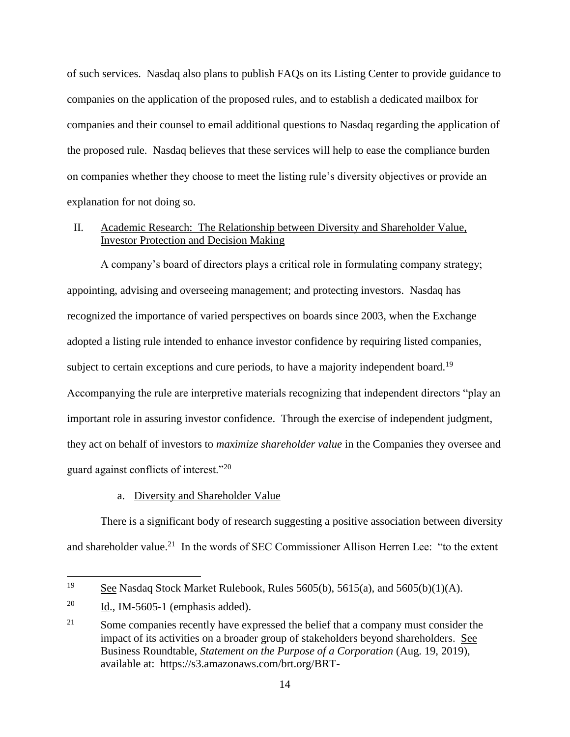of such services. Nasdaq also plans to publish FAQs on its Listing Center to provide guidance to companies on the application of the proposed rules, and to establish a dedicated mailbox for companies and their counsel to email additional questions to Nasdaq regarding the application of the proposed rule. Nasdaq believes that these services will help to ease the compliance burden on companies whether they choose to meet the listing rule's diversity objectives or provide an explanation for not doing so.

### II. Academic Research: The Relationship between Diversity and Shareholder Value, Investor Protection and Decision Making

A company's board of directors plays a critical role in formulating company strategy; appointing, advising and overseeing management; and protecting investors. Nasdaq has recognized the importance of varied perspectives on boards since 2003, when the Exchange adopted a listing rule intended to enhance investor confidence by requiring listed companies, subject to certain exceptions and cure periods, to have a majority independent board.<sup>19</sup> Accompanying the rule are interpretive materials recognizing that independent directors "play an important role in assuring investor confidence. Through the exercise of independent judgment, they act on behalf of investors to *maximize shareholder value* in the Companies they oversee and guard against conflicts of interest."20

#### a. Diversity and Shareholder Value

There is a significant body of research suggesting a positive association between diversity and shareholder value.<sup>21</sup> In the words of SEC Commissioner Allison Herren Lee: "to the extent

<sup>19</sup> See Nasdaq Stock Market Rulebook, Rules 5605(b), 5615(a), and 5605(b)(1)(A).

 $^{20}$  Id., IM-5605-1 (emphasis added).

<sup>21</sup> Some companies recently have expressed the belief that a company must consider the impact of its activities on a broader group of stakeholders beyond shareholders. See Business Roundtable, *Statement on the Purpose of a Corporation* (Aug. 19, 2019), available at: https://s3.amazonaws.com/brt.org/BRT-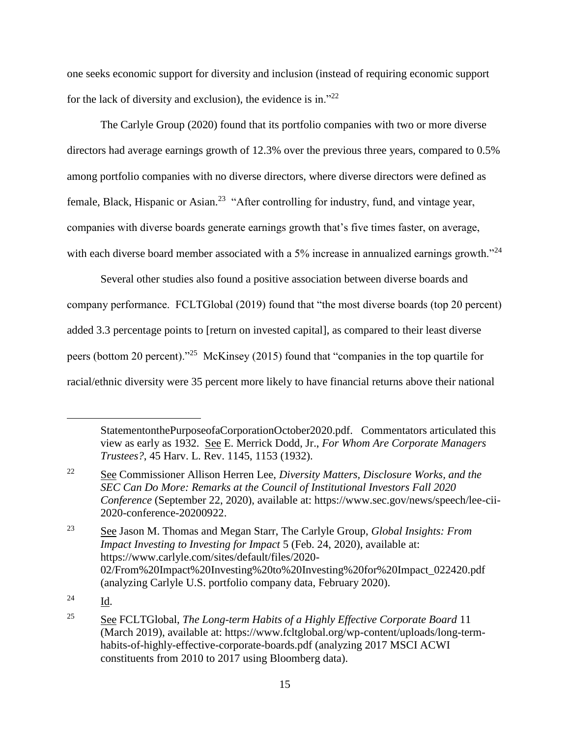one seeks economic support for diversity and inclusion (instead of requiring economic support for the lack of diversity and exclusion), the evidence is in."<sup>22</sup>

The Carlyle Group (2020) found that its portfolio companies with two or more diverse directors had average earnings growth of 12.3% over the previous three years, compared to 0.5% among portfolio companies with no diverse directors, where diverse directors were defined as female, Black, Hispanic or Asian.<sup>23</sup> "After controlling for industry, fund, and vintage year, companies with diverse boards generate earnings growth that's five times faster, on average, with each diverse board member associated with a 5% increase in annualized earnings growth."<sup>24</sup>

Several other studies also found a positive association between diverse boards and company performance. FCLTGlobal (2019) found that "the most diverse boards (top 20 percent) added 3.3 percentage points to [return on invested capital], as compared to their least diverse peers (bottom 20 percent)."<sup>25</sup> McKinsey (2015) found that "companies in the top quartile for racial/ethnic diversity were 35 percent more likely to have financial returns above their national

<sup>23</sup> See Jason M. Thomas and Megan Starr, The Carlyle Group, *Global Insights: From Impact Investing to Investing for Impact* 5 (Feb. 24, 2020), available at: https://www.carlyle.com/sites/default/files/2020- 02/From%20Impact%20Investing%20to%20Investing%20for%20Impact\_022420.pdf (analyzing Carlyle U.S. portfolio company data, February 2020).

<sup>24</sup> Id.

StatementonthePurposeofaCorporationOctober2020.pdf. Commentators articulated this view as early as 1932. See E. Merrick Dodd, Jr., *For Whom Are Corporate Managers Trustees?*, 45 Harv. L. Rev. 1145, 1153 (1932).

<sup>22</sup> See Commissioner Allison Herren Lee, *Diversity Matters, Disclosure Works, and the SEC Can Do More: Remarks at the Council of Institutional Investors Fall 2020 Conference* (September 22, 2020), available at: https://www.sec.gov/news/speech/lee-cii-2020-conference-20200922.

<sup>25</sup> See FCLTGlobal, *The Long-term Habits of a Highly Effective Corporate Board* 11 (March 2019), available at: https://www.fcltglobal.org/wp-content/uploads/long-termhabits-of-highly-effective-corporate-boards.pdf (analyzing 2017 MSCI ACWI constituents from 2010 to 2017 using Bloomberg data).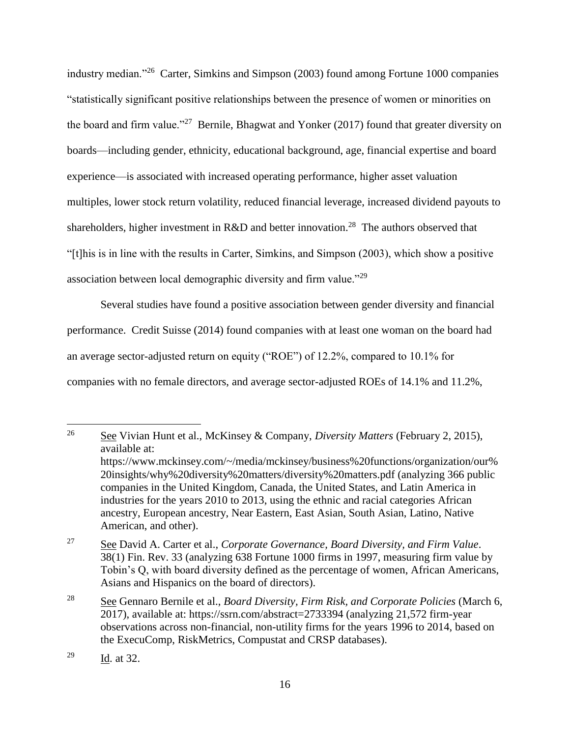industry median."<sup>26</sup> Carter, Simkins and Simpson (2003) found among Fortune 1000 companies "statistically significant positive relationships between the presence of women or minorities on the board and firm value."<sup>27</sup> Bernile, Bhagwat and Yonker (2017) found that greater diversity on boards—including gender, ethnicity, educational background, age, financial expertise and board experience—is associated with increased operating performance, higher asset valuation multiples, lower stock return volatility, reduced financial leverage, increased dividend payouts to shareholders, higher investment in R&D and better innovation.<sup>28</sup> The authors observed that "[t]his is in line with the results in Carter, Simkins, and Simpson (2003), which show a positive association between local demographic diversity and firm value."<sup>29</sup>

Several studies have found a positive association between gender diversity and financial performance. Credit Suisse (2014) found companies with at least one woman on the board had an average sector-adjusted return on equity ("ROE") of 12.2%, compared to 10.1% for companies with no female directors, and average sector-adjusted ROEs of 14.1% and 11.2%,

<sup>26</sup> See Vivian Hunt et al., McKinsey & Company, *Diversity Matters* (February 2, 2015), available at: https://www.mckinsey.com/~/media/mckinsey/business%20functions/organization/our% 20insights/why%20diversity%20matters/diversity%20matters.pdf (analyzing 366 public companies in the United Kingdom, Canada, the United States, and Latin America in industries for the years 2010 to 2013, using the ethnic and racial categories African ancestry, European ancestry, Near Eastern, East Asian, South Asian, Latino, Native American, and other).

<sup>27</sup> See David A. Carter et al., *Corporate Governance, Board Diversity, and Firm Value*. 38(1) Fin. Rev. 33 (analyzing 638 Fortune 1000 firms in 1997, measuring firm value by Tobin's Q, with board diversity defined as the percentage of women, African Americans, Asians and Hispanics on the board of directors).

<sup>28</sup> See Gennaro Bernile et al., *Board Diversity, Firm Risk, and Corporate Policies* (March 6, 2017), available at: https://ssrn.com/abstract=2733394 (analyzing 21,572 firm-year observations across non-financial, non-utility firms for the years 1996 to 2014, based on the ExecuComp, RiskMetrics, Compustat and CRSP databases).

<sup>29</sup> Id. at 32.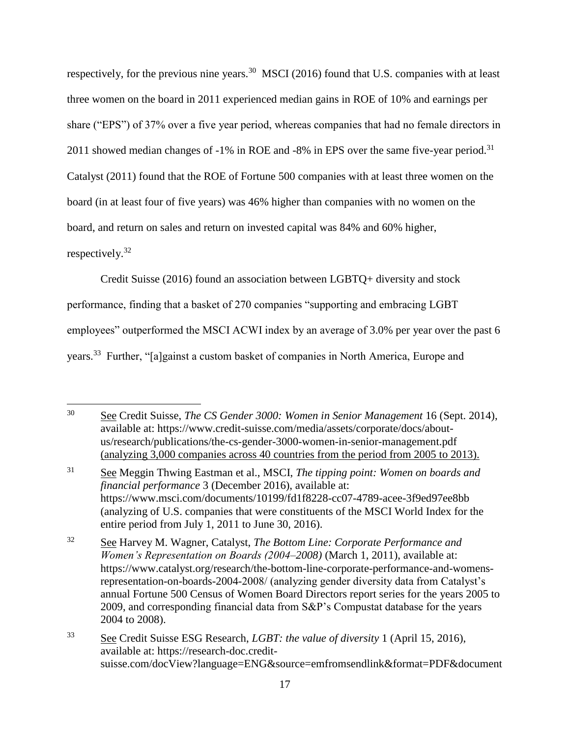respectively, for the previous nine years.<sup>30</sup> MSCI (2016) found that U.S. companies with at least three women on the board in 2011 experienced median gains in ROE of 10% and earnings per share ("EPS") of 37% over a five year period, whereas companies that had no female directors in 2011 showed median changes of  $-1\%$  in ROE and  $-8\%$  in EPS over the same five-year period.<sup>31</sup> Catalyst (2011) found that the ROE of Fortune 500 companies with at least three women on the board (in at least four of five years) was 46% higher than companies with no women on the board, and return on sales and return on invested capital was 84% and 60% higher, respectively.<sup>32</sup>

Credit Suisse (2016) found an association between LGBTQ+ diversity and stock

performance, finding that a basket of 270 companies "supporting and embracing LGBT

employees" outperformed the MSCI ACWI index by an average of 3.0% per year over the past 6

years.<sup>33</sup> Further, "[a]gainst a custom basket of companies in North America, Europe and

 $\overline{a}$ <sup>30</sup> See Credit Suisse, *The CS Gender 3000: Women in Senior Management* 16 (Sept. 2014), available at: https://www.credit-suisse.com/media/assets/corporate/docs/aboutus/research/publications/the-cs-gender-3000-women-in-senior-management.pdf (analyzing 3,000 companies across 40 countries from the period from 2005 to 2013).

<sup>31</sup> See Meggin Thwing Eastman et al., MSCI, *The tipping point: Women on boards and financial performance* 3 (December 2016), available at: https://www.msci.com/documents/10199/fd1f8228-cc07-4789-acee-3f9ed97ee8bb (analyzing of U.S. companies that were constituents of the MSCI World Index for the entire period from July 1, 2011 to June 30, 2016).

<sup>32</sup> See Harvey M. Wagner, Catalyst, *The Bottom Line: Corporate Performance and Women's Representation on Boards (2004–2008)* (March 1, 2011), available at: https://www.catalyst.org/research/the-bottom-line-corporate-performance-and-womensrepresentation-on-boards-2004-2008/ (analyzing gender diversity data from Catalyst's annual Fortune 500 Census of Women Board Directors report series for the years 2005 to 2009, and corresponding financial data from S&P's Compustat database for the years 2004 to 2008).

<sup>33</sup> See Credit Suisse ESG Research, *LGBT: the value of diversity* 1 (April 15, 2016), available at: https://research-doc.creditsuisse.com/docView?language=ENG&source=emfromsendlink&format=PDF&document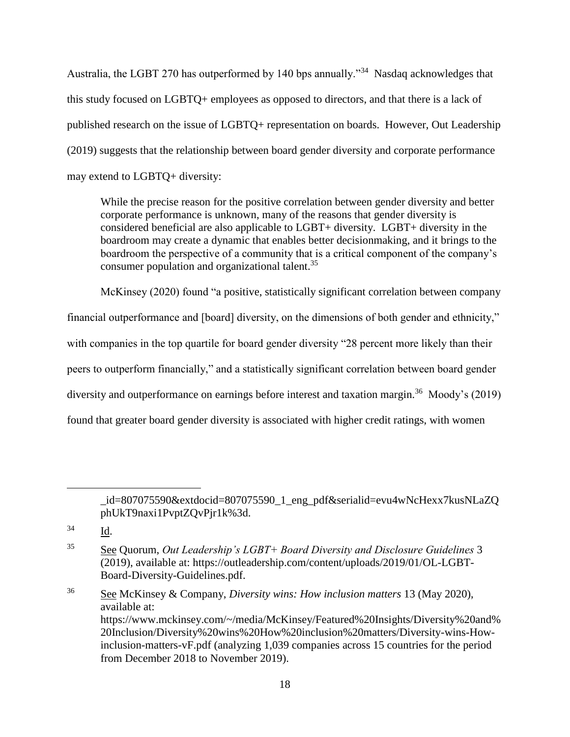Australia, the LGBT 270 has outperformed by 140 bps annually."<sup>34</sup> Nasdaq acknowledges that this study focused on LGBTQ+ employees as opposed to directors, and that there is a lack of published research on the issue of LGBTQ+ representation on boards. However, Out Leadership (2019) suggests that the relationship between board gender diversity and corporate performance may extend to LGBTQ+ diversity:

While the precise reason for the positive correlation between gender diversity and better corporate performance is unknown, many of the reasons that gender diversity is considered beneficial are also applicable to LGBT+ diversity. LGBT+ diversity in the boardroom may create a dynamic that enables better decisionmaking, and it brings to the boardroom the perspective of a community that is a critical component of the company's consumer population and organizational talent.<sup>35</sup>

McKinsey (2020) found "a positive, statistically significant correlation between company financial outperformance and [board] diversity, on the dimensions of both gender and ethnicity," with companies in the top quartile for board gender diversity "28 percent more likely than their peers to outperform financially," and a statistically significant correlation between board gender diversity and outperformance on earnings before interest and taxation margin.<sup>36</sup> Moody's (2019) found that greater board gender diversity is associated with higher credit ratings, with women

\_id=807075590&extdocid=807075590\_1\_eng\_pdf&serialid=evu4wNcHexx7kusNLaZQ phUkT9naxi1PvptZQvPjr1k%3d.

 $\overline{a}$ 

<sup>36</sup> See McKinsey & Company, *Diversity wins: How inclusion matters* 13 (May 2020), available at: https://www.mckinsey.com/~/media/McKinsey/Featured%20Insights/Diversity%20and% 20Inclusion/Diversity%20wins%20How%20inclusion%20matters/Diversity-wins-Howinclusion-matters-vF.pdf (analyzing 1,039 companies across 15 countries for the period from December 2018 to November 2019).

<sup>34</sup> Id.

<sup>35</sup> See Quorum, *Out Leadership's LGBT+ Board Diversity and Disclosure Guidelines* 3 (2019), available at: https://outleadership.com/content/uploads/2019/01/OL-LGBT-Board-Diversity-Guidelines.pdf.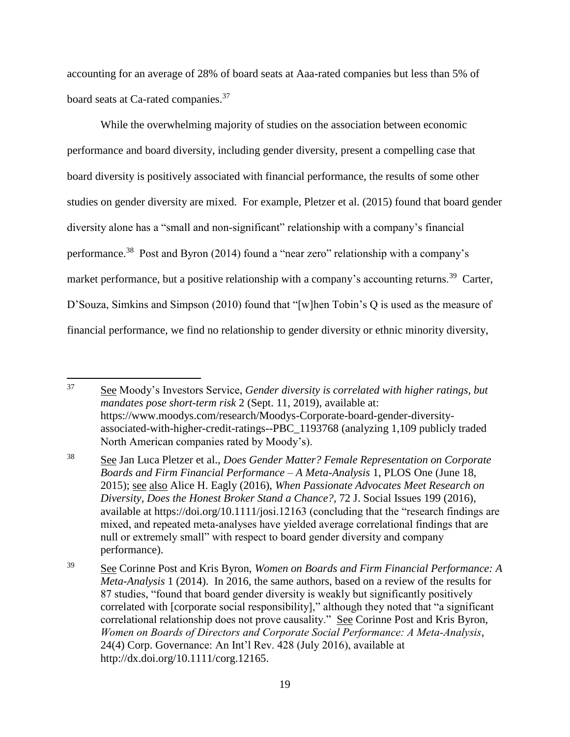accounting for an average of 28% of board seats at Aaa-rated companies but less than 5% of board seats at Ca-rated companies.<sup>37</sup>

While the overwhelming majority of studies on the association between economic performance and board diversity, including gender diversity, present a compelling case that board diversity is positively associated with financial performance, the results of some other studies on gender diversity are mixed. For example, Pletzer et al. (2015) found that board gender diversity alone has a "small and non-significant" relationship with a company's financial performance.<sup>38</sup> Post and Byron (2014) found a "near zero" relationship with a company's market performance, but a positive relationship with a company's accounting returns.<sup>39</sup> Carter, D'Souza, Simkins and Simpson (2010) found that "[w]hen Tobin's Q is used as the measure of financial performance, we find no relationship to gender diversity or ethnic minority diversity,

<sup>37</sup> <sup>37</sup> See Moody's Investors Service, *Gender diversity is correlated with higher ratings, but mandates pose short-term risk* 2 (Sept. 11, 2019), available at: https://www.moodys.com/research/Moodys-Corporate-board-gender-diversityassociated-with-higher-credit-ratings--PBC\_1193768 (analyzing 1,109 publicly traded North American companies rated by Moody's).

<sup>38</sup> See Jan Luca Pletzer et al., *Does Gender Matter? Female Representation on Corporate Boards and Firm Financial Performance – A Meta-Analysis* 1, PLOS One (June 18, 2015); see also Alice H. Eagly (2016), *When Passionate Advocates Meet Research on Diversity, Does the Honest Broker Stand a Chance?*, 72 J. Social Issues 199 (2016), available at https://doi.org/10.1111/josi.12163 (concluding that the "research findings are mixed, and repeated meta‐analyses have yielded average correlational findings that are null or extremely small" with respect to board gender diversity and company performance).

<sup>39</sup> See Corinne Post and Kris Byron, *Women on Boards and Firm Financial Performance: A Meta-Analysis* 1 (2014). In 2016, the same authors, based on a review of the results for 87 studies, "found that board gender diversity is weakly but significantly positively correlated with [corporate social responsibility]," although they noted that "a significant correlational relationship does not prove causality." See Corinne Post and Kris Byron, *Women on Boards of Directors and Corporate Social Performance: A Meta‐Analysis*, 24(4) Corp. Governance: An Int'l Rev. 428 (July 2016), available at http://dx.doi.org/10.1111/corg.12165.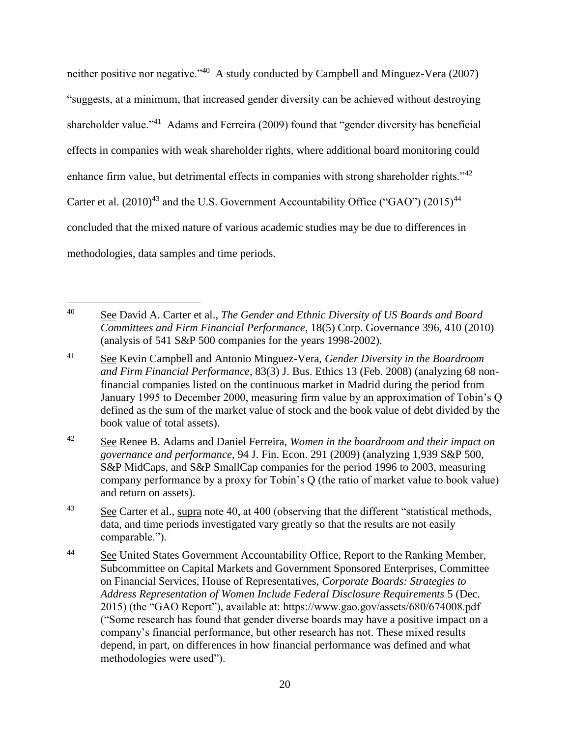neither positive nor negative."<sup>40</sup> A study conducted by Campbell and Minguez-Vera (2007) "suggests, at a minimum, that increased gender diversity can be achieved without destroying shareholder value."<sup>41</sup> Adams and Ferreira (2009) found that "gender diversity has beneficial effects in companies with weak shareholder rights, where additional board monitoring could enhance firm value, but detrimental effects in companies with strong shareholder rights." $42$ Carter et al.  $(2010)^{43}$  and the U.S. Government Accountability Office ("GAO")  $(2015)^{44}$ concluded that the mixed nature of various academic studies may be due to differences in methodologies, data samples and time periods.

<sup>40</sup> See David A. Carter et al., *The Gender and Ethnic Diversity of US Boards and Board Committees and Firm Financial Performance*, 18(5) Corp. Governance 396, 410 (2010) (analysis of 541 S&P 500 companies for the years 1998-2002).

<sup>41</sup> See Kevin Campbell and Antonio Minguez-Vera, *Gender Diversity in the Boardroom and Firm Financial Performance*, 83(3) J. Bus. Ethics 13 (Feb. 2008) (analyzing 68 nonfinancial companies listed on the continuous market in Madrid during the period from January 1995 to December 2000, measuring firm value by an approximation of Tobin's Q defined as the sum of the market value of stock and the book value of debt divided by the book value of total assets).

<sup>42</sup> See Renee B. Adams and Daniel Ferreira, *Women in the boardroom and their impact on governance and performance*, 94 J. Fin. Econ. 291 (2009) (analyzing 1,939 S&P 500, S&P MidCaps, and S&P SmallCap companies for the period 1996 to 2003, measuring company performance by a proxy for Tobin's Q (the ratio of market value to book value) and return on assets).

 $\frac{43}{100}$  See Carter et al., supra note 40, at 400 (observing that the different "statistical methods, data, and time periods investigated vary greatly so that the results are not easily comparable.").

<sup>&</sup>lt;sup>44</sup> See United States Government Accountability Office, Report to the Ranking Member, Subcommittee on Capital Markets and Government Sponsored Enterprises, Committee on Financial Services, House of Representatives, *Corporate Boards: Strategies to Address Representation of Women Include Federal Disclosure Requirements* 5 (Dec. 2015) (the "GAO Report"), available at: https://www.gao.gov/assets/680/674008.pdf ("Some research has found that gender diverse boards may have a positive impact on a company's financial performance, but other research has not. These mixed results depend, in part, on differences in how financial performance was defined and what methodologies were used").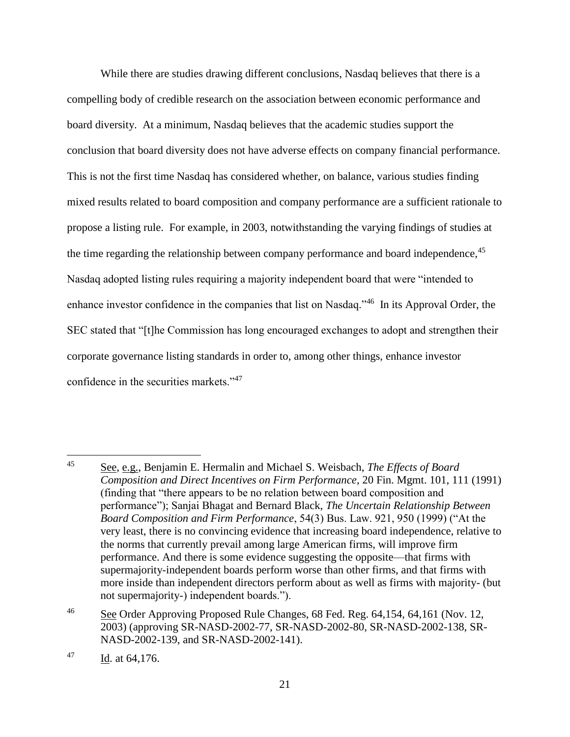While there are studies drawing different conclusions, Nasdaq believes that there is a compelling body of credible research on the association between economic performance and board diversity. At a minimum, Nasdaq believes that the academic studies support the conclusion that board diversity does not have adverse effects on company financial performance. This is not the first time Nasdaq has considered whether, on balance, various studies finding mixed results related to board composition and company performance are a sufficient rationale to propose a listing rule. For example, in 2003, notwithstanding the varying findings of studies at the time regarding the relationship between company performance and board independence,<sup>45</sup> Nasdaq adopted listing rules requiring a majority independent board that were "intended to enhance investor confidence in the companies that list on Nasdaq."<sup>46</sup> In its Approval Order, the SEC stated that "[t]he Commission has long encouraged exchanges to adopt and strengthen their corporate governance listing standards in order to, among other things, enhance investor confidence in the securities markets."<sup>47</sup>

<sup>45</sup> See, e.g., Benjamin E. Hermalin and Michael S. Weisbach, *The Effects of Board Composition and Direct Incentives on Firm Performance*, 20 Fin. Mgmt. 101, 111 (1991) (finding that "there appears to be no relation between board composition and performance"); Sanjai Bhagat and Bernard Black, *The Uncertain Relationship Between Board Composition and Firm Performance*, 54(3) Bus. Law. 921, 950 (1999) ("At the very least, there is no convincing evidence that increasing board independence, relative to the norms that currently prevail among large American firms, will improve firm performance. And there is some evidence suggesting the opposite—that firms with supermajority-independent boards perform worse than other firms, and that firms with more inside than independent directors perform about as well as firms with majority- (but not supermajority-) independent boards.").

<sup>46</sup> See Order Approving Proposed Rule Changes, 68 Fed. Reg. 64,154, 64,161 (Nov. 12, 2003) (approving SR-NASD-2002-77, SR-NASD-2002-80, SR-NASD-2002-138, SR-NASD-2002-139, and SR-NASD-2002-141).

 $^{47}$  Id. at 64,176.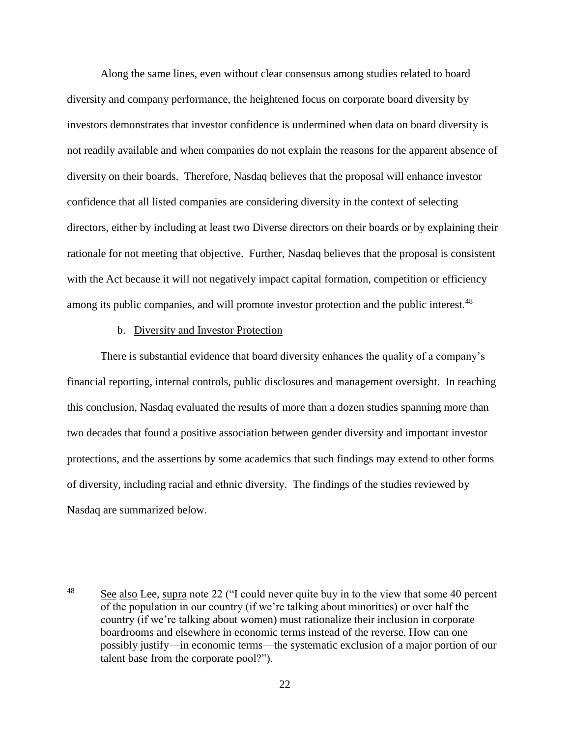Along the same lines, even without clear consensus among studies related to board diversity and company performance, the heightened focus on corporate board diversity by investors demonstrates that investor confidence is undermined when data on board diversity is not readily available and when companies do not explain the reasons for the apparent absence of diversity on their boards. Therefore, Nasdaq believes that the proposal will enhance investor confidence that all listed companies are considering diversity in the context of selecting directors, either by including at least two Diverse directors on their boards or by explaining their rationale for not meeting that objective. Further, Nasdaq believes that the proposal is consistent with the Act because it will not negatively impact capital formation, competition or efficiency among its public companies, and will promote investor protection and the public interest.<sup>48</sup>

#### b. Diversity and Investor Protection

There is substantial evidence that board diversity enhances the quality of a company's financial reporting, internal controls, public disclosures and management oversight. In reaching this conclusion, Nasdaq evaluated the results of more than a dozen studies spanning more than two decades that found a positive association between gender diversity and important investor protections, and the assertions by some academics that such findings may extend to other forms of diversity, including racial and ethnic diversity. The findings of the studies reviewed by Nasdaq are summarized below.

 $\overline{a}$ <sup>48</sup> See also Lee, supra note 22 ("I could never quite buy in to the view that some 40 percent of the population in our country (if we're talking about minorities) or over half the country (if we're talking about women) must rationalize their inclusion in corporate boardrooms and elsewhere in economic terms instead of the reverse. How can one possibly justify—in economic terms—the systematic exclusion of a major portion of our talent base from the corporate pool?").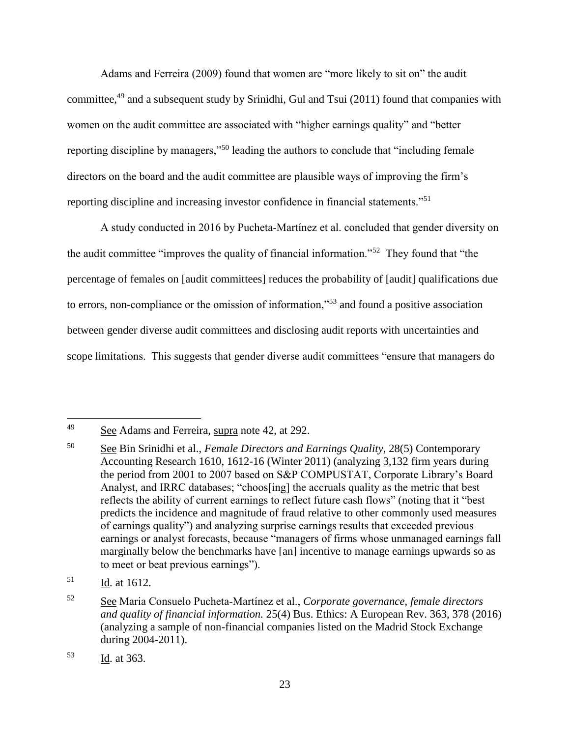Adams and Ferreira (2009) found that women are "more likely to sit on" the audit committee,<sup>49</sup> and a subsequent study by Srinidhi, Gul and Tsui (2011) found that companies with women on the audit committee are associated with "higher earnings quality" and "better reporting discipline by managers,"<sup>50</sup> leading the authors to conclude that "including female directors on the board and the audit committee are plausible ways of improving the firm's reporting discipline and increasing investor confidence in financial statements."<sup>51</sup>

A study conducted in 2016 by Pucheta‐Martínez et al. concluded that gender diversity on the audit committee "improves the quality of financial information."<sup>52</sup> They found that "the percentage of females on [audit committees] reduces the probability of [audit] qualifications due to errors, non-compliance or the omission of information,"<sup>53</sup> and found a positive association between gender diverse audit committees and disclosing audit reports with uncertainties and scope limitations. This suggests that gender diverse audit committees "ensure that managers do

<sup>49</sup> See Adams and Ferreira, supra note 42, at 292.

<sup>50</sup> See Bin Srinidhi et al., *Female Directors and Earnings Quality*, 28(5) Contemporary Accounting Research 1610, 1612-16 (Winter 2011) (analyzing 3,132 firm years during the period from 2001 to 2007 based on S&P COMPUSTAT, Corporate Library's Board Analyst, and IRRC databases; "choos[ing] the accruals quality as the metric that best reflects the ability of current earnings to reflect future cash flows" (noting that it "best predicts the incidence and magnitude of fraud relative to other commonly used measures of earnings quality") and analyzing surprise earnings results that exceeded previous earnings or analyst forecasts, because "managers of firms whose unmanaged earnings fall marginally below the benchmarks have [an] incentive to manage earnings upwards so as to meet or beat previous earnings").

 $51$  Id. at 1612.

<sup>52</sup> See Maria Consuelo Pucheta‐Martínez et al., *Corporate governance, female directors and quality of financial information.* 25(4) Bus. Ethics: A European Rev. 363, 378 (2016) (analyzing a sample of non-financial companies listed on the Madrid Stock Exchange during 2004-2011).

<sup>53</sup> Id. at 363.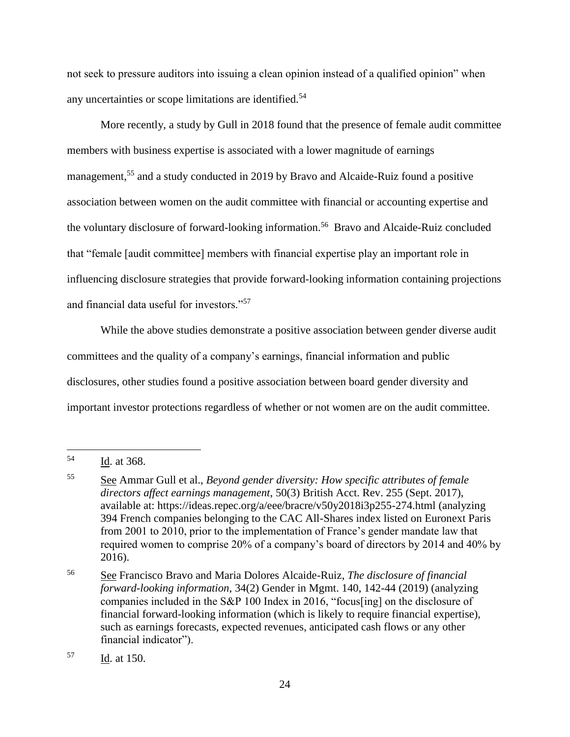not seek to pressure auditors into issuing a clean opinion instead of a qualified opinion" when any uncertainties or scope limitations are identified.<sup>54</sup>

More recently, a study by Gull in 2018 found that the presence of female audit committee members with business expertise is associated with a lower magnitude of earnings management,<sup>55</sup> and a study conducted in 2019 by Bravo and Alcaide-Ruiz found a positive association between women on the audit committee with financial or accounting expertise and the voluntary disclosure of forward-looking information.<sup>56</sup> Bravo and Alcaide-Ruiz concluded that "female [audit committee] members with financial expertise play an important role in influencing disclosure strategies that provide forward-looking information containing projections and financial data useful for investors."<sup>57</sup>

While the above studies demonstrate a positive association between gender diverse audit committees and the quality of a company's earnings, financial information and public disclosures, other studies found a positive association between board gender diversity and important investor protections regardless of whether or not women are on the audit committee.

<sup>54</sup> Id. at 368.

<sup>55</sup> See Ammar Gull et al., *Beyond gender diversity: How specific attributes of female directors affect earnings management*, 50(3) British Acct. Rev. 255 (Sept. 2017), available at: https://ideas.repec.org/a/eee/bracre/v50y2018i3p255-274.html (analyzing 394 French companies belonging to the CAC All-Shares index listed on Euronext Paris from 2001 to 2010, prior to the implementation of France's gender mandate law that required women to comprise 20% of a company's board of directors by 2014 and 40% by 2016).

<sup>56</sup> See Francisco Bravo and Maria Dolores Alcaide-Ruiz, *The disclosure of financial forward-looking information*, 34(2) Gender in Mgmt. 140, 142-44 (2019) (analyzing companies included in the S&P 100 Index in 2016, "focus[ing] on the disclosure of financial forward-looking information (which is likely to require financial expertise), such as earnings forecasts, expected revenues, anticipated cash flows or any other financial indicator").

<sup>57</sup> Id. at 150.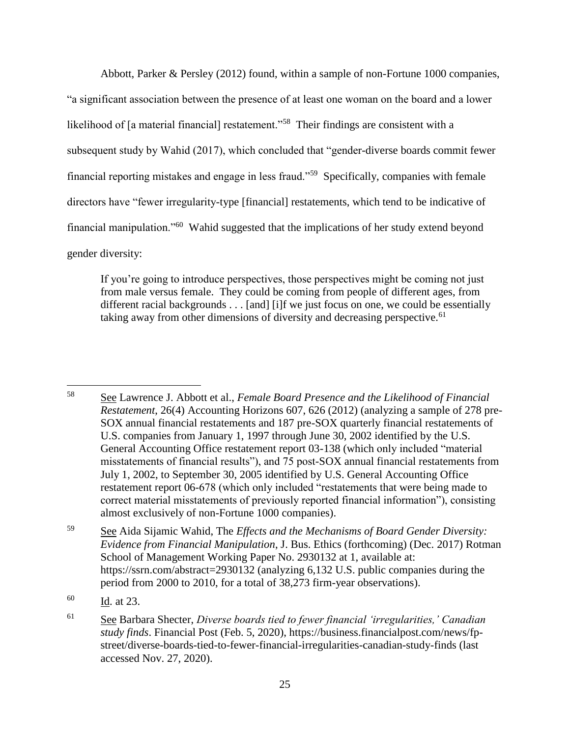Abbott, Parker & Persley (2012) found, within a sample of non-Fortune 1000 companies, "a significant association between the presence of at least one woman on the board and a lower likelihood of [a material financial] restatement."<sup>58</sup> Their findings are consistent with a subsequent study by Wahid (2017), which concluded that "gender-diverse boards commit fewer financial reporting mistakes and engage in less fraud."<sup>59</sup> Specifically, companies with female directors have "fewer irregularity-type [financial] restatements, which tend to be indicative of financial manipulation."<sup>60</sup> Wahid suggested that the implications of her study extend beyond gender diversity:

If you're going to introduce perspectives, those perspectives might be coming not just from male versus female. They could be coming from people of different ages, from different racial backgrounds . . . [and] [i]f we just focus on one, we could be essentially taking away from other dimensions of diversity and decreasing perspective.<sup>61</sup>

<sup>58</sup> See Lawrence J. Abbott et al., *Female Board Presence and the Likelihood of Financial Restatement*, 26(4) Accounting Horizons 607, 626 (2012) (analyzing a sample of 278 pre-SOX annual financial restatements and 187 pre-SOX quarterly financial restatements of U.S. companies from January 1, 1997 through June 30, 2002 identified by the U.S. General Accounting Office restatement report 03-138 (which only included "material misstatements of financial results"), and 75 post-SOX annual financial restatements from July 1, 2002, to September 30, 2005 identified by U.S. General Accounting Office restatement report 06-678 (which only included "restatements that were being made to correct material misstatements of previously reported financial information"), consisting almost exclusively of non-Fortune 1000 companies).

<sup>59</sup> See Aida Sijamic Wahid, The *Effects and the Mechanisms of Board Gender Diversity: Evidence from Financial Manipulation*, J. Bus. Ethics (forthcoming) (Dec. 2017) Rotman School of Management Working Paper No. 2930132 at 1, available at: https://ssrn.com/abstract=2930132 (analyzing 6,132 U.S. public companies during the period from 2000 to 2010, for a total of 38,273 firm-year observations).

<sup>60</sup> Id. at 23.

<sup>61</sup> See Barbara Shecter, *Diverse boards tied to fewer financial 'irregularities,' Canadian study finds*. Financial Post (Feb. 5, 2020), https://business.financialpost.com/news/fpstreet/diverse-boards-tied-to-fewer-financial-irregularities-canadian-study-finds (last accessed Nov. 27, 2020).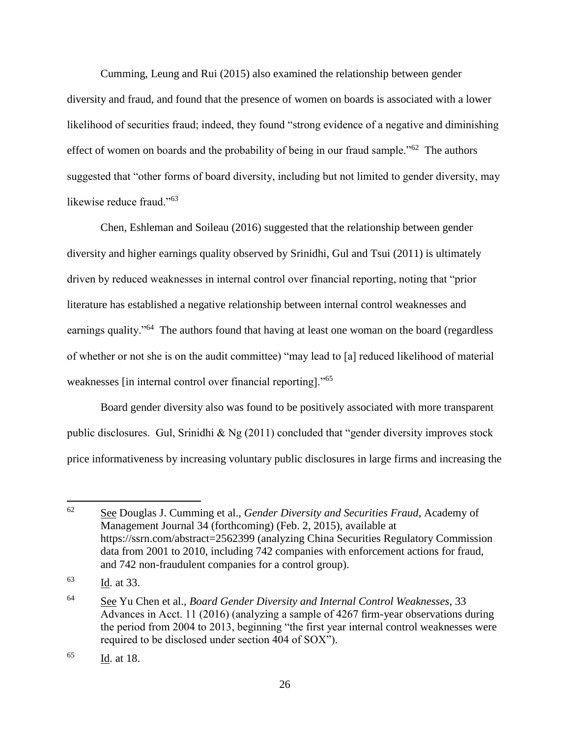Cumming, Leung and Rui (2015) also examined the relationship between gender diversity and fraud, and found that the presence of women on boards is associated with a lower likelihood of securities fraud; indeed, they found "strong evidence of a negative and diminishing effect of women on boards and the probability of being in our fraud sample."<sup>62</sup> The authors suggested that "other forms of board diversity, including but not limited to gender diversity, may likewise reduce fraud."<sup>63</sup>

Chen, Eshleman and Soileau (2016) suggested that the relationship between gender diversity and higher earnings quality observed by Srinidhi, Gul and Tsui (2011) is ultimately driven by reduced weaknesses in internal control over financial reporting, noting that "prior literature has established a negative relationship between internal control weaknesses and earnings quality."<sup>64</sup> The authors found that having at least one woman on the board (regardless of whether or not she is on the audit committee) "may lead to [a] reduced likelihood of material weaknesses [in internal control over financial reporting]."<sup>65</sup>

Board gender diversity also was found to be positively associated with more transparent public disclosures. Gul, Srinidhi & Ng (2011) concluded that "gender diversity improves stock price informativeness by increasing voluntary public disclosures in large firms and increasing the

<sup>62</sup> <sup>62</sup> See Douglas J. Cumming et al., *Gender Diversity and Securities Fraud*, Academy of Management Journal 34 (forthcoming) (Feb. 2, 2015), available at https://ssrn.com/abstract=2562399 (analyzing China Securities Regulatory Commission data from 2001 to 2010, including 742 companies with enforcement actions for fraud, and 742 non-fraudulent companies for a control group).

<sup>63</sup> Id. at 33.

<sup>64</sup> See Yu Chen et al., *Board Gender Diversity and Internal Control Weaknesses*, 33 Advances in Acct. 11 (2016) (analyzing a sample of 4267 firm-year observations during the period from 2004 to 2013, beginning "the first year internal control weaknesses were required to be disclosed under section 404 of SOX").

<sup>65</sup> Id. at 18.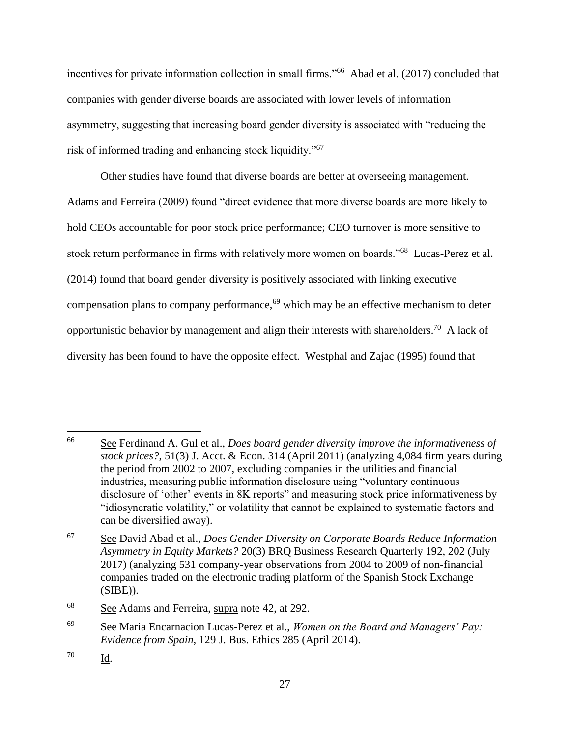incentives for private information collection in small firms."<sup>66</sup> Abad et al. (2017) concluded that companies with gender diverse boards are associated with lower levels of information asymmetry, suggesting that increasing board gender diversity is associated with "reducing the risk of informed trading and enhancing stock liquidity."<sup>67</sup>

Other studies have found that diverse boards are better at overseeing management. Adams and Ferreira (2009) found "direct evidence that more diverse boards are more likely to hold CEOs accountable for poor stock price performance; CEO turnover is more sensitive to stock return performance in firms with relatively more women on boards."<sup>68</sup> Lucas-Perez et al. (2014) found that board gender diversity is positively associated with linking executive compensation plans to company performance,<sup>69</sup> which may be an effective mechanism to deter opportunistic behavior by management and align their interests with shareholders.<sup>70</sup> A lack of diversity has been found to have the opposite effect. Westphal and Zajac (1995) found that

<sup>66</sup> <sup>66</sup> See Ferdinand A. Gul et al., *Does board gender diversity improve the informativeness of stock prices?*, 51(3) J. Acct. & Econ. 314 (April 2011) (analyzing 4,084 firm years during the period from 2002 to 2007, excluding companies in the utilities and financial industries, measuring public information disclosure using "voluntary continuous disclosure of 'other' events in 8K reports" and measuring stock price informativeness by "idiosyncratic volatility," or volatility that cannot be explained to systematic factors and can be diversified away).

<sup>67</sup> See David Abad et al., *Does Gender Diversity on Corporate Boards Reduce Information Asymmetry in Equity Markets?* 20(3) BRQ Business Research Quarterly 192, 202 (July 2017) (analyzing 531 company-year observations from 2004 to 2009 of non-financial companies traded on the electronic trading platform of the Spanish Stock Exchange (SIBE)).

<sup>68</sup> See Adams and Ferreira, supra note 42, at 292.

<sup>69</sup> See Maria Encarnacion Lucas-Perez et al., *Women on the Board and Managers' Pay: Evidence from Spain*, 129 J. Bus. Ethics 285 (April 2014).

<sup>70</sup> Id.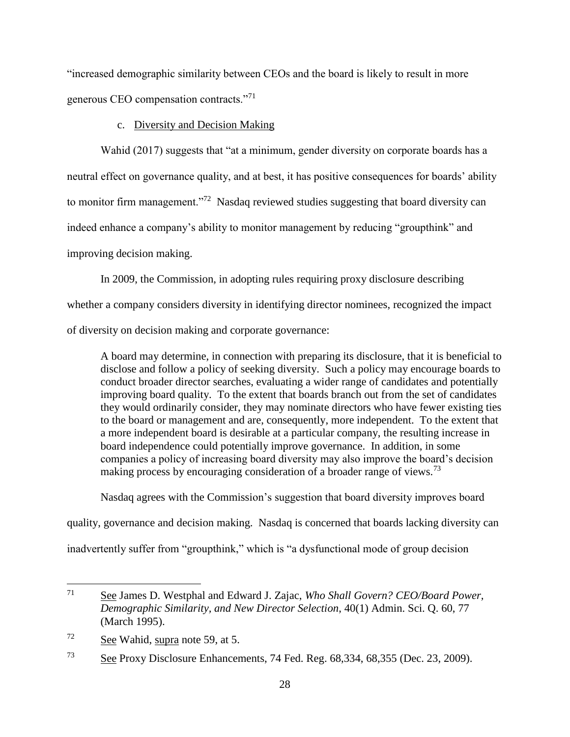"increased demographic similarity between CEOs and the board is likely to result in more generous CEO compensation contracts."<sup>71</sup>

c. Diversity and Decision Making

Wahid (2017) suggests that "at a minimum, gender diversity on corporate boards has a neutral effect on governance quality, and at best, it has positive consequences for boards' ability to monitor firm management."<sup>72</sup> Nasdaq reviewed studies suggesting that board diversity can indeed enhance a company's ability to monitor management by reducing "groupthink" and improving decision making.

In 2009, the Commission, in adopting rules requiring proxy disclosure describing whether a company considers diversity in identifying director nominees, recognized the impact of diversity on decision making and corporate governance:

A board may determine, in connection with preparing its disclosure, that it is beneficial to disclose and follow a policy of seeking diversity. Such a policy may encourage boards to conduct broader director searches, evaluating a wider range of candidates and potentially improving board quality. To the extent that boards branch out from the set of candidates they would ordinarily consider, they may nominate directors who have fewer existing ties to the board or management and are, consequently, more independent. To the extent that a more independent board is desirable at a particular company, the resulting increase in board independence could potentially improve governance. In addition, in some companies a policy of increasing board diversity may also improve the board's decision making process by encouraging consideration of a broader range of views.<sup>73</sup>

Nasdaq agrees with the Commission's suggestion that board diversity improves board

quality, governance and decision making. Nasdaq is concerned that boards lacking diversity can inadvertently suffer from "groupthink," which is "a dysfunctional mode of group decision

<sup>71</sup> See James D. Westphal and Edward J. Zajac, *Who Shall Govern? CEO/Board Power, Demographic Similarity, and New Director Selection*, 40(1) Admin. Sci. Q. 60, 77 (March 1995).

<sup>72</sup> See Wahid, supra note 59, at 5.

<sup>73</sup> See Proxy Disclosure Enhancements, 74 Fed. Reg. 68,334, 68,355 (Dec. 23, 2009).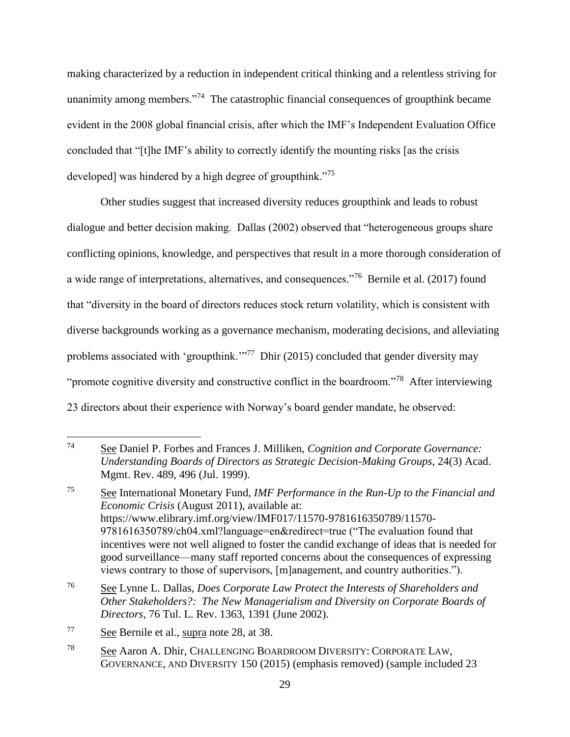making characterized by a reduction in independent critical thinking and a relentless striving for unanimity among members."<sup>74</sup> The catastrophic financial consequences of groupthink became evident in the 2008 global financial crisis, after which the IMF's Independent Evaluation Office concluded that "[t]he IMF's ability to correctly identify the mounting risks [as the crisis developed] was hindered by a high degree of groupthink."<sup>75</sup>

Other studies suggest that increased diversity reduces groupthink and leads to robust dialogue and better decision making. Dallas (2002) observed that "heterogeneous groups share conflicting opinions, knowledge, and perspectives that result in a more thorough consideration of a wide range of interpretations, alternatives, and consequences."<sup>76</sup> Bernile et al. (2017) found that "diversity in the board of directors reduces stock return volatility, which is consistent with diverse backgrounds working as a governance mechanism, moderating decisions, and alleviating problems associated with 'groupthink.'"<sup>77</sup> Dhir (2015) concluded that gender diversity may "promote cognitive diversity and constructive conflict in the boardroom."<sup>78</sup> After interviewing 23 directors about their experience with Norway's board gender mandate, he observed:

<sup>74</sup> <sup>74</sup> See Daniel P. Forbes and Frances J. Milliken, *Cognition and Corporate Governance: Understanding Boards of Directors as Strategic Decision-Making Groups*, 24(3) Acad. Mgmt. Rev. 489, 496 (Jul. 1999).

<sup>75</sup> See International Monetary Fund, *IMF Performance in the Run-Up to the Financial and Economic Crisis* (August 2011), available at: https://www.elibrary.imf.org/view/IMF017/11570-9781616350789/11570- 9781616350789/ch04.xml?language=en&redirect=true ("The evaluation found that incentives were not well aligned to foster the candid exchange of ideas that is needed for good surveillance—many staff reported concerns about the consequences of expressing views contrary to those of supervisors, [m]anagement, and country authorities.").

<sup>76</sup> See Lynne L. Dallas, *Does Corporate Law Protect the Interests of Shareholders and Other Stakeholders?: The New Managerialism and Diversity on Corporate Boards of Directors*, 76 Tul. L. Rev. 1363, 1391 (June 2002).

<sup>77</sup> See Bernile et al., supra note 28, at 38.

<sup>78</sup> See Aaron A. Dhir, CHALLENGING BOARDROOM DIVERSITY: CORPORATE LAW, GOVERNANCE, AND DIVERSITY 150 (2015) (emphasis removed) (sample included 23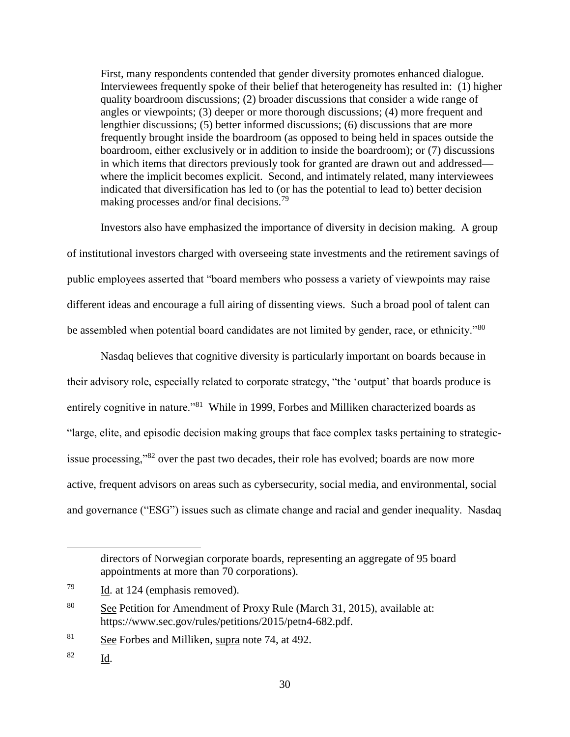First, many respondents contended that gender diversity promotes enhanced dialogue. Interviewees frequently spoke of their belief that heterogeneity has resulted in: (1) higher quality boardroom discussions; (2) broader discussions that consider a wide range of angles or viewpoints; (3) deeper or more thorough discussions; (4) more frequent and lengthier discussions; (5) better informed discussions; (6) discussions that are more frequently brought inside the boardroom (as opposed to being held in spaces outside the boardroom, either exclusively or in addition to inside the boardroom); or (7) discussions in which items that directors previously took for granted are drawn out and addressed where the implicit becomes explicit. Second, and intimately related, many interviewees indicated that diversification has led to (or has the potential to lead to) better decision making processes and/or final decisions.<sup>79</sup>

Investors also have emphasized the importance of diversity in decision making. A group of institutional investors charged with overseeing state investments and the retirement savings of public employees asserted that "board members who possess a variety of viewpoints may raise different ideas and encourage a full airing of dissenting views. Such a broad pool of talent can be assembled when potential board candidates are not limited by gender, race, or ethnicity."80

Nasdaq believes that cognitive diversity is particularly important on boards because in their advisory role, especially related to corporate strategy, "the 'output' that boards produce is entirely cognitive in nature."<sup>81</sup> While in 1999, Forbes and Milliken characterized boards as "large, elite, and episodic decision making groups that face complex tasks pertaining to strategicissue processing,"<sup>82</sup> over the past two decades, their role has evolved; boards are now more active, frequent advisors on areas such as cybersecurity, social media, and environmental, social and governance ("ESG") issues such as climate change and racial and gender inequality. Nasdaq

 $81$  See Forbes and Milliken, supra note 74, at 492.

<sup>82</sup> Id.

directors of Norwegian corporate boards, representing an aggregate of 95 board appointments at more than 70 corporations).

 $\frac{79}{10}$  Id. at 124 (emphasis removed).

<sup>&</sup>lt;sup>80</sup> See Petition for Amendment of Proxy Rule (March 31, 2015), available at: https://www.sec.gov/rules/petitions/2015/petn4-682.pdf.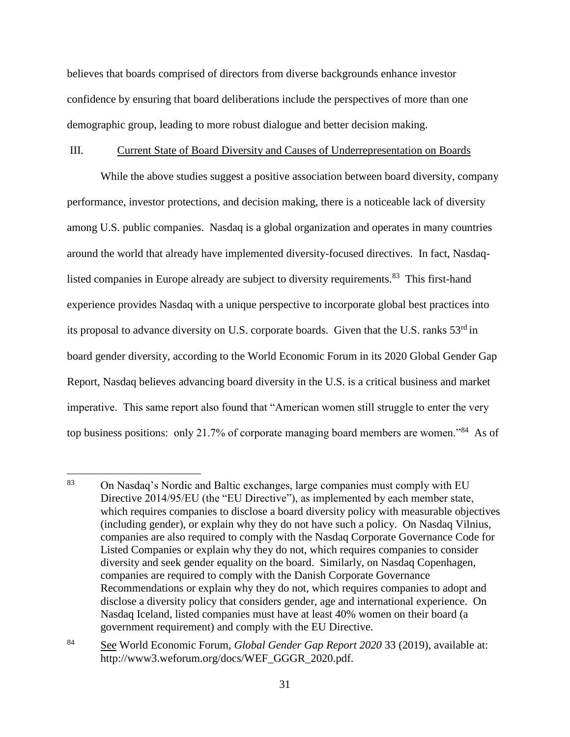believes that boards comprised of directors from diverse backgrounds enhance investor confidence by ensuring that board deliberations include the perspectives of more than one demographic group, leading to more robust dialogue and better decision making.

#### III. Current State of Board Diversity and Causes of Underrepresentation on Boards

While the above studies suggest a positive association between board diversity, company performance, investor protections, and decision making, there is a noticeable lack of diversity among U.S. public companies. Nasdaq is a global organization and operates in many countries around the world that already have implemented diversity-focused directives. In fact, Nasdaqlisted companies in Europe already are subject to diversity requirements.<sup>83</sup> This first-hand experience provides Nasdaq with a unique perspective to incorporate global best practices into its proposal to advance diversity on U.S. corporate boards. Given that the U.S. ranks 53<sup>rd</sup> in board gender diversity, according to the World Economic Forum in its 2020 Global Gender Gap Report, Nasdaq believes advancing board diversity in the U.S. is a critical business and market imperative. This same report also found that "American women still struggle to enter the very top business positions: only 21.7% of corporate managing board members are women."<sup>84</sup> As of

<sup>83</sup> <sup>83</sup> On Nasdaq's Nordic and Baltic exchanges, large companies must comply with EU Directive 2014/95/EU (the "EU Directive"), as implemented by each member state, which requires companies to disclose a board diversity policy with measurable objectives (including gender), or explain why they do not have such a policy. On Nasdaq Vilnius, companies are also required to comply with the Nasdaq Corporate Governance Code for Listed Companies or explain why they do not, which requires companies to consider diversity and seek gender equality on the board. Similarly, on Nasdaq Copenhagen, companies are required to comply with the Danish Corporate Governance Recommendations or explain why they do not, which requires companies to adopt and disclose a diversity policy that considers gender, age and international experience. On Nasdaq Iceland, listed companies must have at least 40% women on their board (a government requirement) and comply with the EU Directive.

<sup>84</sup> See World Economic Forum, *Global Gender Gap Report 2020* 33 (2019), available at: http://www3.weforum.org/docs/WEF\_GGGR\_2020.pdf.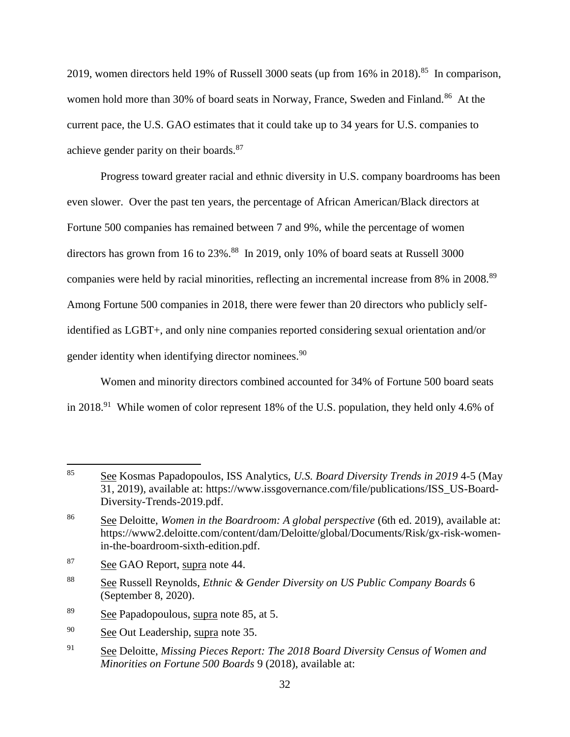2019, women directors held 19% of Russell 3000 seats (up from  $16\%$  in 2018).<sup>85</sup> In comparison, women hold more than 30% of board seats in Norway, France, Sweden and Finland.<sup>86</sup> At the current pace, the U.S. GAO estimates that it could take up to 34 years for U.S. companies to achieve gender parity on their boards.<sup>87</sup>

Progress toward greater racial and ethnic diversity in U.S. company boardrooms has been even slower. Over the past ten years, the percentage of African American/Black directors at Fortune 500 companies has remained between 7 and 9%, while the percentage of women directors has grown from 16 to 23%.<sup>88</sup> In 2019, only 10% of board seats at Russell 3000 companies were held by racial minorities, reflecting an incremental increase from 8% in 2008.<sup>89</sup> Among Fortune 500 companies in 2018, there were fewer than 20 directors who publicly selfidentified as LGBT+, and only nine companies reported considering sexual orientation and/or gender identity when identifying director nominees.<sup>90</sup>

Women and minority directors combined accounted for 34% of Fortune 500 board seats in 2018.<sup>91</sup> While women of color represent 18% of the U.S. population, they held only 4.6% of

- <sup>88</sup> See Russell Reynolds, *Ethnic & Gender Diversity on US Public Company Boards* 6 (September 8, 2020).
- <sup>89</sup> See Papadopoulous, supra note 85, at 5.
- <sup>90</sup> See Out Leadership, supra note 35.
- <sup>91</sup> See Deloitte, *Missing Pieces Report: The 2018 Board Diversity Census of Women and Minorities on Fortune 500 Boards* 9 (2018), available at:

<sup>85</sup> <sup>85</sup> See Kosmas Papadopoulos, ISS Analytics, *U.S. Board Diversity Trends in 2019* 4-5 (May 31, 2019), available at: https://www.issgovernance.com/file/publications/ISS\_US-Board-Diversity-Trends-2019.pdf.

<sup>86</sup> See Deloitte, *Women in the Boardroom: A global perspective* (6th ed. 2019), available at: https://www2.deloitte.com/content/dam/Deloitte/global/Documents/Risk/gx-risk-womenin-the-boardroom-sixth-edition.pdf.

<sup>87</sup> See GAO Report, supra note 44.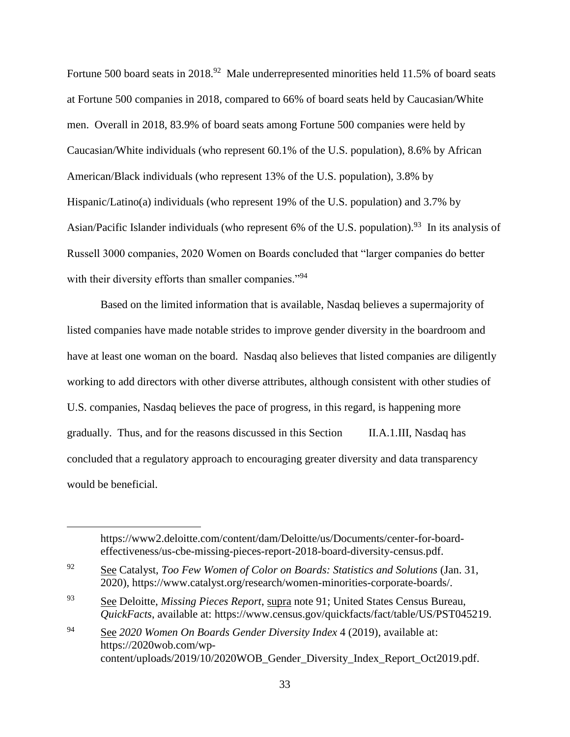Fortune 500 board seats in 2018.<sup>92</sup> Male underrepresented minorities held 11.5% of board seats at Fortune 500 companies in 2018, compared to 66% of board seats held by Caucasian/White men. Overall in 2018, 83.9% of board seats among Fortune 500 companies were held by Caucasian/White individuals (who represent 60.1% of the U.S. population), 8.6% by African American/Black individuals (who represent 13% of the U.S. population), 3.8% by Hispanic/Latino(a) individuals (who represent 19% of the U.S. population) and 3.7% by Asian/Pacific Islander individuals (who represent 6% of the U.S. population).<sup>93</sup> In its analysis of Russell 3000 companies, 2020 Women on Boards concluded that "larger companies do better with their diversity efforts than smaller companies."<sup>94</sup>

Based on the limited information that is available, Nasdaq believes a supermajority of listed companies have made notable strides to improve gender diversity in the boardroom and have at least one woman on the board. Nasdaq also believes that listed companies are diligently working to add directors with other diverse attributes, although consistent with other studies of U.S. companies, Nasdaq believes the pace of progress, in this regard, is happening more gradually. Thus, and for the reasons discussed in this Section II.A.1.III, Nasdaq has concluded that a regulatory approach to encouraging greater diversity and data transparency would be beneficial.

https://www2.deloitte.com/content/dam/Deloitte/us/Documents/center-for-boardeffectiveness/us-cbe-missing-pieces-report-2018-board-diversity-census.pdf.

<sup>92</sup> See Catalyst, *Too Few Women of Color on Boards: Statistics and Solutions* (Jan. 31, 2020), https://www.catalyst.org/research/women-minorities-corporate-boards/.

<sup>93</sup> See Deloitte, *Missing Pieces Report*, supra note 91; United States Census Bureau, *QuickFacts*, available at: https://www.census.gov/quickfacts/fact/table/US/PST045219.

<sup>94</sup> See *2020 Women On Boards Gender Diversity Index* 4 (2019), available at: https://2020wob.com/wpcontent/uploads/2019/10/2020WOB Gender Diversity Index Report Oct2019.pdf.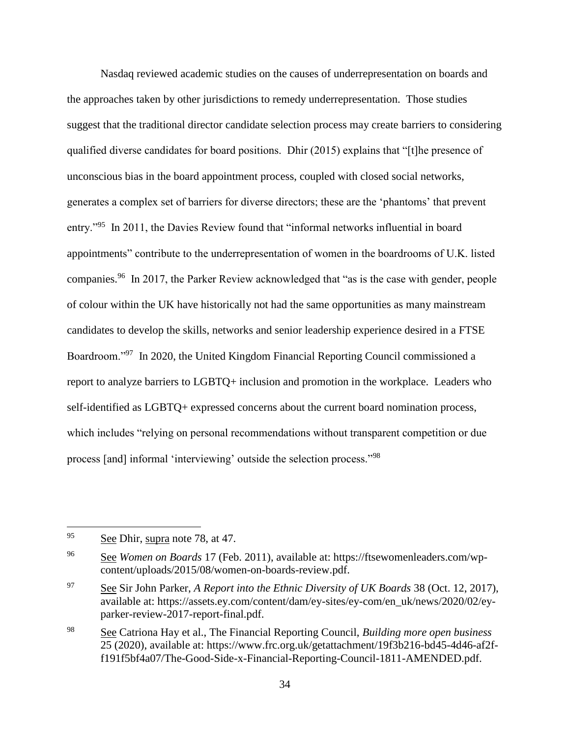Nasdaq reviewed academic studies on the causes of underrepresentation on boards and the approaches taken by other jurisdictions to remedy underrepresentation. Those studies suggest that the traditional director candidate selection process may create barriers to considering qualified diverse candidates for board positions. Dhir (2015) explains that "[t]he presence of unconscious bias in the board appointment process, coupled with closed social networks, generates a complex set of barriers for diverse directors; these are the 'phantoms' that prevent entry."<sup>95</sup> In 2011, the Davies Review found that "informal networks influential in board appointments" contribute to the underrepresentation of women in the boardrooms of U.K. listed companies.<sup>96</sup> In 2017, the Parker Review acknowledged that "as is the case with gender, people of colour within the UK have historically not had the same opportunities as many mainstream candidates to develop the skills, networks and senior leadership experience desired in a FTSE Boardroom."<sup>97</sup> In 2020, the United Kingdom Financial Reporting Council commissioned a report to analyze barriers to LGBTQ+ inclusion and promotion in the workplace. Leaders who self-identified as LGBTQ+ expressed concerns about the current board nomination process, which includes "relying on personal recommendations without transparent competition or due process [and] informal 'interviewing' outside the selection process."<sup>98</sup>

<sup>95</sup> See Dhir, supra note 78, at 47.

<sup>96</sup> See *Women on Boards* 17 (Feb. 2011), available at: https://ftsewomenleaders.com/wpcontent/uploads/2015/08/women-on-boards-review.pdf.

<sup>97</sup> See Sir John Parker, *A Report into the Ethnic Diversity of UK Boards* 38 (Oct. 12, 2017), available at: https://assets.ey.com/content/dam/ey-sites/ey-com/en\_uk/news/2020/02/eyparker-review-2017-report-final.pdf.

<sup>98</sup> See Catriona Hay et al., The Financial Reporting Council, *Building more open business* 25 (2020), available at: https://www.frc.org.uk/getattachment/19f3b216-bd45-4d46-af2ff191f5bf4a07/The-Good-Side-x-Financial-Reporting-Council-1811-AMENDED.pdf.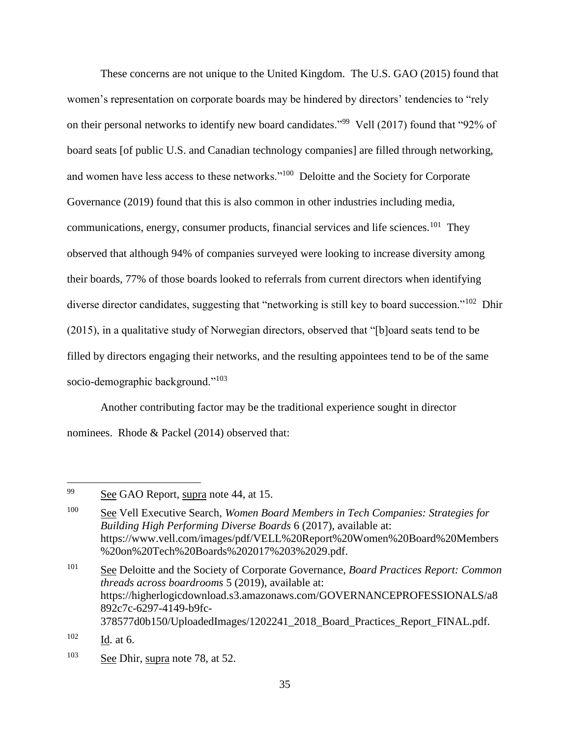These concerns are not unique to the United Kingdom. The U.S. GAO (2015) found that women's representation on corporate boards may be hindered by directors' tendencies to "rely on their personal networks to identify new board candidates."<sup>99</sup> Vell (2017) found that "92% of board seats [of public U.S. and Canadian technology companies] are filled through networking, and women have less access to these networks."<sup>100</sup> Deloitte and the Society for Corporate Governance (2019) found that this is also common in other industries including media, communications, energy, consumer products, financial services and life sciences.<sup>101</sup> They observed that although 94% of companies surveyed were looking to increase diversity among their boards, 77% of those boards looked to referrals from current directors when identifying diverse director candidates, suggesting that "networking is still key to board succession."<sup>102</sup> Dhir (2015), in a qualitative study of Norwegian directors, observed that "[b]oard seats tend to be filled by directors engaging their networks, and the resulting appointees tend to be of the same socio-demographic background."<sup>103</sup>

Another contributing factor may be the traditional experience sought in director nominees. Rhode & Packel (2014) observed that:

<sup>&</sup>lt;sup>99</sup> See GAO Report, supra note 44, at 15.

<sup>100</sup> See Vell Executive Search, *Women Board Members in Tech Companies: Strategies for Building High Performing Diverse Boards* 6 (2017), available at: https://www.vell.com/images/pdf/VELL%20Report%20Women%20Board%20Members %20on%20Tech%20Boards%202017%203%2029.pdf.

<sup>101</sup> See Deloitte and the Society of Corporate Governance, *Board Practices Report: Common threads across boardrooms* 5 (2019), available at: https://higherlogicdownload.s3.amazonaws.com/GOVERNANCEPROFESSIONALS/a8 892c7c-6297-4149-b9fc-378577d0b150/UploadedImages/1202241\_2018\_Board\_Practices\_Report\_FINAL.pdf.

 $102$  Id. at 6.

 $103$  See Dhir, supra note 78, at 52.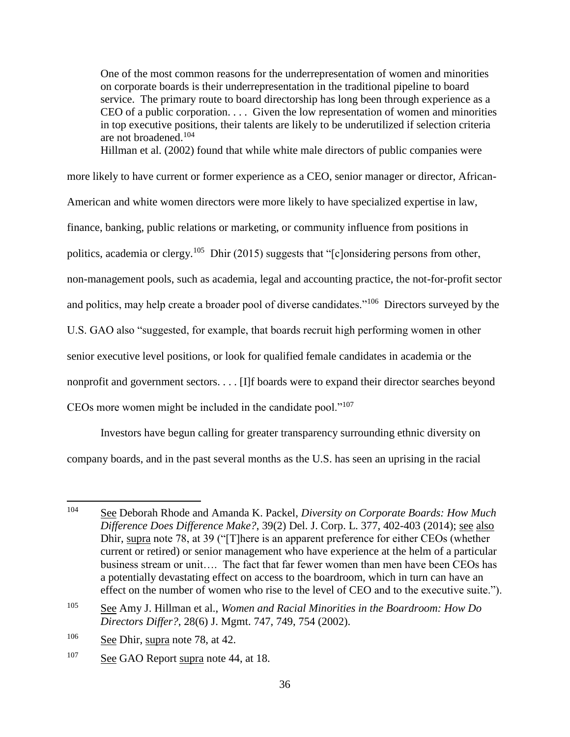One of the most common reasons for the underrepresentation of women and minorities on corporate boards is their underrepresentation in the traditional pipeline to board service. The primary route to board directorship has long been through experience as a CEO of a public corporation. . . . Given the low representation of women and minorities in top executive positions, their talents are likely to be underutilized if selection criteria are not broadened.<sup>104</sup>

Hillman et al. (2002) found that while white male directors of public companies were

more likely to have current or former experience as a CEO, senior manager or director, African-

American and white women directors were more likely to have specialized expertise in law,

finance, banking, public relations or marketing, or community influence from positions in

politics, academia or clergy.<sup>105</sup> Dhir (2015) suggests that "[c]onsidering persons from other,

non-management pools, such as academia, legal and accounting practice, the not-for-profit sector

and politics, may help create a broader pool of diverse candidates."<sup>106</sup> Directors surveyed by the

U.S. GAO also "suggested, for example, that boards recruit high performing women in other

senior executive level positions, or look for qualified female candidates in academia or the

nonprofit and government sectors. . . . [I]f boards were to expand their director searches beyond

CEOs more women might be included in the candidate pool." $107$ 

Investors have begun calling for greater transparency surrounding ethnic diversity on company boards, and in the past several months as the U.S. has seen an uprising in the racial

<sup>104</sup> <sup>104</sup> See Deborah Rhode and Amanda K. Packel, *Diversity on Corporate Boards: How Much Difference Does Difference Make?*, 39(2) Del. J. Corp. L. 377, 402-403 (2014); see also Dhir, supra note 78, at 39 ("[T]here is an apparent preference for either CEOs (whether current or retired) or senior management who have experience at the helm of a particular business stream or unit…. The fact that far fewer women than men have been CEOs has a potentially devastating effect on access to the boardroom, which in turn can have an effect on the number of women who rise to the level of CEO and to the executive suite.").

<sup>105</sup> See Amy J. Hillman et al., *Women and Racial Minorities in the Boardroom: How Do Directors Differ?*, 28(6) J. Mgmt. 747, 749, 754 (2002).

 $106$  See Dhir, supra note 78, at 42.

<sup>&</sup>lt;sup>107</sup> See GAO Report supra note 44, at 18.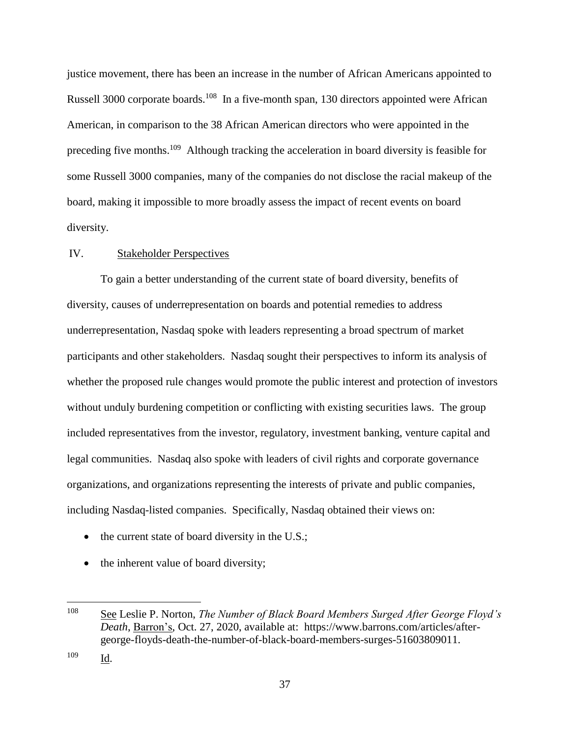justice movement, there has been an increase in the number of African Americans appointed to Russell 3000 corporate boards.<sup>108</sup> In a five-month span, 130 directors appointed were African American, in comparison to the 38 African American directors who were appointed in the preceding five months.<sup>109</sup> Although tracking the acceleration in board diversity is feasible for some Russell 3000 companies, many of the companies do not disclose the racial makeup of the board, making it impossible to more broadly assess the impact of recent events on board diversity.

## IV. Stakeholder Perspectives

To gain a better understanding of the current state of board diversity, benefits of diversity, causes of underrepresentation on boards and potential remedies to address underrepresentation, Nasdaq spoke with leaders representing a broad spectrum of market participants and other stakeholders. Nasdaq sought their perspectives to inform its analysis of whether the proposed rule changes would promote the public interest and protection of investors without unduly burdening competition or conflicting with existing securities laws. The group included representatives from the investor, regulatory, investment banking, venture capital and legal communities. Nasdaq also spoke with leaders of civil rights and corporate governance organizations, and organizations representing the interests of private and public companies, including Nasdaq-listed companies. Specifically, Nasdaq obtained their views on:

- $\bullet$  the current state of board diversity in the U.S.;
- the inherent value of board diversity;

<sup>109</sup> Id.

<sup>108</sup> See Leslie P. Norton, *The Number of Black Board Members Surged After George Floyd's Death*, Barron's, Oct. 27, 2020, available at: https://www.barrons.com/articles/aftergeorge-floyds-death-the-number-of-black-board-members-surges-51603809011.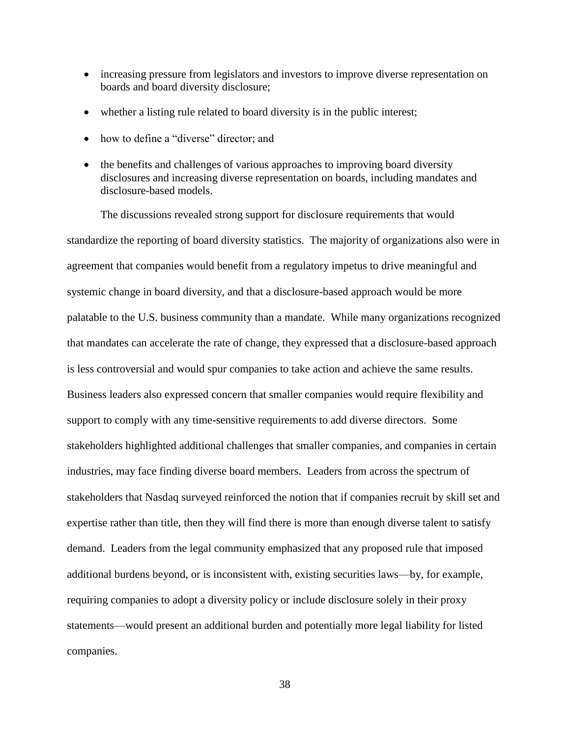- increasing pressure from legislators and investors to improve diverse representation on boards and board diversity disclosure;
- whether a listing rule related to board diversity is in the public interest;
- how to define a "diverse" director; and
- the benefits and challenges of various approaches to improving board diversity disclosures and increasing diverse representation on boards, including mandates and disclosure-based models.

The discussions revealed strong support for disclosure requirements that would standardize the reporting of board diversity statistics. The majority of organizations also were in agreement that companies would benefit from a regulatory impetus to drive meaningful and systemic change in board diversity, and that a disclosure-based approach would be more palatable to the U.S. business community than a mandate. While many organizations recognized that mandates can accelerate the rate of change, they expressed that a disclosure-based approach is less controversial and would spur companies to take action and achieve the same results. Business leaders also expressed concern that smaller companies would require flexibility and support to comply with any time-sensitive requirements to add diverse directors. Some stakeholders highlighted additional challenges that smaller companies, and companies in certain industries, may face finding diverse board members. Leaders from across the spectrum of stakeholders that Nasdaq surveyed reinforced the notion that if companies recruit by skill set and expertise rather than title, then they will find there is more than enough diverse talent to satisfy demand. Leaders from the legal community emphasized that any proposed rule that imposed additional burdens beyond, or is inconsistent with, existing securities laws—by, for example, requiring companies to adopt a diversity policy or include disclosure solely in their proxy statements—would present an additional burden and potentially more legal liability for listed companies.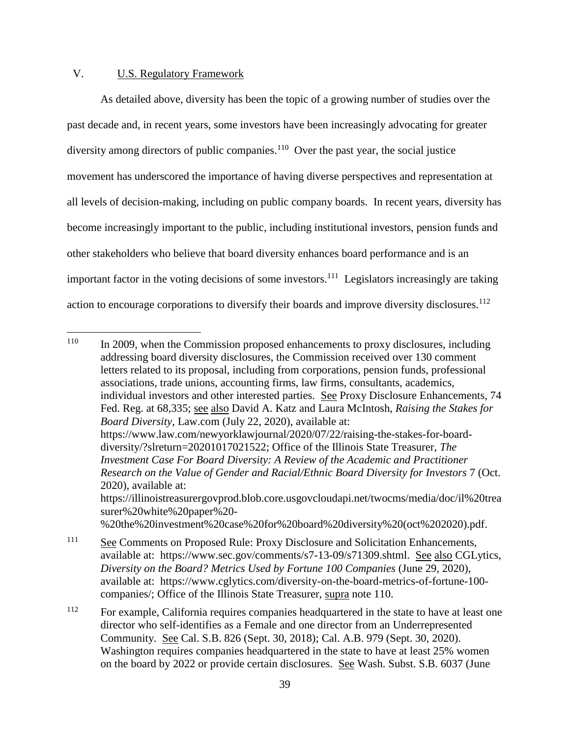## V. U.S. Regulatory Framework

 $\overline{a}$ 

As detailed above, diversity has been the topic of a growing number of studies over the past decade and, in recent years, some investors have been increasingly advocating for greater diversity among directors of public companies.<sup>110</sup> Over the past year, the social justice movement has underscored the importance of having diverse perspectives and representation at all levels of decision-making, including on public company boards. In recent years, diversity has become increasingly important to the public, including institutional investors, pension funds and other stakeholders who believe that board diversity enhances board performance and is an important factor in the voting decisions of some investors.<sup>111</sup> Legislators increasingly are taking action to encourage corporations to diversify their boards and improve diversity disclosures.<sup>112</sup>

<sup>&</sup>lt;sup>110</sup> In 2009, when the Commission proposed enhancements to proxy disclosures, including addressing board diversity disclosures, the Commission received over 130 comment letters related to its proposal, including from corporations, pension funds, professional associations, trade unions, accounting firms, law firms, consultants, academics, individual investors and other interested parties. See Proxy Disclosure Enhancements, 74 Fed. Reg. at 68,335; see also David A. Katz and Laura McIntosh, *Raising the Stakes for Board Diversity*, Law.com (July 22, 2020), available at: https://www.law.com/newyorklawjournal/2020/07/22/raising-the-stakes-for-boarddiversity/?slreturn=20201017021522; Office of the Illinois State Treasurer, *The Investment Case For Board Diversity: A Review of the Academic and Practitioner Research on the Value of Gender and Racial/Ethnic Board Diversity for Investors* 7 (Oct. 2020), available at: https://illinoistreasurergovprod.blob.core.usgovcloudapi.net/twocms/media/doc/il%20trea surer%20white%20paper%20- %20the%20investment%20case%20for%20board%20diversity%20(oct%202020).pdf. <sup>111</sup> See Comments on Proposed Rule: Proxy Disclosure and Solicitation Enhancements,

available at: https://www.sec.gov/comments/s7-13-09/s71309.shtml. See also CGLytics, *Diversity on the Board? Metrics Used by Fortune 100 Companies* (June 29, 2020), available at: https://www.cglytics.com/diversity-on-the-board-metrics-of-fortune-100 companies/; Office of the Illinois State Treasurer, supra note 110.

<sup>&</sup>lt;sup>112</sup> For example, California requires companies headquartered in the state to have at least one director who self-identifies as a Female and one director from an Underrepresented Community. See Cal. S.B. 826 (Sept. 30, 2018); Cal. A.B. 979 (Sept. 30, 2020). Washington requires companies headquartered in the state to have at least 25% women on the board by 2022 or provide certain disclosures. See Wash. Subst. S.B. 6037 (June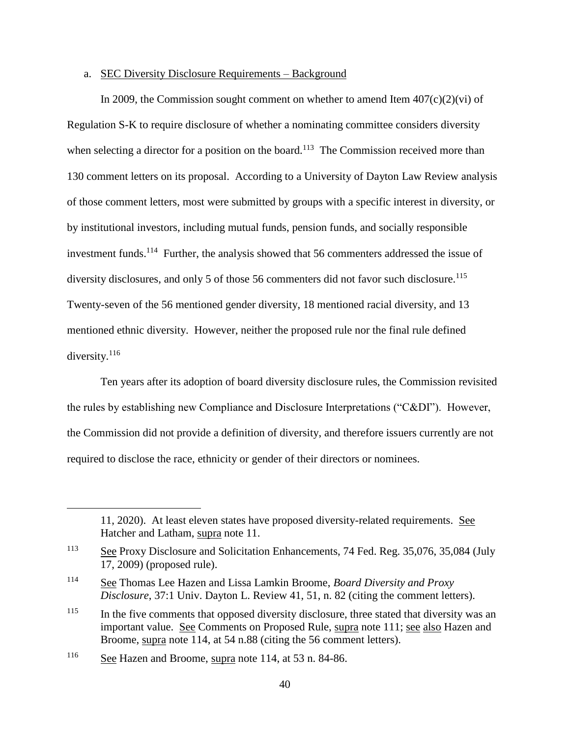### a. SEC Diversity Disclosure Requirements – Background

In 2009, the Commission sought comment on whether to amend Item  $407(c)(2)(vi)$  of Regulation S-K to require disclosure of whether a nominating committee considers diversity when selecting a director for a position on the board.<sup>113</sup> The Commission received more than 130 comment letters on its proposal. According to a University of Dayton Law Review analysis of those comment letters, most were submitted by groups with a specific interest in diversity, or by institutional investors, including mutual funds, pension funds, and socially responsible investment funds.<sup>114</sup> Further, the analysis showed that 56 commenters addressed the issue of diversity disclosures, and only 5 of those 56 commenters did not favor such disclosure.<sup>115</sup> Twenty-seven of the 56 mentioned gender diversity, 18 mentioned racial diversity, and 13 mentioned ethnic diversity. However, neither the proposed rule nor the final rule defined diversity.<sup>116</sup>

Ten years after its adoption of board diversity disclosure rules, the Commission revisited the rules by establishing new Compliance and Disclosure Interpretations ("C&DI"). However, the Commission did not provide a definition of diversity, and therefore issuers currently are not required to disclose the race, ethnicity or gender of their directors or nominees.

<sup>116</sup> See Hazen and Broome, supra note 114, at 53 n. 84-86.

<sup>11, 2020).</sup> At least eleven states have proposed diversity-related requirements. See Hatcher and Latham, supra note 11.

<sup>113</sup> See Proxy Disclosure and Solicitation Enhancements, 74 Fed. Reg. 35,076, 35,084 (July 17, 2009) (proposed rule).

<sup>114</sup> See Thomas Lee Hazen and Lissa Lamkin Broome, *Board Diversity and Proxy Disclosure*, 37:1 Univ. Dayton L. Review 41, 51, n. 82 (citing the comment letters).

<sup>&</sup>lt;sup>115</sup> In the five comments that opposed diversity disclosure, three stated that diversity was an important value. See Comments on Proposed Rule, supra note 111; see also Hazen and Broome, supra note 114, at 54 n.88 (citing the 56 comment letters).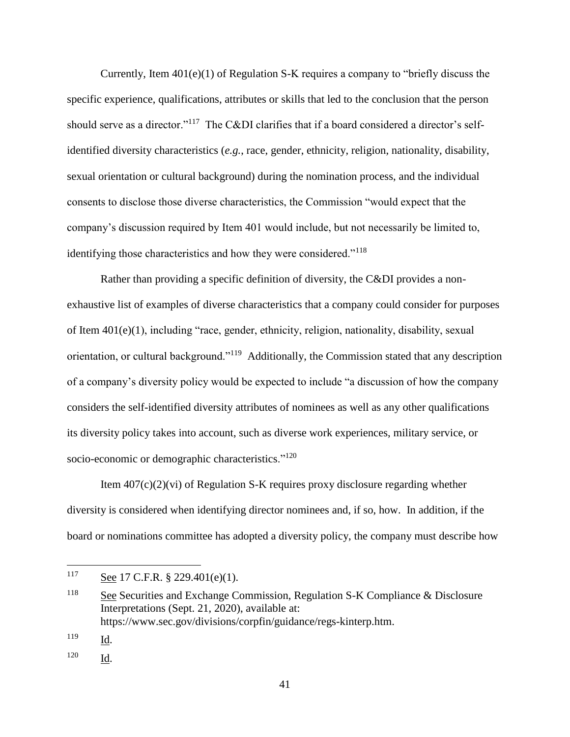Currently, Item  $401(e)(1)$  of Regulation S-K requires a company to "briefly discuss the specific experience, qualifications, attributes or skills that led to the conclusion that the person should serve as a director."<sup>117</sup> The C&DI clarifies that if a board considered a director's selfidentified diversity characteristics (*e.g.*, race, gender, ethnicity, religion, nationality, disability, sexual orientation or cultural background) during the nomination process, and the individual consents to disclose those diverse characteristics, the Commission "would expect that the company's discussion required by Item 401 would include, but not necessarily be limited to, identifying those characteristics and how they were considered."<sup>118</sup>

Rather than providing a specific definition of diversity, the C&DI provides a nonexhaustive list of examples of diverse characteristics that a company could consider for purposes of Item 401(e)(1), including "race, gender, ethnicity, religion, nationality, disability, sexual orientation, or cultural background."<sup>119</sup> Additionally, the Commission stated that any description of a company's diversity policy would be expected to include "a discussion of how the company considers the self-identified diversity attributes of nominees as well as any other qualifications its diversity policy takes into account, such as diverse work experiences, military service, or socio-economic or demographic characteristics."<sup>120</sup>

Item  $407(c)(2)(vi)$  of Regulation S-K requires proxy disclosure regarding whether diversity is considered when identifying director nominees and, if so, how. In addition, if the board or nominations committee has adopted a diversity policy, the company must describe how

<sup>117</sup> See 17 C.F.R. § 229.401(e)(1).

<sup>118</sup> See Securities and Exchange Commission, Regulation S-K Compliance & Disclosure Interpretations (Sept. 21, 2020), available at: https://www.sec.gov/divisions/corpfin/guidance/regs-kinterp.htm.

 $\frac{119}{\underline{Id}}$ .

<sup>120</sup> Id.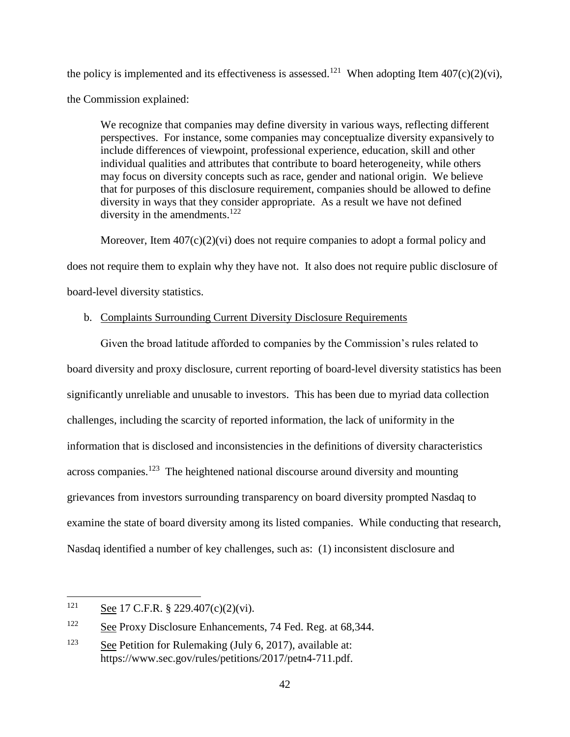the policy is implemented and its effectiveness is assessed.<sup>121</sup> When adopting Item  $407(c)(2)(vi)$ , the Commission explained:

We recognize that companies may define diversity in various ways, reflecting different perspectives. For instance, some companies may conceptualize diversity expansively to include differences of viewpoint, professional experience, education, skill and other individual qualities and attributes that contribute to board heterogeneity, while others may focus on diversity concepts such as race, gender and national origin. We believe that for purposes of this disclosure requirement, companies should be allowed to define diversity in ways that they consider appropriate. As a result we have not defined diversity in the amendments.<sup>122</sup>

Moreover, Item 407(c)(2)(vi) does not require companies to adopt a formal policy and does not require them to explain why they have not. It also does not require public disclosure of board-level diversity statistics.

# b. Complaints Surrounding Current Diversity Disclosure Requirements

Given the broad latitude afforded to companies by the Commission's rules related to board diversity and proxy disclosure, current reporting of board-level diversity statistics has been significantly unreliable and unusable to investors. This has been due to myriad data collection challenges, including the scarcity of reported information, the lack of uniformity in the information that is disclosed and inconsistencies in the definitions of diversity characteristics across companies.<sup>123</sup> The heightened national discourse around diversity and mounting grievances from investors surrounding transparency on board diversity prompted Nasdaq to examine the state of board diversity among its listed companies. While conducting that research, Nasdaq identified a number of key challenges, such as: (1) inconsistent disclosure and

<sup>121</sup> See 17 C.F.R. § 229.407(c)(2)(vi).

<sup>122</sup> See Proxy Disclosure Enhancements, 74 Fed. Reg. at 68,344.

<sup>&</sup>lt;sup>123</sup> See Petition for Rulemaking (July 6, 2017), available at: https://www.sec.gov/rules/petitions/2017/petn4-711.pdf.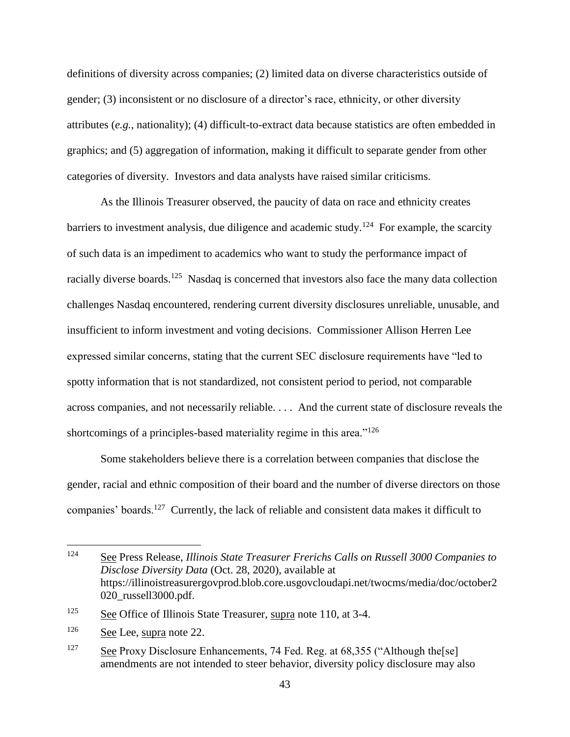definitions of diversity across companies; (2) limited data on diverse characteristics outside of gender; (3) inconsistent or no disclosure of a director's race, ethnicity, or other diversity attributes (*e.g.*, nationality); (4) difficult-to-extract data because statistics are often embedded in graphics; and (5) aggregation of information, making it difficult to separate gender from other categories of diversity. Investors and data analysts have raised similar criticisms.

As the Illinois Treasurer observed, the paucity of data on race and ethnicity creates barriers to investment analysis, due diligence and academic study.<sup>124</sup> For example, the scarcity of such data is an impediment to academics who want to study the performance impact of racially diverse boards.<sup>125</sup> Nasdaq is concerned that investors also face the many data collection challenges Nasdaq encountered, rendering current diversity disclosures unreliable, unusable, and insufficient to inform investment and voting decisions. Commissioner Allison Herren Lee expressed similar concerns, stating that the current SEC disclosure requirements have "led to spotty information that is not standardized, not consistent period to period, not comparable across companies, and not necessarily reliable. . . . And the current state of disclosure reveals the shortcomings of a principles-based materiality regime in this area."<sup>126</sup>

Some stakeholders believe there is a correlation between companies that disclose the gender, racial and ethnic composition of their board and the number of diverse directors on those companies' boards.<sup>127</sup> Currently, the lack of reliable and consistent data makes it difficult to

<sup>124</sup> <sup>124</sup> See Press Release, *Illinois State Treasurer Frerichs Calls on Russell 3000 Companies to Disclose Diversity Data* (Oct. 28, 2020), available at https://illinoistreasurergovprod.blob.core.usgovcloudapi.net/twocms/media/doc/october2 020\_russell3000.pdf.

<sup>&</sup>lt;sup>125</sup> See Office of Illinois State Treasurer, supra note 110, at 3-4.

<sup>126</sup> See Lee, supra note 22.

<sup>127</sup> See Proxy Disclosure Enhancements, 74 Fed. Reg. at 68,355 ("Although the [se] amendments are not intended to steer behavior, diversity policy disclosure may also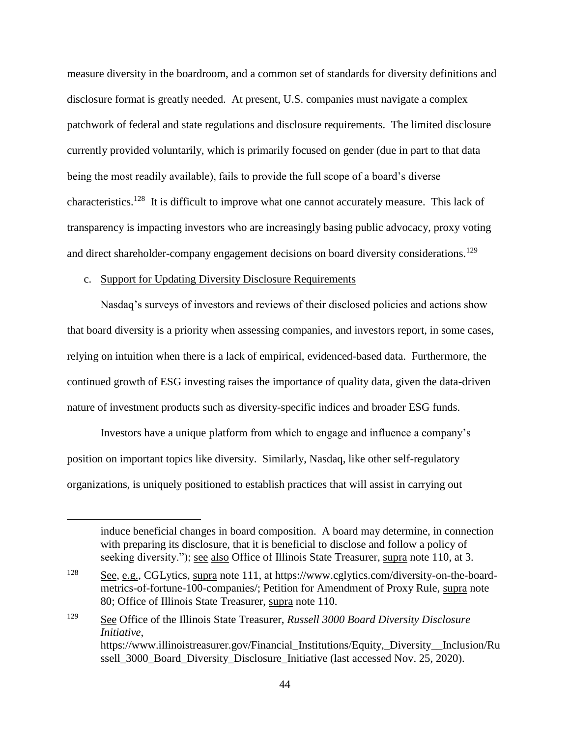measure diversity in the boardroom, and a common set of standards for diversity definitions and disclosure format is greatly needed. At present, U.S. companies must navigate a complex patchwork of federal and state regulations and disclosure requirements. The limited disclosure currently provided voluntarily, which is primarily focused on gender (due in part to that data being the most readily available), fails to provide the full scope of a board's diverse characteristics.<sup>128</sup> It is difficult to improve what one cannot accurately measure. This lack of transparency is impacting investors who are increasingly basing public advocacy, proxy voting and direct shareholder-company engagement decisions on board diversity considerations.<sup>129</sup>

## c. Support for Updating Diversity Disclosure Requirements

 $\overline{a}$ 

Nasdaq's surveys of investors and reviews of their disclosed policies and actions show that board diversity is a priority when assessing companies, and investors report, in some cases, relying on intuition when there is a lack of empirical, evidenced-based data. Furthermore, the continued growth of ESG investing raises the importance of quality data, given the data-driven nature of investment products such as diversity-specific indices and broader ESG funds.

Investors have a unique platform from which to engage and influence a company's position on important topics like diversity. Similarly, Nasdaq, like other self-regulatory organizations, is uniquely positioned to establish practices that will assist in carrying out

induce beneficial changes in board composition. A board may determine, in connection with preparing its disclosure, that it is beneficial to disclose and follow a policy of seeking diversity."); see also Office of Illinois State Treasurer, supra note 110, at 3.

 $\frac{128}{2}$  See, e.g., CGLytics, supra note 111, at https://www.cglytics.com/diversity-on-the-boardmetrics-of-fortune-100-companies/; Petition for Amendment of Proxy Rule, supra note 80; Office of Illinois State Treasurer, supra note 110.

<sup>129</sup> See Office of the Illinois State Treasurer, *Russell 3000 Board Diversity Disclosure Initiative*, https://www.illinoistreasurer.gov/Financial\_Institutions/Equity,\_Diversity\_Inclusion/Ru ssell 3000 Board Diversity Disclosure Initiative (last accessed Nov. 25, 2020).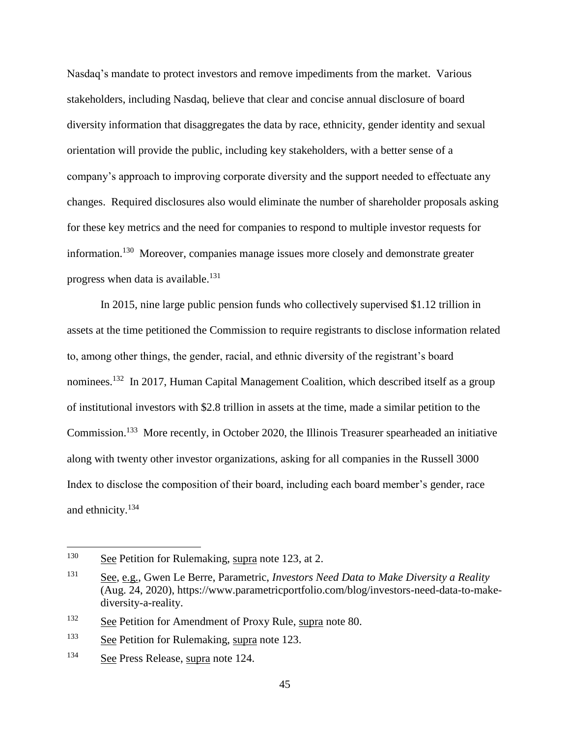Nasdaq's mandate to protect investors and remove impediments from the market. Various stakeholders, including Nasdaq, believe that clear and concise annual disclosure of board diversity information that disaggregates the data by race, ethnicity, gender identity and sexual orientation will provide the public, including key stakeholders, with a better sense of a company's approach to improving corporate diversity and the support needed to effectuate any changes. Required disclosures also would eliminate the number of shareholder proposals asking for these key metrics and the need for companies to respond to multiple investor requests for information.<sup>130</sup> Moreover, companies manage issues more closely and demonstrate greater progress when data is available.<sup>131</sup>

In 2015, nine large public pension funds who collectively supervised \$1.12 trillion in assets at the time petitioned the Commission to require registrants to disclose information related to, among other things, the gender, racial, and ethnic diversity of the registrant's board nominees.<sup>132</sup> In 2017, Human Capital Management Coalition, which described itself as a group of institutional investors with \$2.8 trillion in assets at the time, made a similar petition to the Commission.<sup>133</sup> More recently, in October 2020, the Illinois Treasurer spearheaded an initiative along with twenty other investor organizations, asking for all companies in the Russell 3000 Index to disclose the composition of their board, including each board member's gender, race and ethnicity. $134$ 

<sup>&</sup>lt;sup>130</sup> See Petition for Rulemaking, supra note 123, at 2.

<sup>131</sup> See, e.g., Gwen Le Berre, Parametric, *Investors Need Data to Make Diversity a Reality* (Aug. 24, 2020), https://www.parametricportfolio.com/blog/investors-need-data-to-makediversity-a-reality.

<sup>132</sup> See Petition for Amendment of Proxy Rule, supra note 80.

<sup>&</sup>lt;sup>133</sup> See Petition for Rulemaking, supra note 123.

<sup>134</sup> See Press Release, supra note 124.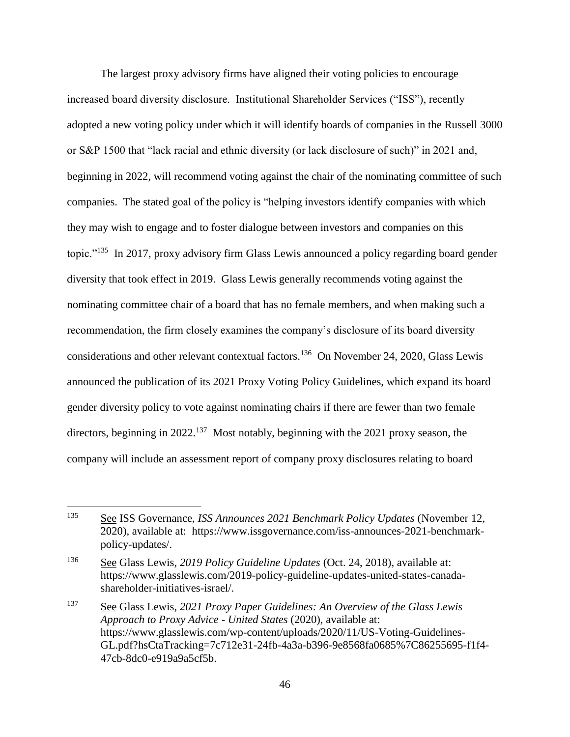The largest proxy advisory firms have aligned their voting policies to encourage increased board diversity disclosure. Institutional Shareholder Services ("ISS"), recently adopted a new voting policy under which it will identify boards of companies in the Russell 3000 or S&P 1500 that "lack racial and ethnic diversity (or lack disclosure of such)" in 2021 and, beginning in 2022, will recommend voting against the chair of the nominating committee of such companies. The stated goal of the policy is "helping investors identify companies with which they may wish to engage and to foster dialogue between investors and companies on this topic."<sup>135</sup> In 2017, proxy advisory firm Glass Lewis announced a policy regarding board gender diversity that took effect in 2019. Glass Lewis generally recommends voting against the nominating committee chair of a board that has no female members, and when making such a recommendation, the firm closely examines the company's disclosure of its board diversity considerations and other relevant contextual factors.<sup>136</sup> On November 24, 2020, Glass Lewis announced the publication of its 2021 Proxy Voting Policy Guidelines, which expand its board gender diversity policy to vote against nominating chairs if there are fewer than two female directors, beginning in 2022.<sup>137</sup> Most notably, beginning with the 2021 proxy season, the company will include an assessment report of company proxy disclosures relating to board

<sup>135</sup> See ISS Governance, *ISS Announces 2021 Benchmark Policy Updates* (November 12, 2020), available at: https://www.issgovernance.com/iss-announces-2021-benchmarkpolicy-updates/.

<sup>136</sup> See Glass Lewis, *2019 Policy Guideline Updates* (Oct. 24, 2018), available at: https://www.glasslewis.com/2019-policy-guideline-updates-united-states-canadashareholder-initiatives-israel/.

<sup>137</sup> See Glass Lewis, *2021 Proxy Paper Guidelines: An Overview of the Glass Lewis Approach to Proxy Advice - United States* (2020), available at: https://www.glasslewis.com/wp-content/uploads/2020/11/US-Voting-Guidelines-GL.pdf?hsCtaTracking=7c712e31-24fb-4a3a-b396-9e8568fa0685%7C86255695-f1f4- 47cb-8dc0-e919a9a5cf5b.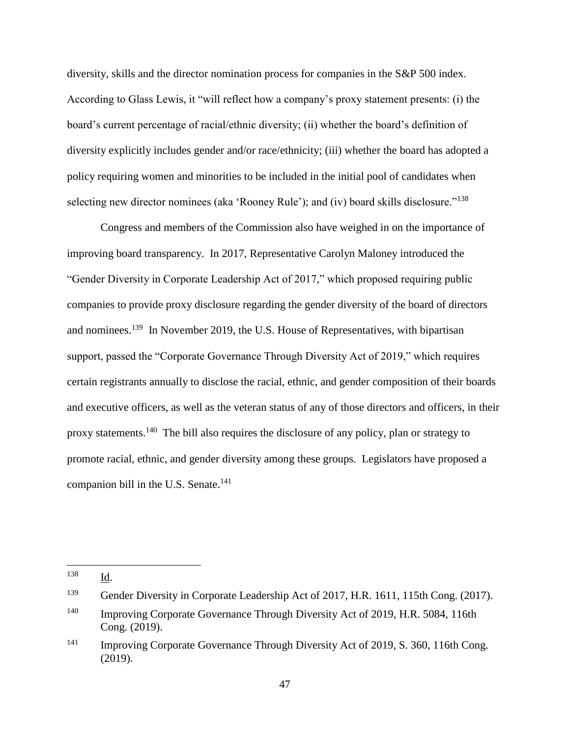diversity, skills and the director nomination process for companies in the S&P 500 index. According to Glass Lewis, it "will reflect how a company's proxy statement presents: (i) the board's current percentage of racial/ethnic diversity; (ii) whether the board's definition of diversity explicitly includes gender and/or race/ethnicity; (iii) whether the board has adopted a policy requiring women and minorities to be included in the initial pool of candidates when selecting new director nominees (aka 'Rooney Rule'); and (iv) board skills disclosure."<sup>138</sup>

Congress and members of the Commission also have weighed in on the importance of improving board transparency. In 2017, Representative Carolyn Maloney introduced the "Gender Diversity in Corporate Leadership Act of 2017," which proposed requiring public companies to provide proxy disclosure regarding the gender diversity of the board of directors and nominees.<sup>139</sup> In November 2019, the U.S. House of Representatives, with bipartisan support, passed the "Corporate Governance Through Diversity Act of 2019," which requires certain registrants annually to disclose the racial, ethnic, and gender composition of their boards and executive officers, as well as the veteran status of any of those directors and officers, in their proxy statements.<sup>140</sup> The bill also requires the disclosure of any policy, plan or strategy to promote racial, ethnic, and gender diversity among these groups. Legislators have proposed a companion bill in the U.S. Senate. $141$ 

<sup>138</sup> Id.

<sup>139</sup> Gender Diversity in Corporate Leadership Act of 2017, H.R. 1611, 115th Cong. (2017).

<sup>&</sup>lt;sup>140</sup> Improving Corporate Governance Through Diversity Act of 2019, H.R. 5084, 116th Cong. (2019).

<sup>&</sup>lt;sup>141</sup> Improving Corporate Governance Through Diversity Act of 2019, S. 360, 116th Cong. (2019).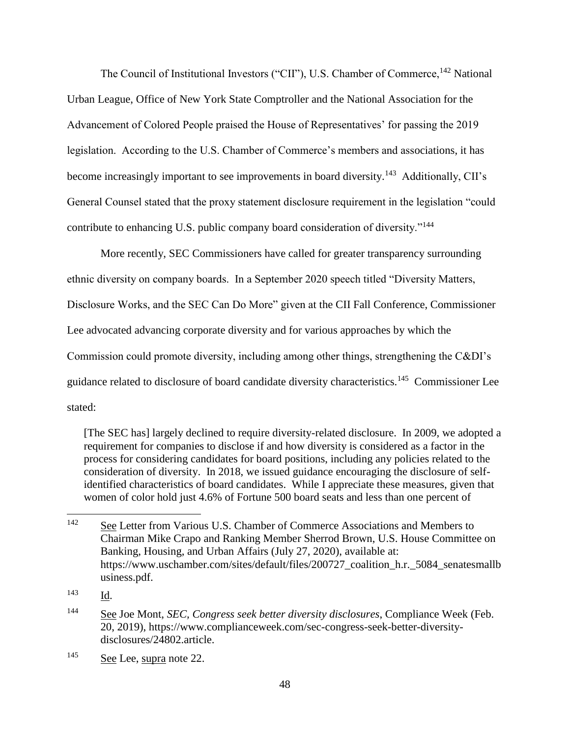The Council of Institutional Investors ("CII"), U.S. Chamber of Commerce,<sup>142</sup> National Urban League, Office of New York State Comptroller and the National Association for the Advancement of Colored People praised the House of Representatives' for passing the 2019 legislation. According to the U.S. Chamber of Commerce's members and associations, it has become increasingly important to see improvements in board diversity.<sup>143</sup> Additionally, CII's General Counsel stated that the proxy statement disclosure requirement in the legislation "could contribute to enhancing U.S. public company board consideration of diversity."<sup>144</sup>

More recently, SEC Commissioners have called for greater transparency surrounding ethnic diversity on company boards. In a September 2020 speech titled "Diversity Matters, Disclosure Works, and the SEC Can Do More" given at the CII Fall Conference, Commissioner Lee advocated advancing corporate diversity and for various approaches by which the Commission could promote diversity, including among other things, strengthening the C&DI's guidance related to disclosure of board candidate diversity characteristics.<sup>145</sup> Commissioner Lee stated:

[The SEC has] largely declined to require diversity-related disclosure. In 2009, we adopted a requirement for companies to disclose if and how diversity is considered as a factor in the process for considering candidates for board positions, including any policies related to the consideration of diversity. In 2018, we issued guidance encouraging the disclosure of selfidentified characteristics of board candidates. While I appreciate these measures, given that women of color hold just 4.6% of Fortune 500 board seats and less than one percent of

<sup>143</sup> Id.

<sup>&</sup>lt;sup>142</sup> See Letter from Various U.S. Chamber of Commerce Associations and Members to Chairman Mike Crapo and Ranking Member Sherrod Brown, U.S. House Committee on Banking, Housing, and Urban Affairs (July 27, 2020), available at: https://www.uschamber.com/sites/default/files/200727 coalition h.r. 5084 senatesmallb usiness.pdf.

<sup>144</sup> See Joe Mont, *SEC, Congress seek better diversity disclosures*, Compliance Week (Feb. 20, 2019), https://www.complianceweek.com/sec-congress-seek-better-diversitydisclosures/24802.article.

<sup>145</sup> See Lee, supra note 22.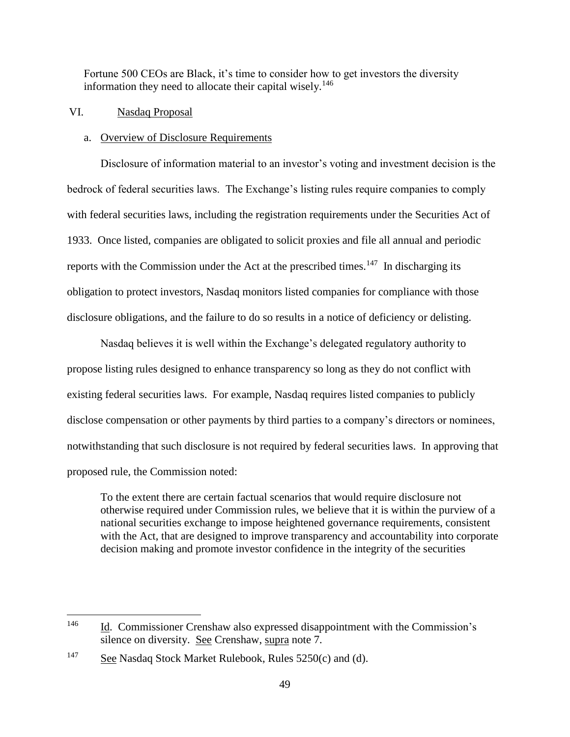Fortune 500 CEOs are Black, it's time to consider how to get investors the diversity information they need to allocate their capital wisely.<sup>146</sup>

## VI. Nasdaq Proposal

### a. Overview of Disclosure Requirements

Disclosure of information material to an investor's voting and investment decision is the bedrock of federal securities laws. The Exchange's listing rules require companies to comply with federal securities laws, including the registration requirements under the Securities Act of 1933. Once listed, companies are obligated to solicit proxies and file all annual and periodic reports with the Commission under the Act at the prescribed times.<sup>147</sup> In discharging its obligation to protect investors, Nasdaq monitors listed companies for compliance with those disclosure obligations, and the failure to do so results in a notice of deficiency or delisting.

Nasdaq believes it is well within the Exchange's delegated regulatory authority to propose listing rules designed to enhance transparency so long as they do not conflict with existing federal securities laws. For example, Nasdaq requires listed companies to publicly disclose compensation or other payments by third parties to a company's directors or nominees, notwithstanding that such disclosure is not required by federal securities laws. In approving that proposed rule, the Commission noted:

To the extent there are certain factual scenarios that would require disclosure not otherwise required under Commission rules, we believe that it is within the purview of a national securities exchange to impose heightened governance requirements, consistent with the Act, that are designed to improve transparency and accountability into corporate decision making and promote investor confidence in the integrity of the securities

<sup>&</sup>lt;sup>146</sup> Id. Commissioner Crenshaw also expressed disappointment with the Commission's silence on diversity. See Crenshaw, supra note 7.

<sup>&</sup>lt;sup>147</sup> See Nasdaq Stock Market Rulebook, Rules  $5250(c)$  and (d).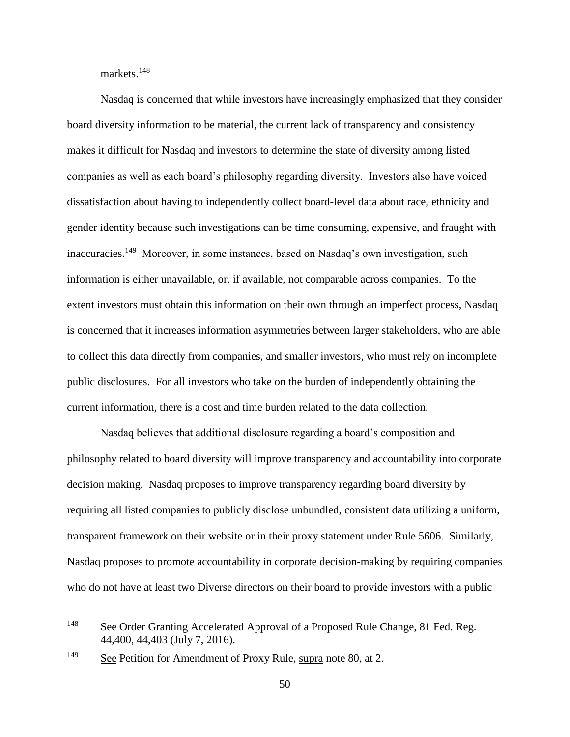markets.<sup>148</sup>

Nasdaq is concerned that while investors have increasingly emphasized that they consider board diversity information to be material, the current lack of transparency and consistency makes it difficult for Nasdaq and investors to determine the state of diversity among listed companies as well as each board's philosophy regarding diversity. Investors also have voiced dissatisfaction about having to independently collect board-level data about race, ethnicity and gender identity because such investigations can be time consuming, expensive, and fraught with inaccuracies.<sup>149</sup> Moreover, in some instances, based on Nasdaq's own investigation, such information is either unavailable, or, if available, not comparable across companies. To the extent investors must obtain this information on their own through an imperfect process, Nasdaq is concerned that it increases information asymmetries between larger stakeholders, who are able to collect this data directly from companies, and smaller investors, who must rely on incomplete public disclosures. For all investors who take on the burden of independently obtaining the current information, there is a cost and time burden related to the data collection.

Nasdaq believes that additional disclosure regarding a board's composition and philosophy related to board diversity will improve transparency and accountability into corporate decision making. Nasdaq proposes to improve transparency regarding board diversity by requiring all listed companies to publicly disclose unbundled, consistent data utilizing a uniform, transparent framework on their website or in their proxy statement under Rule 5606. Similarly, Nasdaq proposes to promote accountability in corporate decision-making by requiring companies who do not have at least two Diverse directors on their board to provide investors with a public

<sup>148</sup> See Order Granting Accelerated Approval of a Proposed Rule Change, 81 Fed. Reg. 44,400, 44,403 (July 7, 2016).

<sup>&</sup>lt;sup>149</sup> See Petition for Amendment of Proxy Rule, supra note 80, at 2.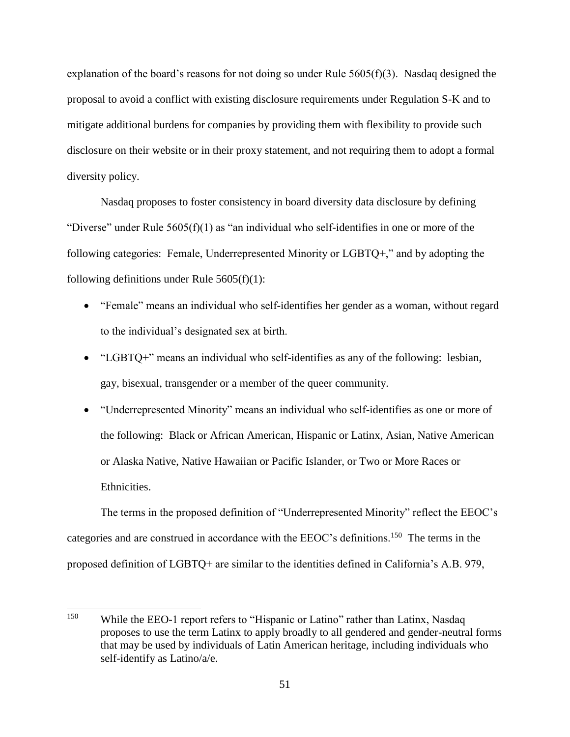explanation of the board's reasons for not doing so under Rule  $5605(f)(3)$ . Nasdaq designed the proposal to avoid a conflict with existing disclosure requirements under Regulation S-K and to mitigate additional burdens for companies by providing them with flexibility to provide such disclosure on their website or in their proxy statement, and not requiring them to adopt a formal diversity policy.

Nasdaq proposes to foster consistency in board diversity data disclosure by defining "Diverse" under Rule  $5605(f)(1)$  as "an individual who self-identifies in one or more of the following categories: Female, Underrepresented Minority or LGBTQ+," and by adopting the following definitions under Rule  $5605(f)(1)$ :

- "Female" means an individual who self-identifies her gender as a woman, without regard to the individual's designated sex at birth.
- "LGBTQ+" means an individual who self-identifies as any of the following: lesbian, gay, bisexual, transgender or a member of the queer community.
- "Underrepresented Minority" means an individual who self-identifies as one or more of the following: Black or African American, Hispanic or Latinx, Asian, Native American or Alaska Native, Native Hawaiian or Pacific Islander, or Two or More Races or Ethnicities.

The terms in the proposed definition of "Underrepresented Minority" reflect the EEOC's categories and are construed in accordance with the EEOC's definitions.<sup>150</sup> The terms in the proposed definition of LGBTQ+ are similar to the identities defined in California's A.B. 979,

<sup>&</sup>lt;sup>150</sup> While the EEO-1 report refers to "Hispanic or Latino" rather than Latinx, Nasdaq proposes to use the term Latinx to apply broadly to all gendered and gender-neutral forms that may be used by individuals of Latin American heritage, including individuals who self-identify as Latino/a/e.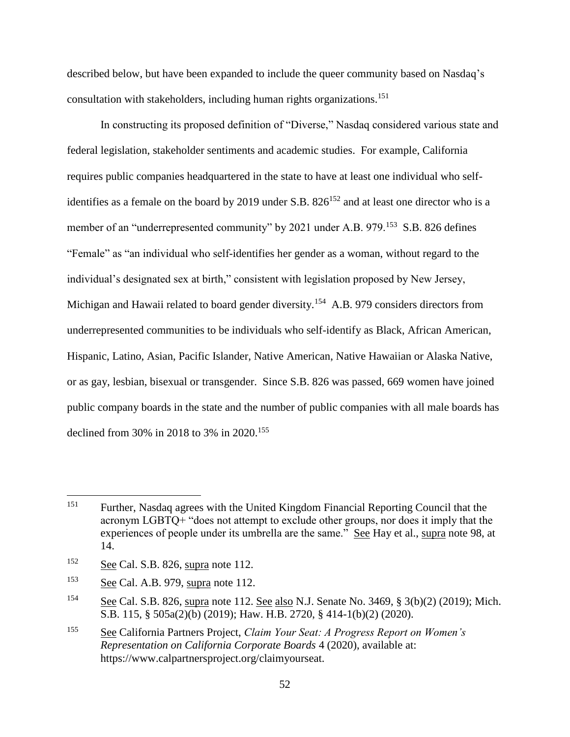described below, but have been expanded to include the queer community based on Nasdaq's consultation with stakeholders, including human rights organizations.<sup>151</sup>

In constructing its proposed definition of "Diverse," Nasdaq considered various state and federal legislation, stakeholder sentiments and academic studies. For example, California requires public companies headquartered in the state to have at least one individual who selfidentifies as a female on the board by 2019 under S.B.  $826^{152}$  and at least one director who is a member of an "underrepresented community" by 2021 under A.B. 979.<sup>153</sup> S.B. 826 defines "Female" as "an individual who self-identifies her gender as a woman, without regard to the individual's designated sex at birth," consistent with legislation proposed by New Jersey, Michigan and Hawaii related to board gender diversity.<sup>154</sup> A.B. 979 considers directors from underrepresented communities to be individuals who self-identify as Black, African American, Hispanic, Latino, Asian, Pacific Islander, Native American, Native Hawaiian or Alaska Native, or as gay, lesbian, bisexual or transgender. Since S.B. 826 was passed, 669 women have joined public company boards in the state and the number of public companies with all male boards has declined from 30% in 2018 to 3% in 2020.<sup>155</sup>

<sup>151</sup> Further, Nasdaq agrees with the United Kingdom Financial Reporting Council that the acronym LGBTQ+ "does not attempt to exclude other groups, nor does it imply that the experiences of people under its umbrella are the same." See Hay et al., supra note 98, at 14.

<sup>152</sup> See Cal. S.B. 826, supra note 112.

<sup>153</sup> See Cal. A.B. 979, supra note 112.

<sup>&</sup>lt;sup>154</sup> See Cal. S.B. 826, supra note 112. See also N.J. Senate No. 3469, § 3(b)(2) (2019); Mich. S.B. 115, § 505a(2)(b) (2019); Haw. H.B. 2720, § 414-1(b)(2) (2020).

<sup>155</sup> See California Partners Project, *Claim Your Seat: A Progress Report on Women's Representation on California Corporate Boards* 4 (2020), available at: https://www.calpartnersproject.org/claimyourseat.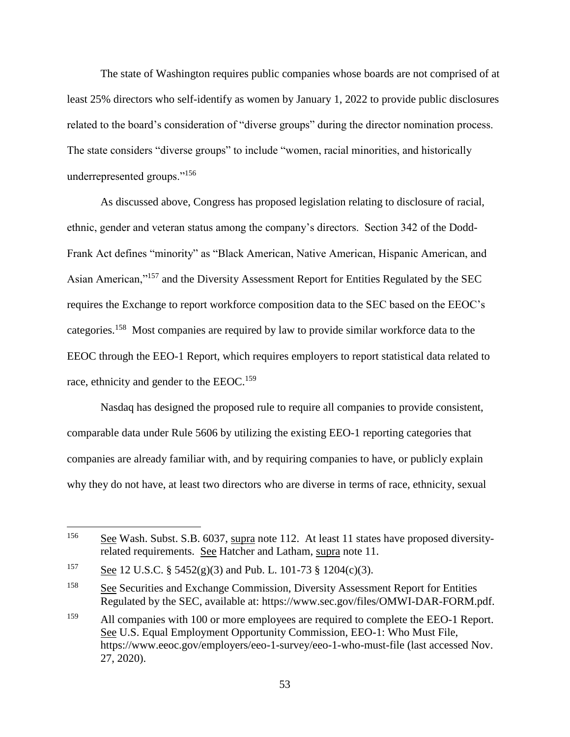The state of Washington requires public companies whose boards are not comprised of at least 25% directors who self-identify as women by January 1, 2022 to provide public disclosures related to the board's consideration of "diverse groups" during the director nomination process. The state considers "diverse groups" to include "women, racial minorities, and historically underrepresented groups."<sup>156</sup>

As discussed above, Congress has proposed legislation relating to disclosure of racial, ethnic, gender and veteran status among the company's directors. Section 342 of the Dodd-Frank Act defines "minority" as "Black American, Native American, Hispanic American, and Asian American,"<sup>157</sup> and the Diversity Assessment Report for Entities Regulated by the SEC requires the Exchange to report workforce composition data to the SEC based on the EEOC's categories.<sup>158</sup> Most companies are required by law to provide similar workforce data to the EEOC through the EEO-1 Report, which requires employers to report statistical data related to race, ethnicity and gender to the EEOC.<sup>159</sup>

Nasdaq has designed the proposed rule to require all companies to provide consistent, comparable data under Rule 5606 by utilizing the existing EEO-1 reporting categories that companies are already familiar with, and by requiring companies to have, or publicly explain why they do not have, at least two directors who are diverse in terms of race, ethnicity, sexual

<sup>&</sup>lt;sup>156</sup> See Wash. Subst. S.B. 6037, supra note 112. At least 11 states have proposed diversityrelated requirements. See Hatcher and Latham, supra note 11.

<sup>&</sup>lt;sup>157</sup> See 12 U.S.C. § 5452(g)(3) and Pub. L. 101-73 § 1204(c)(3).

<sup>158</sup> See Securities and Exchange Commission, Diversity Assessment Report for Entities Regulated by the SEC, available at: https://www.sec.gov/files/OMWI-DAR-FORM.pdf.

<sup>&</sup>lt;sup>159</sup> All companies with 100 or more employees are required to complete the EEO-1 Report. See U.S. Equal Employment Opportunity Commission, EEO-1: Who Must File, https://www.eeoc.gov/employers/eeo-1-survey/eeo-1-who-must-file (last accessed Nov. 27, 2020).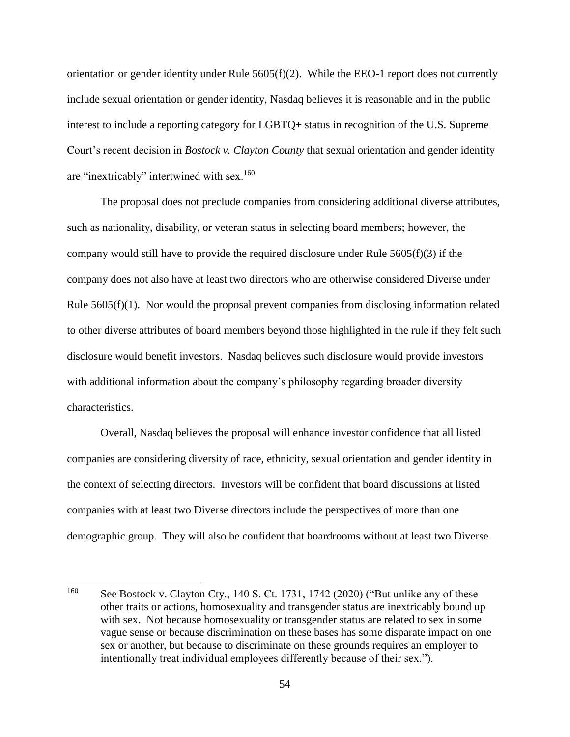orientation or gender identity under Rule 5605(f)(2). While the EEO-1 report does not currently include sexual orientation or gender identity, Nasdaq believes it is reasonable and in the public interest to include a reporting category for LGBTQ+ status in recognition of the U.S. Supreme Court's recent decision in *Bostock v. Clayton County* that sexual orientation and gender identity are "inextricably" intertwined with sex.<sup>160</sup>

The proposal does not preclude companies from considering additional diverse attributes, such as nationality, disability, or veteran status in selecting board members; however, the company would still have to provide the required disclosure under Rule 5605(f)(3) if the company does not also have at least two directors who are otherwise considered Diverse under Rule 5605(f)(1). Nor would the proposal prevent companies from disclosing information related to other diverse attributes of board members beyond those highlighted in the rule if they felt such disclosure would benefit investors. Nasdaq believes such disclosure would provide investors with additional information about the company's philosophy regarding broader diversity characteristics.

Overall, Nasdaq believes the proposal will enhance investor confidence that all listed companies are considering diversity of race, ethnicity, sexual orientation and gender identity in the context of selecting directors. Investors will be confident that board discussions at listed companies with at least two Diverse directors include the perspectives of more than one demographic group. They will also be confident that boardrooms without at least two Diverse

<sup>160</sup> See Bostock v. Clayton Cty., 140 S. Ct. 1731, 1742 (2020) ("But unlike any of these other traits or actions, homosexuality and transgender status are inextricably bound up with sex. Not because homosexuality or transgender status are related to sex in some vague sense or because discrimination on these bases has some disparate impact on one sex or another, but because to discriminate on these grounds requires an employer to intentionally treat individual employees differently because of their sex.").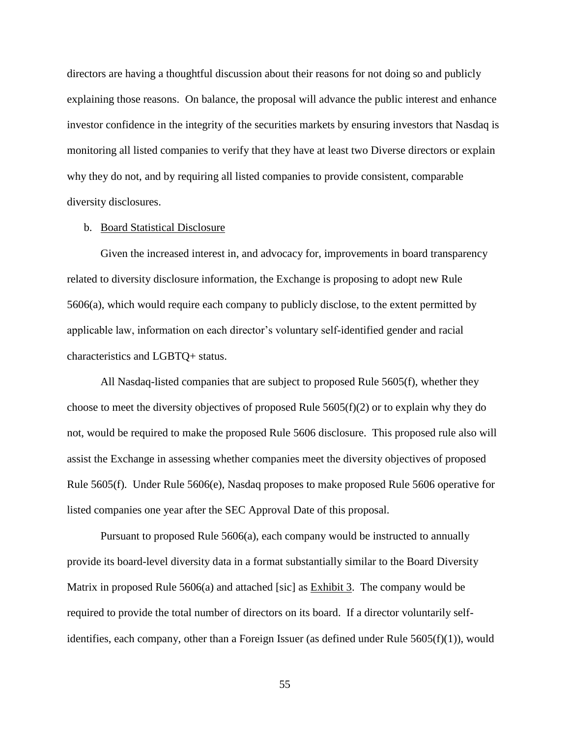directors are having a thoughtful discussion about their reasons for not doing so and publicly explaining those reasons. On balance, the proposal will advance the public interest and enhance investor confidence in the integrity of the securities markets by ensuring investors that Nasdaq is monitoring all listed companies to verify that they have at least two Diverse directors or explain why they do not, and by requiring all listed companies to provide consistent, comparable diversity disclosures.

#### b. Board Statistical Disclosure

Given the increased interest in, and advocacy for, improvements in board transparency related to diversity disclosure information, the Exchange is proposing to adopt new Rule 5606(a), which would require each company to publicly disclose, to the extent permitted by applicable law, information on each director's voluntary self-identified gender and racial characteristics and LGBTQ+ status.

All Nasdaq-listed companies that are subject to proposed Rule 5605(f), whether they choose to meet the diversity objectives of proposed Rule  $5605(f)(2)$  or to explain why they do not, would be required to make the proposed Rule 5606 disclosure. This proposed rule also will assist the Exchange in assessing whether companies meet the diversity objectives of proposed Rule 5605(f). Under Rule 5606(e), Nasdaq proposes to make proposed Rule 5606 operative for listed companies one year after the SEC Approval Date of this proposal.

Pursuant to proposed Rule 5606(a), each company would be instructed to annually provide its board-level diversity data in a format substantially similar to the Board Diversity Matrix in proposed Rule 5606(a) and attached [sic] as Exhibit 3. The company would be required to provide the total number of directors on its board. If a director voluntarily selfidentifies, each company, other than a Foreign Issuer (as defined under Rule  $5605(f)(1)$ ), would

55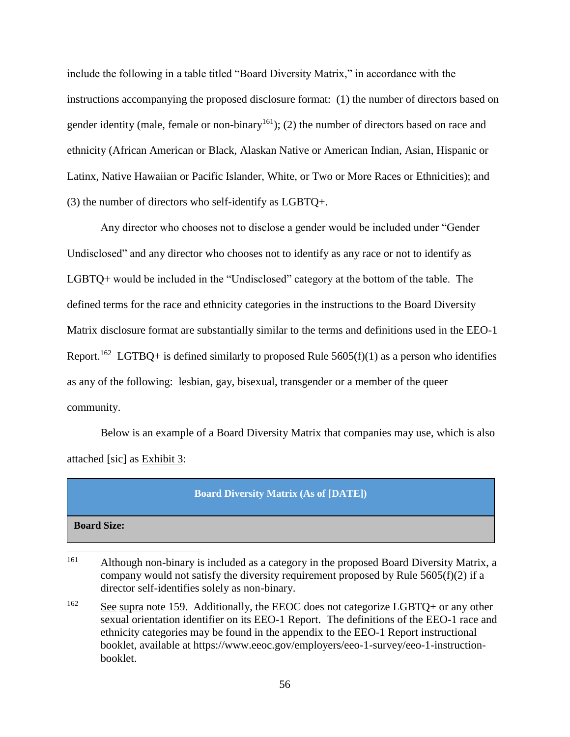include the following in a table titled "Board Diversity Matrix," in accordance with the instructions accompanying the proposed disclosure format: (1) the number of directors based on gender identity (male, female or non-binary<sup>161</sup>); (2) the number of directors based on race and ethnicity (African American or Black, Alaskan Native or American Indian, Asian, Hispanic or Latinx, Native Hawaiian or Pacific Islander, White, or Two or More Races or Ethnicities); and (3) the number of directors who self-identify as LGBTQ+.

Any director who chooses not to disclose a gender would be included under "Gender Undisclosed" and any director who chooses not to identify as any race or not to identify as LGBTQ+ would be included in the "Undisclosed" category at the bottom of the table. The defined terms for the race and ethnicity categories in the instructions to the Board Diversity Matrix disclosure format are substantially similar to the terms and definitions used in the EEO-1 Report.<sup>162</sup> LGTBQ+ is defined similarly to proposed Rule  $5605(f)(1)$  as a person who identifies as any of the following: lesbian, gay, bisexual, transgender or a member of the queer community.

Below is an example of a Board Diversity Matrix that companies may use, which is also attached [sic] as Exhibit 3:

#### **Board Diversity Matrix (As of [DATE])**

**Board Size:**

<sup>161</sup> Although non-binary is included as a category in the proposed Board Diversity Matrix, a company would not satisfy the diversity requirement proposed by Rule  $5605(f)(2)$  if a director self-identifies solely as non-binary.

 $162$  See supra note 159. Additionally, the EEOC does not categorize LGBTQ+ or any other sexual orientation identifier on its EEO-1 Report. The definitions of the EEO-1 race and ethnicity categories may be found in the appendix to the EEO-1 Report instructional booklet, available at https://www.eeoc.gov/employers/eeo-1-survey/eeo-1-instructionbooklet.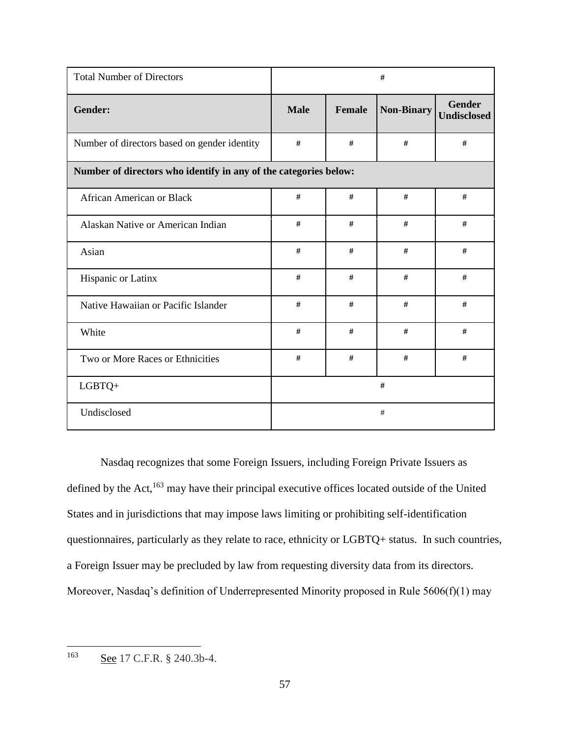| <b>Total Number of Directors</b>                                 | #           |        |                   |                                     |
|------------------------------------------------------------------|-------------|--------|-------------------|-------------------------------------|
| Gender:                                                          | <b>Male</b> | Female | <b>Non-Binary</b> | <b>Gender</b><br><b>Undisclosed</b> |
| Number of directors based on gender identity                     | $\#$        | #      | #                 | $\#$                                |
| Number of directors who identify in any of the categories below: |             |        |                   |                                     |
| <b>African American or Black</b>                                 | #           | #      | #                 | #                                   |
| Alaskan Native or American Indian                                | $\#$        | #      | #                 | #                                   |
| Asian                                                            | $\#$        | $\#$   | $\#$              | $\#$                                |
| Hispanic or Latinx                                               | #           | #      | $\#$              | #                                   |
| Native Hawaiian or Pacific Islander                              | $\#$        | #      | $\#$              | $\#$                                |
| White                                                            | #           | #      | #                 | #                                   |
| Two or More Races or Ethnicities                                 | #           | $\#$   | $\#$              | $\#$                                |
| LGBTQ+                                                           | #           |        |                   |                                     |
| Undisclosed                                                      |             |        | #                 |                                     |

Nasdaq recognizes that some Foreign Issuers, including Foreign Private Issuers as defined by the Act,<sup>163</sup> may have their principal executive offices located outside of the United States and in jurisdictions that may impose laws limiting or prohibiting self-identification questionnaires, particularly as they relate to race, ethnicity or LGBTQ+ status. In such countries, a Foreign Issuer may be precluded by law from requesting diversity data from its directors. Moreover, Nasdaq's definition of Underrepresented Minority proposed in Rule 5606(f)(1) may

163 See 17 C.F.R. § 240.3b-4.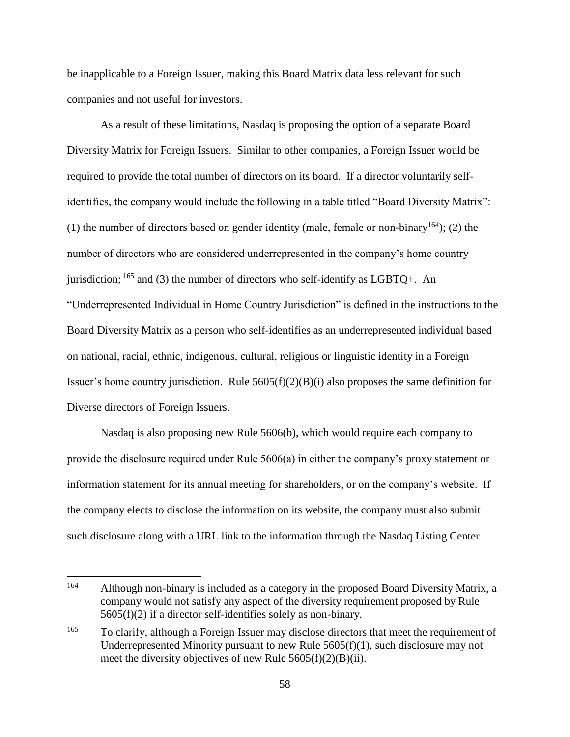be inapplicable to a Foreign Issuer, making this Board Matrix data less relevant for such companies and not useful for investors.

As a result of these limitations, Nasdaq is proposing the option of a separate Board Diversity Matrix for Foreign Issuers. Similar to other companies, a Foreign Issuer would be required to provide the total number of directors on its board. If a director voluntarily selfidentifies, the company would include the following in a table titled "Board Diversity Matrix": (1) the number of directors based on gender identity (male, female or non-binary<sup>164</sup>); (2) the number of directors who are considered underrepresented in the company's home country jurisdiction;  $^{165}$  and (3) the number of directors who self-identify as LGBTQ+. An "Underrepresented Individual in Home Country Jurisdiction" is defined in the instructions to the Board Diversity Matrix as a person who self-identifies as an underrepresented individual based on national, racial, ethnic, indigenous, cultural, religious or linguistic identity in a Foreign Issuer's home country jurisdiction. Rule 5605(f)(2)(B)(i) also proposes the same definition for Diverse directors of Foreign Issuers.

Nasdaq is also proposing new Rule 5606(b), which would require each company to provide the disclosure required under Rule 5606(a) in either the company's proxy statement or information statement for its annual meeting for shareholders, or on the company's website. If the company elects to disclose the information on its website, the company must also submit such disclosure along with a URL link to the information through the Nasdaq Listing Center

<sup>164</sup> Although non-binary is included as a category in the proposed Board Diversity Matrix, a company would not satisfy any aspect of the diversity requirement proposed by Rule 5605(f)(2) if a director self-identifies solely as non-binary.

<sup>&</sup>lt;sup>165</sup> To clarify, although a Foreign Issuer may disclose directors that meet the requirement of Underrepresented Minority pursuant to new Rule 5605(f)(1), such disclosure may not meet the diversity objectives of new Rule 5605(f)(2)(B)(ii).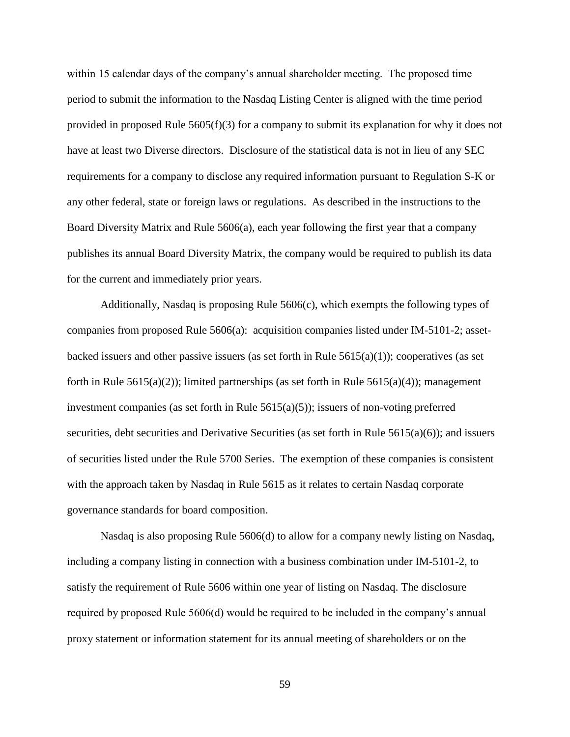within 15 calendar days of the company's annual shareholder meeting. The proposed time period to submit the information to the Nasdaq Listing Center is aligned with the time period provided in proposed Rule  $5605(f)(3)$  for a company to submit its explanation for why it does not have at least two Diverse directors. Disclosure of the statistical data is not in lieu of any SEC requirements for a company to disclose any required information pursuant to Regulation S-K or any other federal, state or foreign laws or regulations. As described in the instructions to the Board Diversity Matrix and Rule 5606(a), each year following the first year that a company publishes its annual Board Diversity Matrix, the company would be required to publish its data for the current and immediately prior years.

Additionally, Nasdaq is proposing Rule 5606(c), which exempts the following types of companies from proposed Rule 5606(a): acquisition companies listed under IM-5101-2; assetbacked issuers and other passive issuers (as set forth in Rule  $5615(a)(1)$ ); cooperatives (as set forth in Rule  $5615(a)(2)$ ; limited partnerships (as set forth in Rule  $5615(a)(4)$ ); management investment companies (as set forth in Rule  $5615(a)(5)$ ); issuers of non-voting preferred securities, debt securities and Derivative Securities (as set forth in Rule 5615(a)(6)); and issuers of securities listed under the Rule 5700 Series. The exemption of these companies is consistent with the approach taken by Nasdaq in Rule 5615 as it relates to certain Nasdaq corporate governance standards for board composition.

Nasdaq is also proposing Rule 5606(d) to allow for a company newly listing on Nasdaq, including a company listing in connection with a business combination under IM-5101-2, to satisfy the requirement of Rule 5606 within one year of listing on Nasdaq. The disclosure required by proposed Rule 5606(d) would be required to be included in the company's annual proxy statement or information statement for its annual meeting of shareholders or on the

59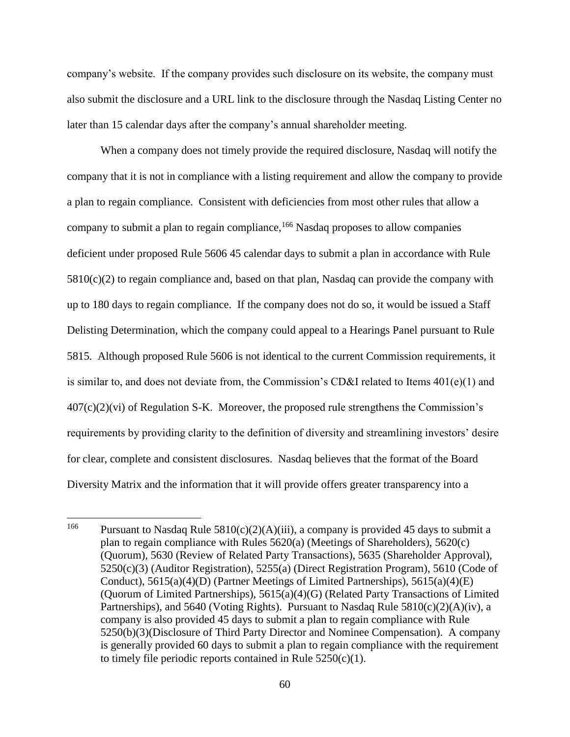company's website. If the company provides such disclosure on its website, the company must also submit the disclosure and a URL link to the disclosure through the Nasdaq Listing Center no later than 15 calendar days after the company's annual shareholder meeting.

When a company does not timely provide the required disclosure, Nasdaq will notify the company that it is not in compliance with a listing requirement and allow the company to provide a plan to regain compliance. Consistent with deficiencies from most other rules that allow a company to submit a plan to regain compliance,<sup>166</sup> Nasdaq proposes to allow companies deficient under proposed Rule 5606 45 calendar days to submit a plan in accordance with Rule  $5810(c)(2)$  to regain compliance and, based on that plan, Nasdaq can provide the company with up to 180 days to regain compliance. If the company does not do so, it would be issued a Staff Delisting Determination, which the company could appeal to a Hearings Panel pursuant to Rule 5815. Although proposed Rule 5606 is not identical to the current Commission requirements, it is similar to, and does not deviate from, the Commission's CD&I related to Items 401(e)(1) and  $407(c)(2)(vi)$  of Regulation S-K. Moreover, the proposed rule strengthens the Commission's requirements by providing clarity to the definition of diversity and streamlining investors' desire for clear, complete and consistent disclosures. Nasdaq believes that the format of the Board Diversity Matrix and the information that it will provide offers greater transparency into a

<sup>166</sup> Pursuant to Nasdaq Rule  $5810(c)(2)(A)(iii)$ , a company is provided 45 days to submit a plan to regain compliance with Rules 5620(a) (Meetings of Shareholders), 5620(c) (Quorum), 5630 (Review of Related Party Transactions), 5635 (Shareholder Approval), 5250(c)(3) (Auditor Registration), 5255(a) (Direct Registration Program), 5610 (Code of Conduct),  $5615(a)(4)(D)$  (Partner Meetings of Limited Partnerships),  $5615(a)(4)(E)$ (Quorum of Limited Partnerships), 5615(a)(4)(G) (Related Party Transactions of Limited Partnerships), and 5640 (Voting Rights). Pursuant to Nasdaq Rule  $5810(c)(2)(A)(iv)$ , a company is also provided 45 days to submit a plan to regain compliance with Rule 5250(b)(3)(Disclosure of Third Party Director and Nominee Compensation). A company is generally provided 60 days to submit a plan to regain compliance with the requirement to timely file periodic reports contained in Rule  $5250(c)(1)$ .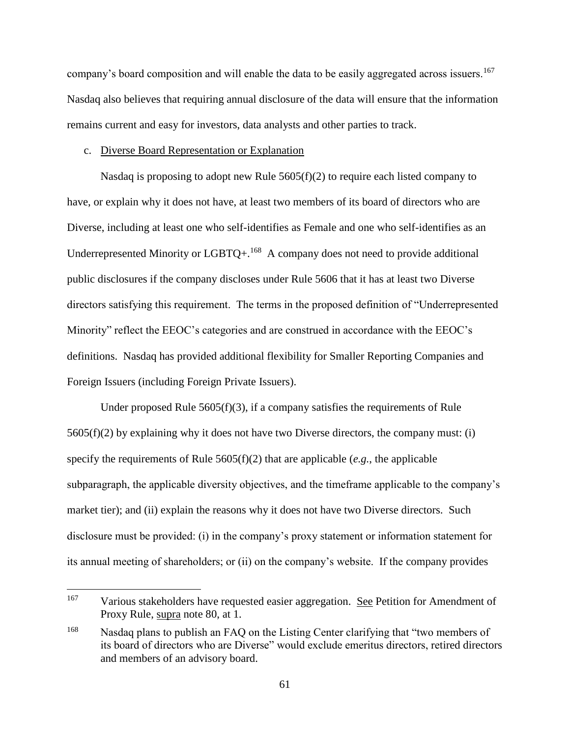company's board composition and will enable the data to be easily aggregated across issuers.<sup>167</sup> Nasdaq also believes that requiring annual disclosure of the data will ensure that the information remains current and easy for investors, data analysts and other parties to track.

#### c. Diverse Board Representation or Explanation

 $\overline{a}$ 

Nasdaq is proposing to adopt new Rule  $5605(f)(2)$  to require each listed company to have, or explain why it does not have, at least two members of its board of directors who are Diverse, including at least one who self-identifies as Female and one who self-identifies as an Underrepresented Minority or  $LGBTQ+.$ <sup>168</sup> A company does not need to provide additional public disclosures if the company discloses under Rule 5606 that it has at least two Diverse directors satisfying this requirement. The terms in the proposed definition of "Underrepresented Minority" reflect the EEOC's categories and are construed in accordance with the EEOC's definitions. Nasdaq has provided additional flexibility for Smaller Reporting Companies and Foreign Issuers (including Foreign Private Issuers).

Under proposed Rule  $5605(f)(3)$ , if a company satisfies the requirements of Rule 5605(f)(2) by explaining why it does not have two Diverse directors, the company must: (i) specify the requirements of Rule  $5605(f)(2)$  that are applicable (*e.g.*, the applicable subparagraph, the applicable diversity objectives, and the timeframe applicable to the company's market tier); and (ii) explain the reasons why it does not have two Diverse directors. Such disclosure must be provided: (i) in the company's proxy statement or information statement for its annual meeting of shareholders; or (ii) on the company's website. If the company provides

<sup>&</sup>lt;sup>167</sup> Various stakeholders have requested easier aggregation. See Petition for Amendment of Proxy Rule, supra note 80, at 1.

<sup>&</sup>lt;sup>168</sup> Nasdaq plans to publish an FAQ on the Listing Center clarifying that "two members of its board of directors who are Diverse" would exclude emeritus directors, retired directors and members of an advisory board.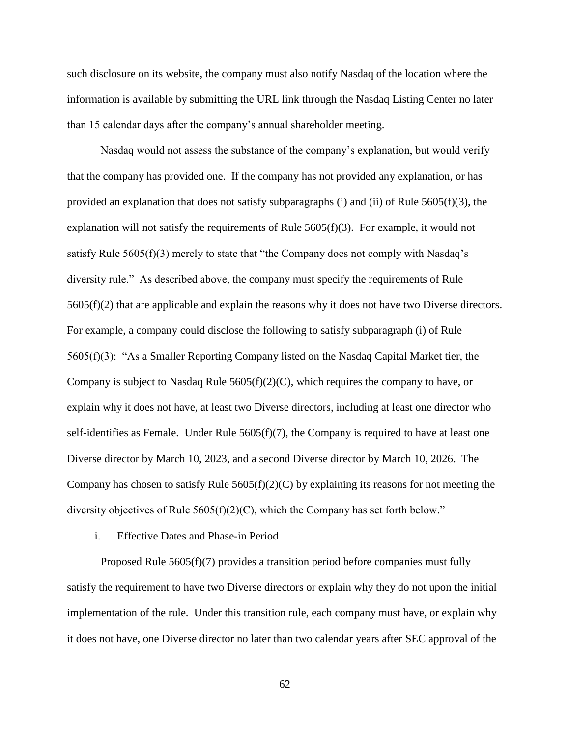such disclosure on its website, the company must also notify Nasdaq of the location where the information is available by submitting the URL link through the Nasdaq Listing Center no later than 15 calendar days after the company's annual shareholder meeting.

Nasdaq would not assess the substance of the company's explanation, but would verify that the company has provided one. If the company has not provided any explanation, or has provided an explanation that does not satisfy subparagraphs (i) and (ii) of Rule 5605(f)(3), the explanation will not satisfy the requirements of Rule  $5605(f)(3)$ . For example, it would not satisfy Rule  $5605(f)(3)$  merely to state that "the Company does not comply with Nasdaq's diversity rule." As described above, the company must specify the requirements of Rule 5605(f)(2) that are applicable and explain the reasons why it does not have two Diverse directors. For example, a company could disclose the following to satisfy subparagraph (i) of Rule 5605(f)(3): "As a Smaller Reporting Company listed on the Nasdaq Capital Market tier, the Company is subject to Nasdaq Rule 5605(f)(2)(C), which requires the company to have, or explain why it does not have, at least two Diverse directors, including at least one director who self-identifies as Female. Under Rule  $5605(f)(7)$ , the Company is required to have at least one Diverse director by March 10, 2023, and a second Diverse director by March 10, 2026. The Company has chosen to satisfy Rule  $5605(f)(2)(C)$  by explaining its reasons for not meeting the diversity objectives of Rule 5605(f)(2)(C), which the Company has set forth below."

#### i. Effective Dates and Phase-in Period

Proposed Rule 5605(f)(7) provides a transition period before companies must fully satisfy the requirement to have two Diverse directors or explain why they do not upon the initial implementation of the rule. Under this transition rule, each company must have, or explain why it does not have, one Diverse director no later than two calendar years after SEC approval of the

62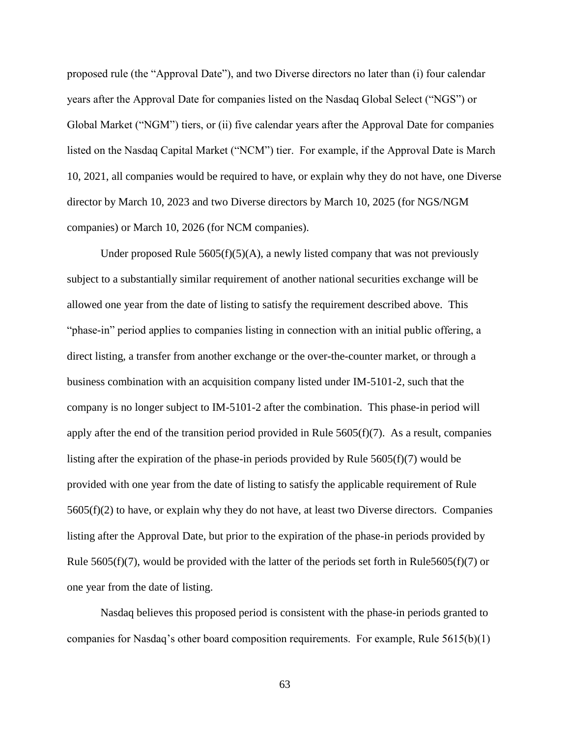proposed rule (the "Approval Date"), and two Diverse directors no later than (i) four calendar years after the Approval Date for companies listed on the Nasdaq Global Select ("NGS") or Global Market ("NGM") tiers, or (ii) five calendar years after the Approval Date for companies listed on the Nasdaq Capital Market ("NCM") tier. For example, if the Approval Date is March 10, 2021, all companies would be required to have, or explain why they do not have, one Diverse director by March 10, 2023 and two Diverse directors by March 10, 2025 (for NGS/NGM companies) or March 10, 2026 (for NCM companies).

Under proposed Rule  $5605(f)(5)(A)$ , a newly listed company that was not previously subject to a substantially similar requirement of another national securities exchange will be allowed one year from the date of listing to satisfy the requirement described above. This "phase-in" period applies to companies listing in connection with an initial public offering, a direct listing, a transfer from another exchange or the over-the-counter market, or through a business combination with an acquisition company listed under IM-5101-2, such that the company is no longer subject to IM-5101-2 after the combination. This phase-in period will apply after the end of the transition period provided in Rule  $5605(f)(7)$ . As a result, companies listing after the expiration of the phase-in periods provided by Rule  $5605(f)(7)$  would be provided with one year from the date of listing to satisfy the applicable requirement of Rule  $5605(f)(2)$  to have, or explain why they do not have, at least two Diverse directors. Companies listing after the Approval Date, but prior to the expiration of the phase-in periods provided by Rule  $5605(f)(7)$ , would be provided with the latter of the periods set forth in Rule $5605(f)(7)$  or one year from the date of listing.

Nasdaq believes this proposed period is consistent with the phase-in periods granted to companies for Nasdaq's other board composition requirements. For example, Rule 5615(b)(1)

63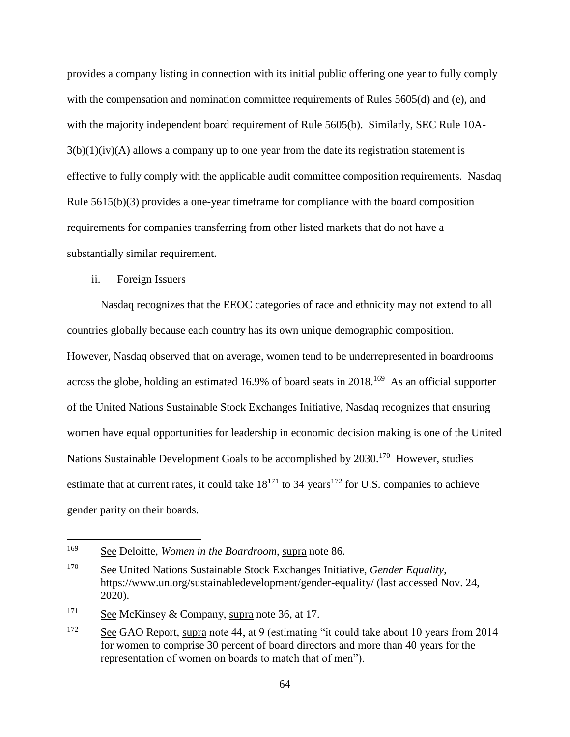provides a company listing in connection with its initial public offering one year to fully comply with the compensation and nomination committee requirements of Rules 5605(d) and (e), and with the majority independent board requirement of Rule 5605(b). Similarly, SEC Rule 10A- $3(b)(1)(iv)(A)$  allows a company up to one year from the date its registration statement is effective to fully comply with the applicable audit committee composition requirements. Nasdaq Rule 5615(b)(3) provides a one-year timeframe for compliance with the board composition requirements for companies transferring from other listed markets that do not have a substantially similar requirement.

## ii. Foreign Issuers

Nasdaq recognizes that the EEOC categories of race and ethnicity may not extend to all countries globally because each country has its own unique demographic composition. However, Nasdaq observed that on average, women tend to be underrepresented in boardrooms across the globe, holding an estimated 16.9% of board seats in 2018.<sup>169</sup> As an official supporter of the United Nations Sustainable Stock Exchanges Initiative, Nasdaq recognizes that ensuring women have equal opportunities for leadership in economic decision making is one of the United Nations Sustainable Development Goals to be accomplished by 2030.<sup>170</sup> However, studies estimate that at current rates, it could take  $18^{171}$  to 34 years<sup>172</sup> for U.S. companies to achieve gender parity on their boards.

<sup>169</sup> See Deloitte, *Women in the Boardroom*, supra note 86.

<sup>170</sup> See United Nations Sustainable Stock Exchanges Initiative, *Gender Equality*, https://www.un.org/sustainabledevelopment/gender-equality/ (last accessed Nov. 24, 2020).

<sup>&</sup>lt;sup>171</sup> See McKinsey & Company, supra note 36, at 17.

<sup>&</sup>lt;sup>172</sup> See GAO Report, supra note 44, at 9 (estimating "it could take about 10 years from 2014 for women to comprise 30 percent of board directors and more than 40 years for the representation of women on boards to match that of men").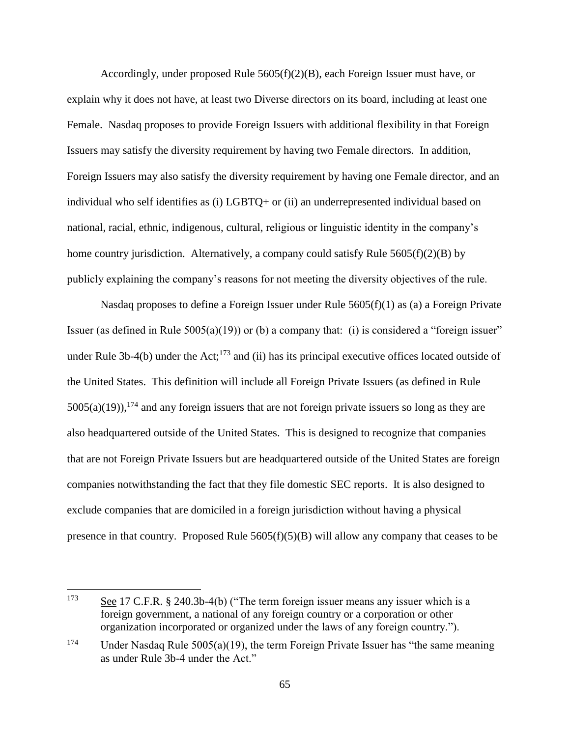Accordingly, under proposed Rule  $5605(f)(2)(B)$ , each Foreign Issuer must have, or explain why it does not have, at least two Diverse directors on its board, including at least one Female. Nasdaq proposes to provide Foreign Issuers with additional flexibility in that Foreign Issuers may satisfy the diversity requirement by having two Female directors. In addition, Foreign Issuers may also satisfy the diversity requirement by having one Female director, and an individual who self identifies as (i) LGBTQ+ or (ii) an underrepresented individual based on national, racial, ethnic, indigenous, cultural, religious or linguistic identity in the company's home country jurisdiction. Alternatively, a company could satisfy Rule  $5605(f)(2)(B)$  by publicly explaining the company's reasons for not meeting the diversity objectives of the rule.

Nasdaq proposes to define a Foreign Issuer under Rule  $5605(f)(1)$  as (a) a Foreign Private Issuer (as defined in Rule  $5005(a)(19)$ ) or (b) a company that: (i) is considered a "foreign issuer" under Rule 3b-4(b) under the Act;<sup>173</sup> and (ii) has its principal executive offices located outside of the United States. This definition will include all Foreign Private Issuers (as defined in Rule  $5005(a)(19)$ , <sup>174</sup> and any foreign issuers that are not foreign private issuers so long as they are also headquartered outside of the United States. This is designed to recognize that companies that are not Foreign Private Issuers but are headquartered outside of the United States are foreign companies notwithstanding the fact that they file domestic SEC reports. It is also designed to exclude companies that are domiciled in a foreign jurisdiction without having a physical presence in that country. Proposed Rule 5605(f)(5)(B) will allow any company that ceases to be

<sup>173</sup> See 17 C.F.R. § 240.3b-4(b) ("The term foreign issuer means any issuer which is a foreign government, a national of any foreign country or a corporation or other organization incorporated or organized under the laws of any foreign country.").

<sup>&</sup>lt;sup>174</sup> Under Nasdaq Rule 5005(a)(19), the term Foreign Private Issuer has "the same meaning as under Rule 3b-4 under the Act."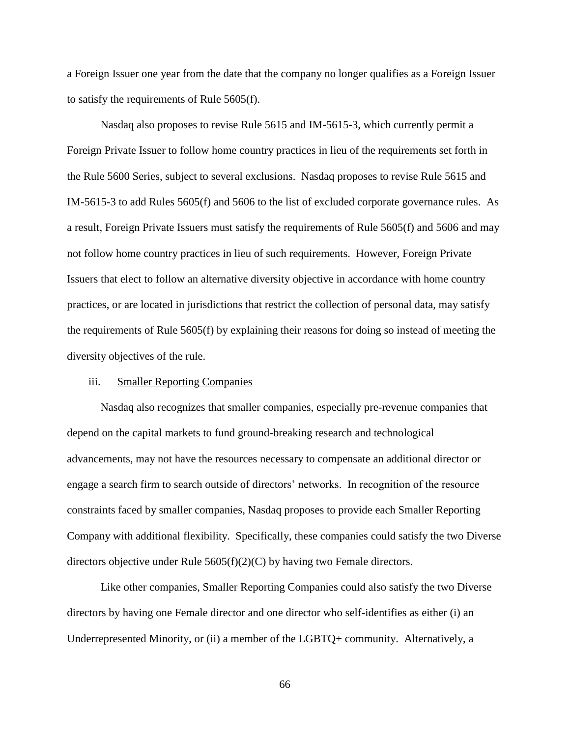a Foreign Issuer one year from the date that the company no longer qualifies as a Foreign Issuer to satisfy the requirements of Rule 5605(f).

Nasdaq also proposes to revise Rule 5615 and IM-5615-3, which currently permit a Foreign Private Issuer to follow home country practices in lieu of the requirements set forth in the Rule 5600 Series, subject to several exclusions. Nasdaq proposes to revise Rule 5615 and IM-5615-3 to add Rules 5605(f) and 5606 to the list of excluded corporate governance rules. As a result, Foreign Private Issuers must satisfy the requirements of Rule 5605(f) and 5606 and may not follow home country practices in lieu of such requirements. However, Foreign Private Issuers that elect to follow an alternative diversity objective in accordance with home country practices, or are located in jurisdictions that restrict the collection of personal data, may satisfy the requirements of Rule 5605(f) by explaining their reasons for doing so instead of meeting the diversity objectives of the rule.

## iii. Smaller Reporting Companies

Nasdaq also recognizes that smaller companies, especially pre-revenue companies that depend on the capital markets to fund ground-breaking research and technological advancements, may not have the resources necessary to compensate an additional director or engage a search firm to search outside of directors' networks. In recognition of the resource constraints faced by smaller companies, Nasdaq proposes to provide each Smaller Reporting Company with additional flexibility. Specifically, these companies could satisfy the two Diverse directors objective under Rule 5605(f)(2)(C) by having two Female directors.

Like other companies, Smaller Reporting Companies could also satisfy the two Diverse directors by having one Female director and one director who self-identifies as either (i) an Underrepresented Minority, or (ii) a member of the LGBTQ+ community. Alternatively, a

66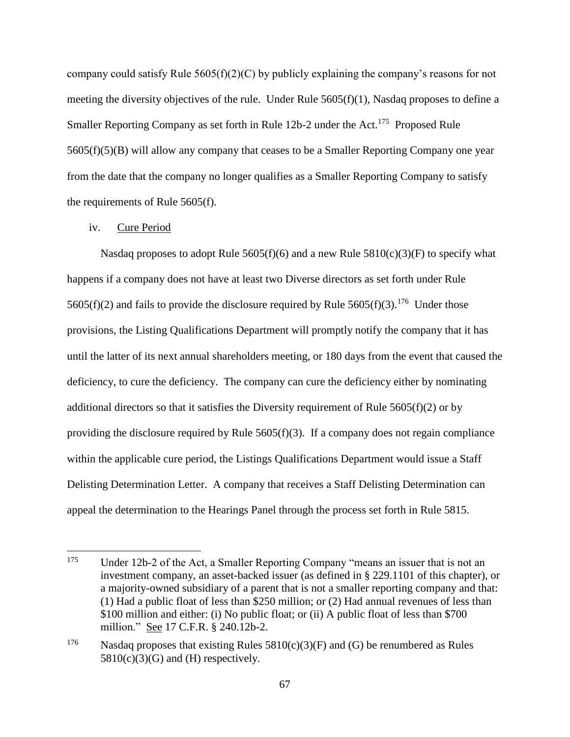company could satisfy Rule 5605(f)(2)(C) by publicly explaining the company's reasons for not meeting the diversity objectives of the rule. Under Rule 5605(f)(1), Nasdaq proposes to define a Smaller Reporting Company as set forth in Rule 12b-2 under the Act.<sup>175</sup> Proposed Rule 5605(f)(5)(B) will allow any company that ceases to be a Smaller Reporting Company one year from the date that the company no longer qualifies as a Smaller Reporting Company to satisfy the requirements of Rule 5605(f).

## iv. Cure Period

Nasdaq proposes to adopt Rule  $5605(f)(6)$  and a new Rule  $5810(c)(3)(F)$  to specify what happens if a company does not have at least two Diverse directors as set forth under Rule 5605(f)(2) and fails to provide the disclosure required by Rule 5605(f)(3).<sup>176</sup> Under those provisions, the Listing Qualifications Department will promptly notify the company that it has until the latter of its next annual shareholders meeting, or 180 days from the event that caused the deficiency, to cure the deficiency. The company can cure the deficiency either by nominating additional directors so that it satisfies the Diversity requirement of Rule  $5605(f)(2)$  or by providing the disclosure required by Rule  $5605(f)(3)$ . If a company does not regain compliance within the applicable cure period, the Listings Qualifications Department would issue a Staff Delisting Determination Letter. A company that receives a Staff Delisting Determination can appeal the determination to the Hearings Panel through the process set forth in Rule 5815.

<sup>175</sup> Under 12b-2 of the Act, a Smaller Reporting Company "means an issuer that is not an investment company, an asset-backed issuer (as defined in § 229.1101 of this chapter), or a majority-owned subsidiary of a parent that is not a smaller reporting company and that: (1) Had a public float of less than \$250 million; or (2) Had annual revenues of less than \$100 million and either: (i) No public float; or (ii) A public float of less than \$700 million." See 17 C.F.R. § 240.12b-2.

<sup>&</sup>lt;sup>176</sup> Nasdaq proposes that existing Rules  $5810(c)(3)(F)$  and (G) be renumbered as Rules  $5810(c)(3)(G)$  and (H) respectively.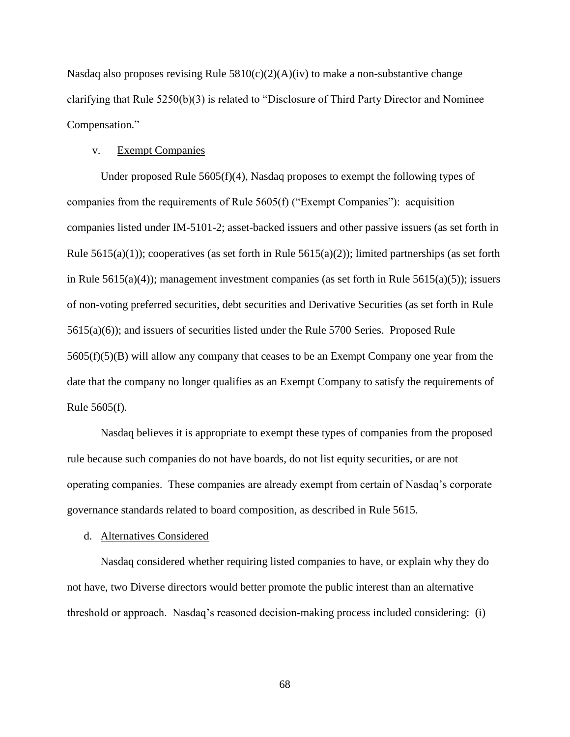Nasdaq also proposes revising Rule  $5810(c)(2)(A)(iv)$  to make a non-substantive change clarifying that Rule 5250(b)(3) is related to "Disclosure of Third Party Director and Nominee Compensation."

### v. Exempt Companies

Under proposed Rule  $5605(f)(4)$ , Nasdaq proposes to exempt the following types of companies from the requirements of Rule 5605(f) ("Exempt Companies"): acquisition companies listed under IM-5101-2; asset-backed issuers and other passive issuers (as set forth in Rule  $5615(a)(1)$ ; cooperatives (as set forth in Rule  $5615(a)(2)$ ); limited partnerships (as set forth in Rule 5615(a)(4)); management investment companies (as set forth in Rule 5615(a)(5)); issuers of non-voting preferred securities, debt securities and Derivative Securities (as set forth in Rule 5615(a)(6)); and issuers of securities listed under the Rule 5700 Series. Proposed Rule 5605(f)(5)(B) will allow any company that ceases to be an Exempt Company one year from the date that the company no longer qualifies as an Exempt Company to satisfy the requirements of Rule 5605(f).

Nasdaq believes it is appropriate to exempt these types of companies from the proposed rule because such companies do not have boards, do not list equity securities, or are not operating companies. These companies are already exempt from certain of Nasdaq's corporate governance standards related to board composition, as described in Rule 5615.

#### d. Alternatives Considered

Nasdaq considered whether requiring listed companies to have, or explain why they do not have, two Diverse directors would better promote the public interest than an alternative threshold or approach. Nasdaq's reasoned decision-making process included considering: (i)

68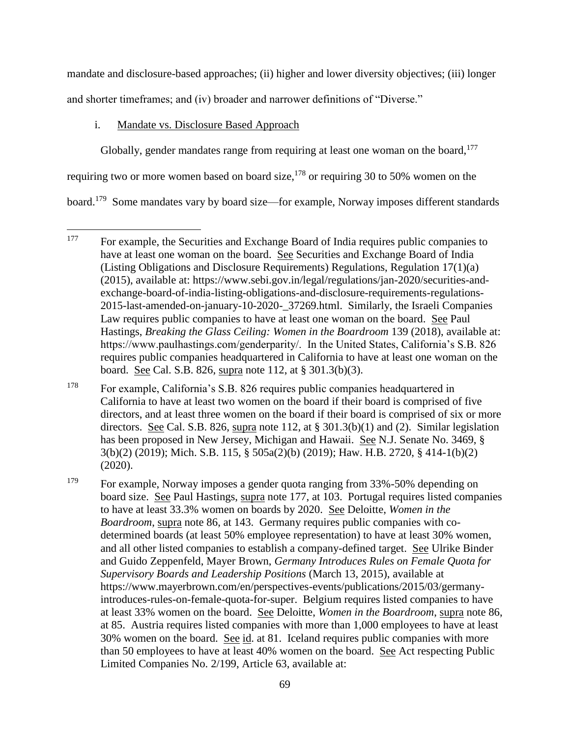mandate and disclosure-based approaches; (ii) higher and lower diversity objectives; (iii) longer and shorter timeframes; and (iv) broader and narrower definitions of "Diverse."

## i. Mandate vs. Disclosure Based Approach

Globally, gender mandates range from requiring at least one woman on the board,  $177$ 

requiring two or more women based on board size,  $178$  or requiring 30 to 50% women on the

board.<sup>179</sup> Some mandates vary by board size—for example, Norway imposes different standards

<sup>178</sup> For example, California's S.B. 826 requires public companies headquartered in California to have at least two women on the board if their board is comprised of five directors, and at least three women on the board if their board is comprised of six or more directors. See Cal. S.B. 826, supra note 112, at § 301.3(b)(1) and (2). Similar legislation has been proposed in New Jersey, Michigan and Hawaii. See N.J. Senate No. 3469, § 3(b)(2) (2019); Mich. S.B. 115, § 505a(2)(b) (2019); Haw. H.B. 2720, § 414-1(b)(2) (2020).

<sup>179</sup> For example, Norway imposes a gender quota ranging from 33%-50% depending on board size. See Paul Hastings, supra note 177, at 103. Portugal requires listed companies to have at least 33.3% women on boards by 2020. See Deloitte, *Women in the Boardroom*, supra note 86, at 143. Germany requires public companies with codetermined boards (at least 50% employee representation) to have at least 30% women, and all other listed companies to establish a company-defined target. See Ulrike Binder and Guido Zeppenfeld, Mayer Brown, *Germany Introduces Rules on Female Quota for Supervisory Boards and Leadership Positions* (March 13, 2015), available at https://www.mayerbrown.com/en/perspectives-events/publications/2015/03/germanyintroduces-rules-on-female-quota-for-super. Belgium requires listed companies to have at least 33% women on the board. See Deloitte, *Women in the Boardroom*, supra note 86, at 85. Austria requires listed companies with more than 1,000 employees to have at least 30% women on the board. See id. at 81. Iceland requires public companies with more than 50 employees to have at least 40% women on the board. See Act respecting Public Limited Companies No. 2/199, Article 63, available at:

 $\overline{a}$ <sup>177</sup> For example, the Securities and Exchange Board of India requires public companies to have at least one woman on the board. See Securities and Exchange Board of India (Listing Obligations and Disclosure Requirements) Regulations, Regulation 17(1)(a) (2015), available at: https://www.sebi.gov.in/legal/regulations/jan-2020/securities-andexchange-board-of-india-listing-obligations-and-disclosure-requirements-regulations-2015-last-amended-on-january-10-2020-\_37269.html. Similarly, the Israeli Companies Law requires public companies to have at least one woman on the board. See Paul Hastings, *Breaking the Glass Ceiling: Women in the Boardroom* 139 (2018), available at: https://www.paulhastings.com/genderparity/. In the United States, California's S.B. 826 requires public companies headquartered in California to have at least one woman on the board. See Cal. S.B. 826, supra note 112, at § 301.3(b)(3).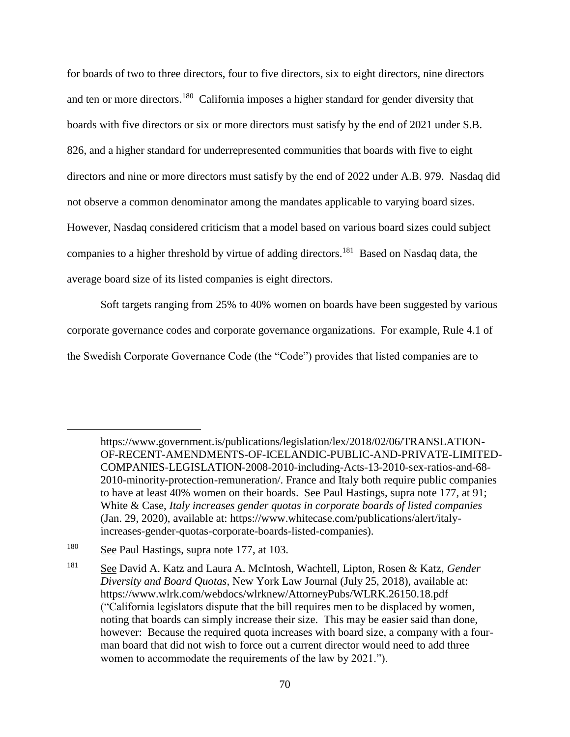for boards of two to three directors, four to five directors, six to eight directors, nine directors and ten or more directors.<sup>180</sup> California imposes a higher standard for gender diversity that boards with five directors or six or more directors must satisfy by the end of 2021 under S.B. 826, and a higher standard for underrepresented communities that boards with five to eight directors and nine or more directors must satisfy by the end of 2022 under A.B. 979. Nasdaq did not observe a common denominator among the mandates applicable to varying board sizes. However, Nasdaq considered criticism that a model based on various board sizes could subject companies to a higher threshold by virtue of adding directors.<sup>181</sup> Based on Nasdaq data, the average board size of its listed companies is eight directors.

Soft targets ranging from 25% to 40% women on boards have been suggested by various corporate governance codes and corporate governance organizations. For example, Rule 4.1 of the Swedish Corporate Governance Code (the "Code") provides that listed companies are to

https://www.government.is/publications/legislation/lex/2018/02/06/TRANSLATION-OF-RECENT-AMENDMENTS-OF-ICELANDIC-PUBLIC-AND-PRIVATE-LIMITED-COMPANIES-LEGISLATION-2008-2010-including-Acts-13-2010-sex-ratios-and-68- 2010-minority-protection-remuneration/. France and Italy both require public companies to have at least 40% women on their boards. See Paul Hastings, supra note 177, at 91; White & Case, *Italy increases gender quotas in corporate boards of listed companies* (Jan. 29, 2020), available at: https://www.whitecase.com/publications/alert/italyincreases-gender-quotas-corporate-boards-listed-companies).

<sup>180</sup> See Paul Hastings, supra note 177, at 103.

<sup>181</sup> See David A. Katz and Laura A. McIntosh, Wachtell, Lipton, Rosen & Katz, *Gender Diversity and Board Quotas*, New York Law Journal (July 25, 2018), available at: https://www.wlrk.com/webdocs/wlrknew/AttorneyPubs/WLRK.26150.18.pdf ("California legislators dispute that the bill requires men to be displaced by women, noting that boards can simply increase their size. This may be easier said than done, however: Because the required quota increases with board size, a company with a fourman board that did not wish to force out a current director would need to add three women to accommodate the requirements of the law by 2021.").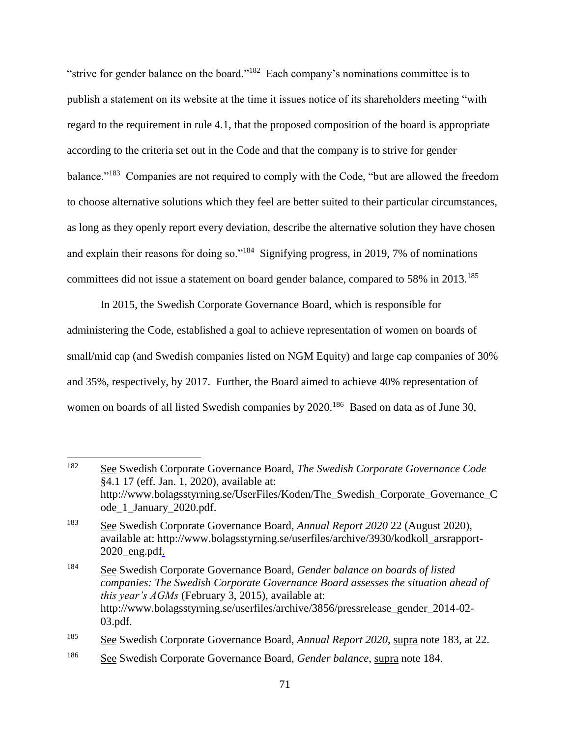"strive for gender balance on the board."<sup>182</sup> Each company's nominations committee is to publish a statement on its website at the time it issues notice of its shareholders meeting "with regard to the requirement in rule 4.1, that the proposed composition of the board is appropriate according to the criteria set out in the Code and that the company is to strive for gender balance."<sup>183</sup> Companies are not required to comply with the Code, "but are allowed the freedom to choose alternative solutions which they feel are better suited to their particular circumstances, as long as they openly report every deviation, describe the alternative solution they have chosen and explain their reasons for doing so."<sup>184</sup> Signifying progress, in 2019, 7% of nominations committees did not issue a statement on board gender balance, compared to 58% in 2013.<sup>185</sup>

In 2015, the Swedish Corporate Governance Board, which is responsible for administering the Code, established a goal to achieve representation of women on boards of small/mid cap (and Swedish companies listed on NGM Equity) and large cap companies of 30% and 35%, respectively, by 2017. Further, the Board aimed to achieve 40% representation of women on boards of all listed Swedish companies by 2020.<sup>186</sup> Based on data as of June 30,

<sup>182</sup> See Swedish Corporate Governance Board, *The Swedish Corporate Governance Code* §4.1 17 (eff. Jan. 1, 2020), available at: http://www.bolagsstyrning.se/UserFiles/Koden/The\_Swedish\_Corporate\_Governance\_C ode\_1\_January\_2020.pdf.

<sup>183</sup> See Swedish Corporate Governance Board, *Annual Report 2020* 22 (August 2020), available at: http://www.bolagsstyrning.se/userfiles/archive/3930/kodkoll\_arsrapport-2020\_eng.pdf.

<sup>184</sup> See Swedish Corporate Governance Board, *Gender balance on boards of listed companies: The Swedish Corporate Governance Board assesses the situation ahead of this year's AGMs* (February 3, 2015), available at: http://www.bolagsstyrning.se/userfiles/archive/3856/pressrelease\_gender\_2014-02- 03.pdf.

<sup>185</sup> See Swedish Corporate Governance Board, *Annual Report 2020*, supra note 183, at 22.

<sup>186</sup> See Swedish Corporate Governance Board, *Gender balance*, supra note 184.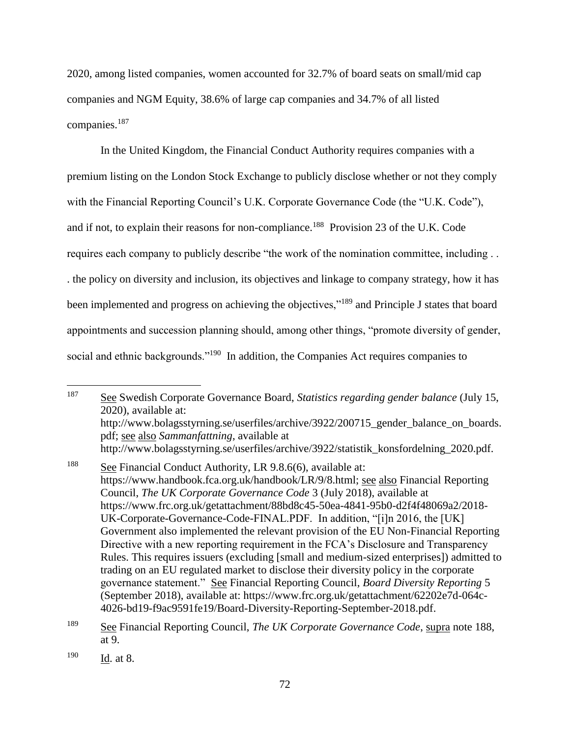2020, among listed companies, women accounted for 32.7% of board seats on small/mid cap companies and NGM Equity, 38.6% of large cap companies and 34.7% of all listed companies.<sup>187</sup>

In the United Kingdom, the Financial Conduct Authority requires companies with a premium listing on the London Stock Exchange to publicly disclose whether or not they comply with the Financial Reporting Council's U.K. Corporate Governance Code (the "U.K. Code"), and if not, to explain their reasons for non-compliance.<sup>188</sup> Provision 23 of the U.K. Code requires each company to publicly describe "the work of the nomination committee, including . . . the policy on diversity and inclusion, its objectives and linkage to company strategy, how it has been implemented and progress on achieving the objectives,"<sup>189</sup> and Principle J states that board appointments and succession planning should, among other things, "promote diversity of gender, social and ethnic backgrounds."<sup>190</sup> In addition, the Companies Act requires companies to

<sup>187</sup> See Swedish Corporate Governance Board, *Statistics regarding gender balance* (July 15, 2020), available at: http://www.bolagsstyrning.se/userfiles/archive/3922/200715\_gender\_balance\_on\_boards. pdf; see also *Sammanfattning*, available at http://www.bolagsstyrning.se/userfiles/archive/3922/statistik\_konsfordelning\_2020.pdf.

<sup>188</sup> See Financial Conduct Authority, LR 9.8.6(6), available at: https://www.handbook.fca.org.uk/handbook/LR/9/8.html; see also Financial Reporting Council, *The UK Corporate Governance Code* 3 (July 2018), available at https://www.frc.org.uk/getattachment/88bd8c45-50ea-4841-95b0-d2f4f48069a2/2018- UK-Corporate-Governance-Code-FINAL.PDF. In addition, "[i]n 2016, the [UK] Government also implemented the relevant provision of the EU Non-Financial Reporting Directive with a new reporting requirement in the FCA's Disclosure and Transparency Rules. This requires issuers (excluding [small and medium-sized enterprises]) admitted to trading on an EU regulated market to disclose their diversity policy in the corporate governance statement." See Financial Reporting Council, *Board Diversity Reporting* 5 (September 2018), available at: https://www.frc.org.uk/getattachment/62202e7d-064c-4026-bd19-f9ac9591fe19/Board-Diversity-Reporting-September-2018.pdf.

<sup>189</sup> See Financial Reporting Council, *The UK Corporate Governance Code*, supra note 188, at 9.

<sup>190</sup> Id. at 8.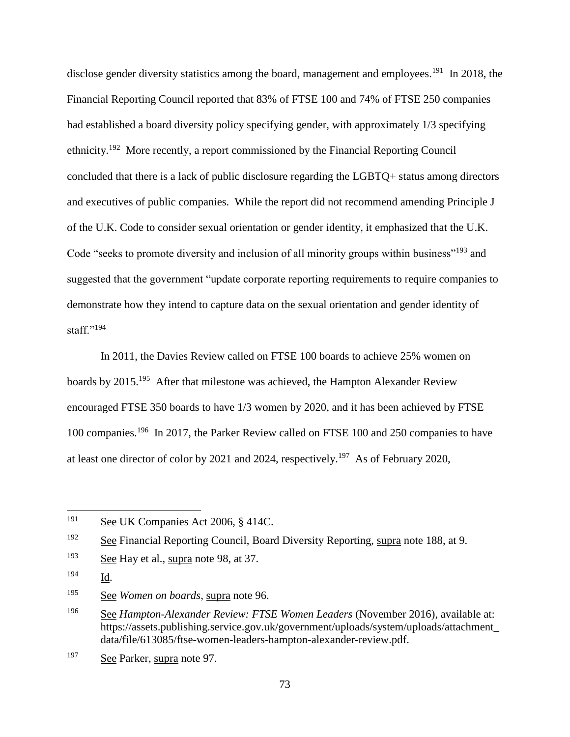disclose gender diversity statistics among the board, management and employees.<sup>191</sup> In 2018, the Financial Reporting Council reported that 83% of FTSE 100 and 74% of FTSE 250 companies had established a board diversity policy specifying gender, with approximately 1/3 specifying ethnicity.<sup>192</sup> More recently, a report commissioned by the Financial Reporting Council concluded that there is a lack of public disclosure regarding the LGBTQ+ status among directors and executives of public companies. While the report did not recommend amending Principle J of the U.K. Code to consider sexual orientation or gender identity, it emphasized that the U.K. Code "seeks to promote diversity and inclusion of all minority groups within business"<sup>193</sup> and suggested that the government "update corporate reporting requirements to require companies to demonstrate how they intend to capture data on the sexual orientation and gender identity of staff." $194$ 

In 2011, the Davies Review called on FTSE 100 boards to achieve 25% women on boards by 2015.<sup>195</sup> After that milestone was achieved, the Hampton Alexander Review encouraged FTSE 350 boards to have 1/3 women by 2020, and it has been achieved by FTSE 100 companies.<sup>196</sup> In 2017, the Parker Review called on FTSE 100 and 250 companies to have at least one director of color by 2021 and 2024, respectively.<sup>197</sup> As of February 2020,

<sup>&</sup>lt;sup>191</sup> See UK Companies Act 2006, § 414C.

<sup>192</sup> See Financial Reporting Council, Board Diversity Reporting, supra note 188, at 9.

<sup>193</sup> See Hay et al., supra note 98, at 37.

<sup>194</sup> Id.

<sup>195</sup> See *Women on boards*, supra note 96.

<sup>196</sup> See *Hampton-Alexander Review: FTSE Women Leaders* (November 2016), available at: https://assets.publishing.service.gov.uk/government/uploads/system/uploads/attachment\_ data/file/613085/ftse-women-leaders-hampton-alexander-review.pdf.

<sup>197</sup> See Parker, supra note 97.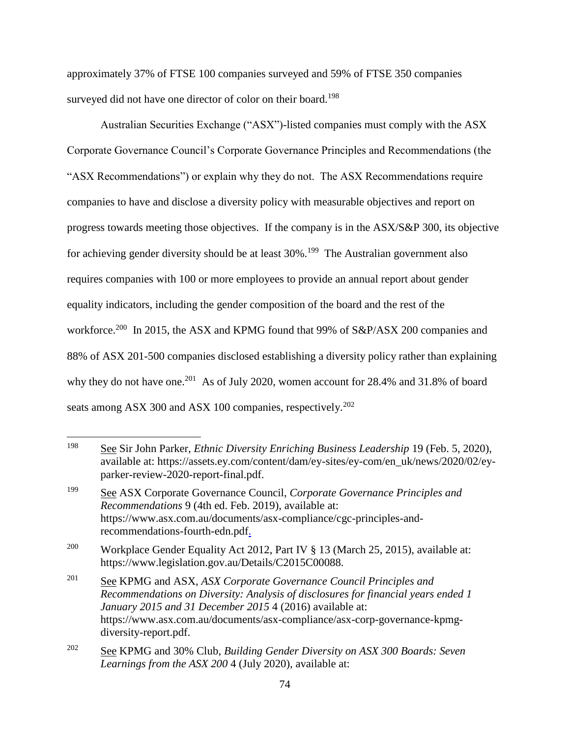approximately 37% of FTSE 100 companies surveyed and 59% of FTSE 350 companies surveyed did not have one director of color on their board.<sup>198</sup>

Australian Securities Exchange ("ASX")-listed companies must comply with the ASX Corporate Governance Council's Corporate Governance Principles and Recommendations (the "ASX Recommendations") or explain why they do not. The ASX Recommendations require companies to have and disclose a diversity policy with measurable objectives and report on progress towards meeting those objectives. If the company is in the ASX/S&P 300, its objective for achieving gender diversity should be at least 30%.<sup>199</sup> The Australian government also requires companies with 100 or more employees to provide an annual report about gender equality indicators, including the gender composition of the board and the rest of the workforce.<sup>200</sup> In 2015, the ASX and KPMG found that 99% of S&P/ASX 200 companies and 88% of ASX 201-500 companies disclosed establishing a diversity policy rather than explaining why they do not have one.<sup>201</sup> As of July 2020, women account for  $28.4\%$  and  $31.8\%$  of board seats among ASX 300 and ASX 100 companies, respectively.<sup>202</sup>

<sup>198</sup> See Sir John Parker, *Ethnic Diversity Enriching Business Leadership* 19 (Feb. 5, 2020), available at: https://assets.ey.com/content/dam/ey-sites/ey-com/en\_uk/news/2020/02/eyparker-review-2020-report-final.pdf.

<sup>199</sup> See ASX Corporate Governance Council, *Corporate Governance Principles and Recommendations* 9 (4th ed. Feb. 2019), available at: https://www.asx.com.au/documents/asx-compliance/cgc-principles-andrecommendations-fourth-edn.pdf.

<sup>&</sup>lt;sup>200</sup> Workplace Gender Equality Act 2012, Part IV § 13 (March 25, 2015), available at: https://www.legislation.gov.au/Details/C2015C00088.

<sup>201</sup> See KPMG and ASX, *ASX Corporate Governance Council Principles and Recommendations on Diversity: Analysis of disclosures for financial years ended 1 January 2015 and 31 December 2015* 4 (2016) available at: https://www.asx.com.au/documents/asx-compliance/asx-corp-governance-kpmgdiversity-report.pdf.

<sup>202</sup> See KPMG and 30% Club, *Building Gender Diversity on ASX 300 Boards: Seven Learnings from the ASX 200* 4 (July 2020), available at: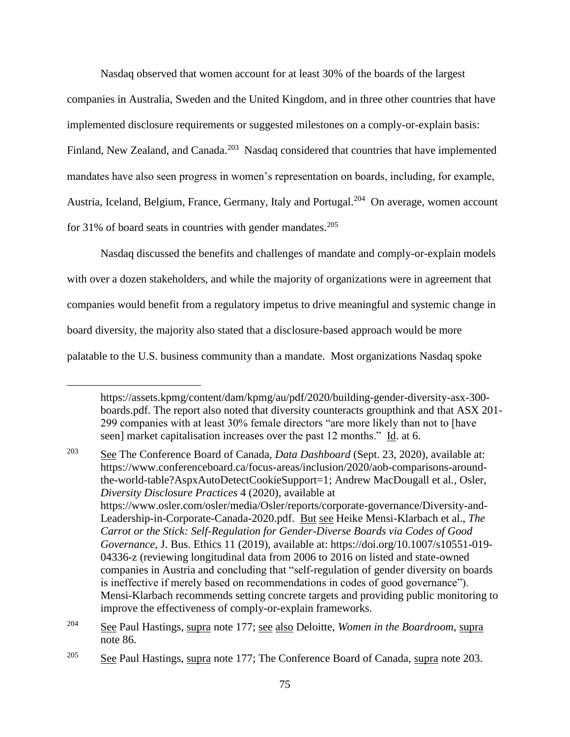Nasdaq observed that women account for at least 30% of the boards of the largest companies in Australia, Sweden and the United Kingdom, and in three other countries that have implemented disclosure requirements or suggested milestones on a comply-or-explain basis: Finland, New Zealand, and Canada.<sup>203</sup> Nasdaq considered that countries that have implemented mandates have also seen progress in women's representation on boards, including, for example, Austria, Iceland, Belgium, France, Germany, Italy and Portugal.<sup>204</sup> On average, women account for 31% of board seats in countries with gender mandates.<sup>205</sup>

Nasdaq discussed the benefits and challenges of mandate and comply-or-explain models with over a dozen stakeholders, and while the majority of organizations were in agreement that companies would benefit from a regulatory impetus to drive meaningful and systemic change in board diversity, the majority also stated that a disclosure-based approach would be more palatable to the U.S. business community than a mandate. Most organizations Nasdaq spoke

https://assets.kpmg/content/dam/kpmg/au/pdf/2020/building-gender-diversity-asx-300 boards.pdf. The report also noted that diversity counteracts groupthink and that ASX 201- 299 companies with at least 30% female directors "are more likely than not to [have seen] market capitalisation increases over the past 12 months." Id. at 6.

<sup>203</sup> See The Conference Board of Canada, *Data Dashboard* (Sept. 23, 2020), available at: https://www.conferenceboard.ca/focus-areas/inclusion/2020/aob-comparisons-aroundthe-world-table?AspxAutoDetectCookieSupport=1; Andrew MacDougall et al.*,* Osler, *Diversity Disclosure Practices* 4 (2020), available at https://www.osler.com/osler/media/Osler/reports/corporate-governance/Diversity-and-Leadership-in-Corporate-Canada-2020.pdf. But see Heike Mensi-Klarbach et al., *The Carrot or the Stick: Self-Regulation for Gender-Diverse Boards via Codes of Good Governance*, J. Bus. Ethics 11 (2019), available at: https://doi.org/10.1007/s10551-019- 04336-z (reviewing longitudinal data from 2006 to 2016 on listed and state-owned companies in Austria and concluding that "self-regulation of gender diversity on boards is ineffective if merely based on recommendations in codes of good governance"). Mensi-Klarbach recommends setting concrete targets and providing public monitoring to improve the effectiveness of comply-or-explain frameworks.

<sup>204</sup> See Paul Hastings, supra note 177; see also Deloitte, *Women in the Boardroom*, supra note 86.

<sup>&</sup>lt;sup>205</sup> See Paul Hastings, supra note 177; The Conference Board of Canada, supra note 203.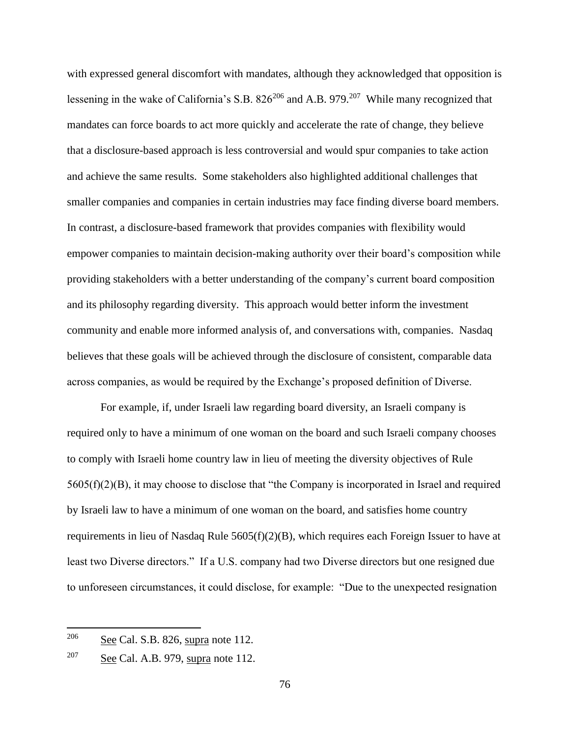with expressed general discomfort with mandates, although they acknowledged that opposition is lessening in the wake of California's S.B.  $826^{206}$  and A.B. 979.<sup>207</sup> While many recognized that mandates can force boards to act more quickly and accelerate the rate of change, they believe that a disclosure-based approach is less controversial and would spur companies to take action and achieve the same results. Some stakeholders also highlighted additional challenges that smaller companies and companies in certain industries may face finding diverse board members. In contrast, a disclosure-based framework that provides companies with flexibility would empower companies to maintain decision-making authority over their board's composition while providing stakeholders with a better understanding of the company's current board composition and its philosophy regarding diversity. This approach would better inform the investment community and enable more informed analysis of, and conversations with, companies. Nasdaq believes that these goals will be achieved through the disclosure of consistent, comparable data across companies, as would be required by the Exchange's proposed definition of Diverse.

For example, if, under Israeli law regarding board diversity, an Israeli company is required only to have a minimum of one woman on the board and such Israeli company chooses to comply with Israeli home country law in lieu of meeting the diversity objectives of Rule 5605(f)(2)(B), it may choose to disclose that "the Company is incorporated in Israel and required by Israeli law to have a minimum of one woman on the board, and satisfies home country requirements in lieu of Nasdaq Rule  $5605(f)(2)(B)$ , which requires each Foreign Issuer to have at least two Diverse directors." If a U.S. company had two Diverse directors but one resigned due to unforeseen circumstances, it could disclose, for example: "Due to the unexpected resignation

 $206$  See Cal. S.B. 826, supra note 112.

 $207$  See Cal. A.B. 979, supra note 112.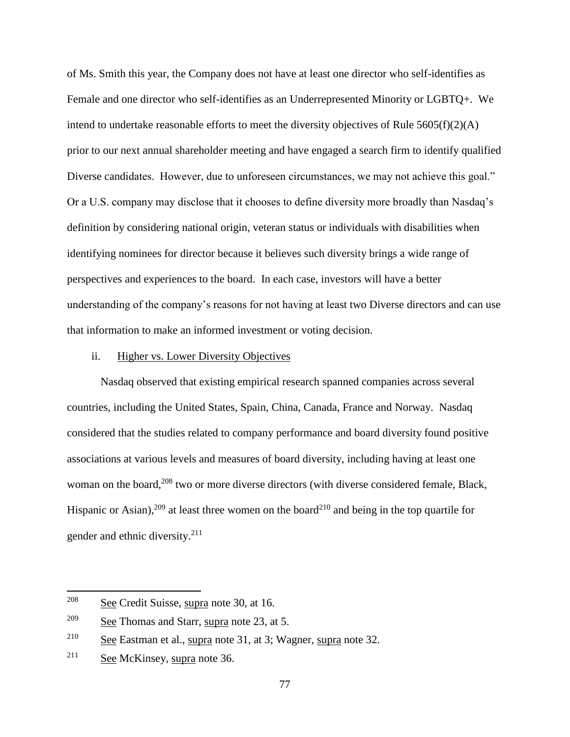of Ms. Smith this year, the Company does not have at least one director who self-identifies as Female and one director who self-identifies as an Underrepresented Minority or LGBTQ+. We intend to undertake reasonable efforts to meet the diversity objectives of Rule  $5605(f)(2)(A)$ prior to our next annual shareholder meeting and have engaged a search firm to identify qualified Diverse candidates. However, due to unforeseen circumstances, we may not achieve this goal." Or a U.S. company may disclose that it chooses to define diversity more broadly than Nasdaq's definition by considering national origin, veteran status or individuals with disabilities when identifying nominees for director because it believes such diversity brings a wide range of perspectives and experiences to the board. In each case, investors will have a better understanding of the company's reasons for not having at least two Diverse directors and can use that information to make an informed investment or voting decision.

#### ii. Higher vs. Lower Diversity Objectives

Nasdaq observed that existing empirical research spanned companies across several countries, including the United States, Spain, China, Canada, France and Norway. Nasdaq considered that the studies related to company performance and board diversity found positive associations at various levels and measures of board diversity, including having at least one woman on the board,<sup>208</sup> two or more diverse directors (with diverse considered female, Black, Hispanic or Asian),<sup>209</sup> at least three women on the board<sup>210</sup> and being in the top quartile for gender and ethnic diversity.<sup>211</sup>

<sup>208</sup> See Credit Suisse, supra note 30, at 16.

<sup>209</sup> See Thomas and Starr, supra note 23, at 5.

 $2^{10}$  See Eastman et al., supra note 31, at 3; Wagner, supra note 32.

<sup>211</sup> See McKinsey, supra note 36.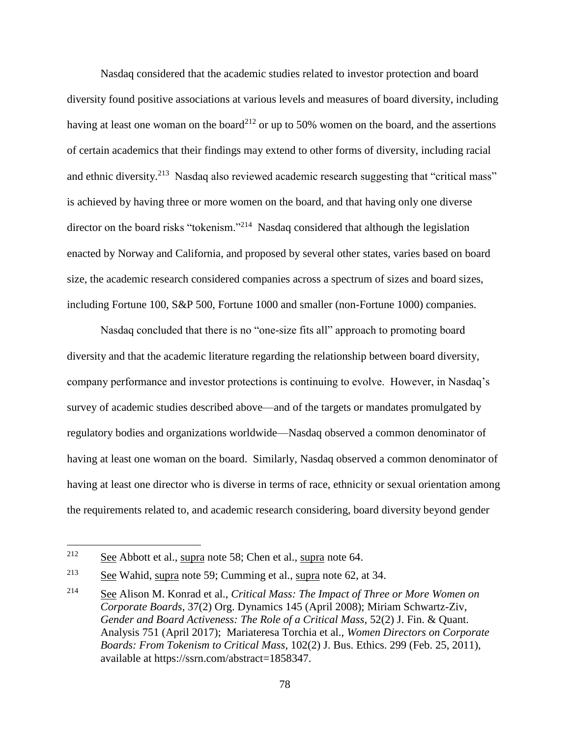Nasdaq considered that the academic studies related to investor protection and board diversity found positive associations at various levels and measures of board diversity, including having at least one woman on the board<sup>212</sup> or up to 50% women on the board, and the assertions of certain academics that their findings may extend to other forms of diversity, including racial and ethnic diversity.<sup>213</sup> Nasdaq also reviewed academic research suggesting that "critical mass" is achieved by having three or more women on the board, and that having only one diverse director on the board risks "tokenism."<sup>214</sup> Nasdaq considered that although the legislation enacted by Norway and California, and proposed by several other states, varies based on board size, the academic research considered companies across a spectrum of sizes and board sizes, including Fortune 100, S&P 500, Fortune 1000 and smaller (non-Fortune 1000) companies.

Nasdaq concluded that there is no "one-size fits all" approach to promoting board diversity and that the academic literature regarding the relationship between board diversity, company performance and investor protections is continuing to evolve. However, in Nasdaq's survey of academic studies described above—and of the targets or mandates promulgated by regulatory bodies and organizations worldwide—Nasdaq observed a common denominator of having at least one woman on the board. Similarly, Nasdaq observed a common denominator of having at least one director who is diverse in terms of race, ethnicity or sexual orientation among the requirements related to, and academic research considering, board diversity beyond gender

<sup>212</sup> See Abbott et al., supra note 58; Chen et al., supra note 64.

 $2^{13}$  See Wahid, supra note 59; Cumming et al., supra note 62, at 34.

<sup>214</sup> See Alison M. Konrad et al., *Critical Mass: The Impact of Three or More Women on Corporate Boards*, 37(2) Org. Dynamics 145 (April 2008); Miriam Schwartz-Ziv, *Gender and Board Activeness: The Role of a Critical Mass*, 52(2) J. Fin. & Quant. Analysis 751 (April 2017); Mariateresa Torchia et al., *Women Directors on Corporate Boards: From Tokenism to Critical Mass*, 102(2) J. Bus. Ethics. 299 (Feb. 25, 2011), available at https://ssrn.com/abstract=1858347.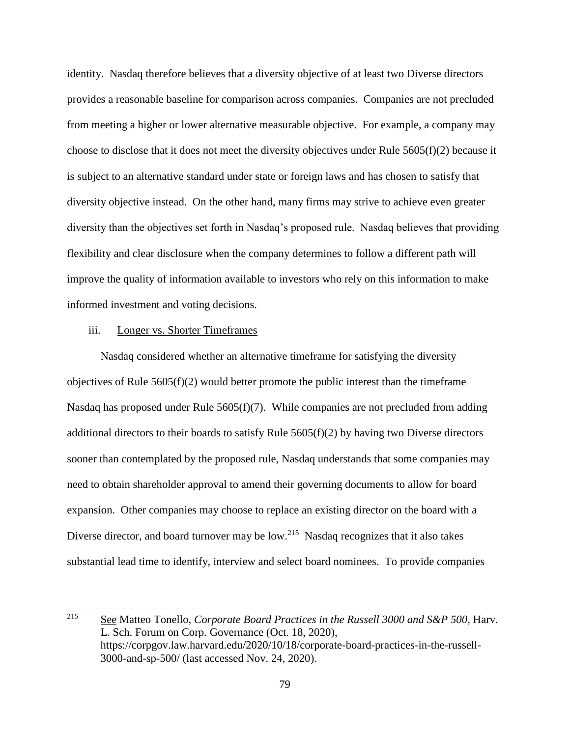identity. Nasdaq therefore believes that a diversity objective of at least two Diverse directors provides a reasonable baseline for comparison across companies. Companies are not precluded from meeting a higher or lower alternative measurable objective. For example, a company may choose to disclose that it does not meet the diversity objectives under Rule 5605(f)(2) because it is subject to an alternative standard under state or foreign laws and has chosen to satisfy that diversity objective instead. On the other hand, many firms may strive to achieve even greater diversity than the objectives set forth in Nasdaq's proposed rule. Nasdaq believes that providing flexibility and clear disclosure when the company determines to follow a different path will improve the quality of information available to investors who rely on this information to make informed investment and voting decisions.

#### iii. Longer vs. Shorter Timeframes

 $\overline{a}$ 

Nasdaq considered whether an alternative timeframe for satisfying the diversity objectives of Rule  $5605(f)(2)$  would better promote the public interest than the timeframe Nasdaq has proposed under Rule 5605(f)(7). While companies are not precluded from adding additional directors to their boards to satisfy Rule  $5605(f)(2)$  by having two Diverse directors sooner than contemplated by the proposed rule, Nasdaq understands that some companies may need to obtain shareholder approval to amend their governing documents to allow for board expansion. Other companies may choose to replace an existing director on the board with a Diverse director, and board turnover may be low.<sup>215</sup> Nasdaq recognizes that it also takes substantial lead time to identify, interview and select board nominees. To provide companies

<sup>215</sup> See Matteo Tonello, *Corporate Board Practices in the Russell 3000 and S&P 500*, Harv. L. Sch. Forum on Corp. Governance (Oct. 18, 2020), https://corpgov.law.harvard.edu/2020/10/18/corporate-board-practices-in-the-russell-3000-and-sp-500/ (last accessed Nov. 24, 2020).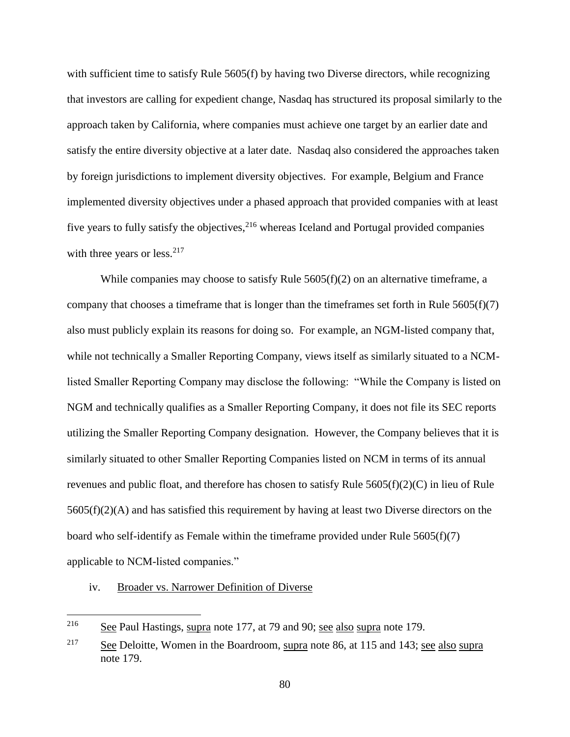with sufficient time to satisfy Rule 5605(f) by having two Diverse directors, while recognizing that investors are calling for expedient change, Nasdaq has structured its proposal similarly to the approach taken by California, where companies must achieve one target by an earlier date and satisfy the entire diversity objective at a later date. Nasdaq also considered the approaches taken by foreign jurisdictions to implement diversity objectives. For example, Belgium and France implemented diversity objectives under a phased approach that provided companies with at least five years to fully satisfy the objectives,  $216$  whereas Iceland and Portugal provided companies with three years or less. $217$ 

While companies may choose to satisfy Rule  $5605(f)(2)$  on an alternative timeframe, a company that chooses a timeframe that is longer than the timeframes set forth in Rule  $5605(f)(7)$ also must publicly explain its reasons for doing so. For example, an NGM-listed company that, while not technically a Smaller Reporting Company, views itself as similarly situated to a NCMlisted Smaller Reporting Company may disclose the following: "While the Company is listed on NGM and technically qualifies as a Smaller Reporting Company, it does not file its SEC reports utilizing the Smaller Reporting Company designation. However, the Company believes that it is similarly situated to other Smaller Reporting Companies listed on NCM in terms of its annual revenues and public float, and therefore has chosen to satisfy Rule 5605(f)(2)(C) in lieu of Rule 5605(f)(2)(A) and has satisfied this requirement by having at least two Diverse directors on the board who self-identify as Female within the timeframe provided under Rule 5605(f)(7) applicable to NCM-listed companies."

### iv. Broader vs. Narrower Definition of Diverse

<sup>216</sup> See Paul Hastings, supra note 177, at 79 and 90; see also supra note 179.

<sup>&</sup>lt;sup>217</sup> See Deloitte, Women in the Boardroom, supra note 86, at 115 and 143; see also supra note 179.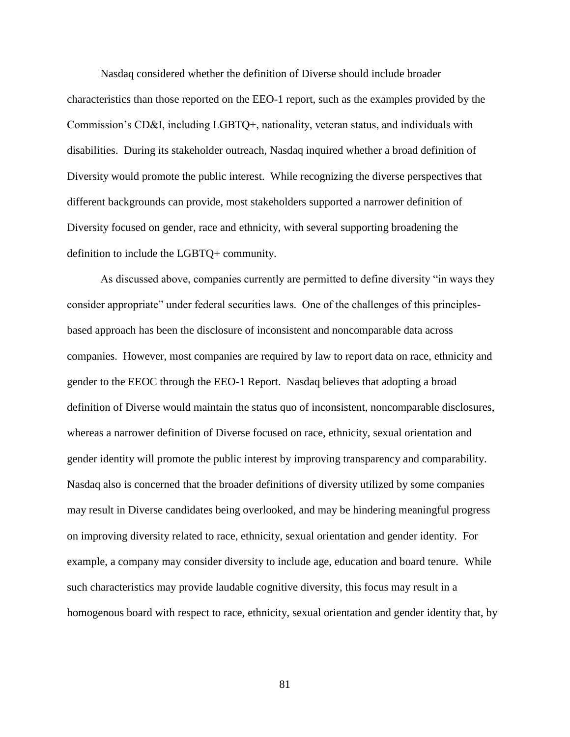Nasdaq considered whether the definition of Diverse should include broader characteristics than those reported on the EEO-1 report, such as the examples provided by the Commission's CD&I, including LGBTQ+, nationality, veteran status, and individuals with disabilities. During its stakeholder outreach, Nasdaq inquired whether a broad definition of Diversity would promote the public interest. While recognizing the diverse perspectives that different backgrounds can provide, most stakeholders supported a narrower definition of Diversity focused on gender, race and ethnicity, with several supporting broadening the definition to include the LGBTQ+ community.

As discussed above, companies currently are permitted to define diversity "in ways they consider appropriate" under federal securities laws. One of the challenges of this principlesbased approach has been the disclosure of inconsistent and noncomparable data across companies. However, most companies are required by law to report data on race, ethnicity and gender to the EEOC through the EEO-1 Report. Nasdaq believes that adopting a broad definition of Diverse would maintain the status quo of inconsistent, noncomparable disclosures, whereas a narrower definition of Diverse focused on race, ethnicity, sexual orientation and gender identity will promote the public interest by improving transparency and comparability. Nasdaq also is concerned that the broader definitions of diversity utilized by some companies may result in Diverse candidates being overlooked, and may be hindering meaningful progress on improving diversity related to race, ethnicity, sexual orientation and gender identity. For example, a company may consider diversity to include age, education and board tenure. While such characteristics may provide laudable cognitive diversity, this focus may result in a homogenous board with respect to race, ethnicity, sexual orientation and gender identity that, by

81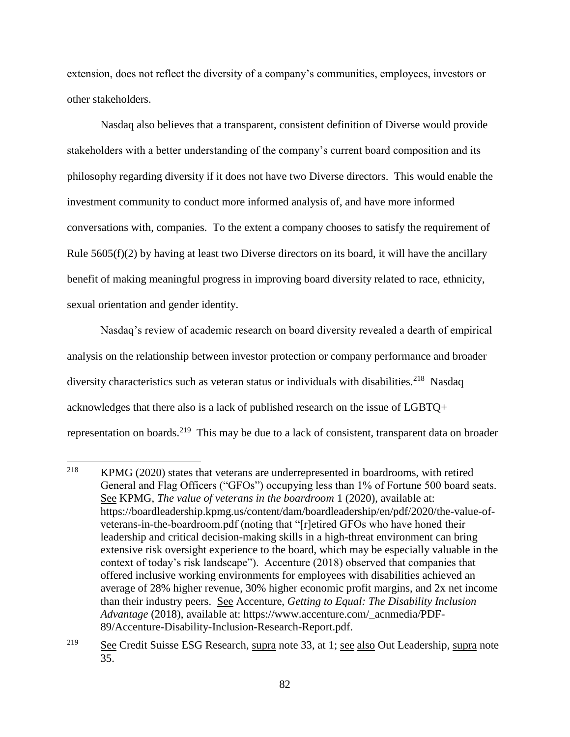extension, does not reflect the diversity of a company's communities, employees, investors or other stakeholders.

Nasdaq also believes that a transparent, consistent definition of Diverse would provide stakeholders with a better understanding of the company's current board composition and its philosophy regarding diversity if it does not have two Diverse directors. This would enable the investment community to conduct more informed analysis of, and have more informed conversations with, companies. To the extent a company chooses to satisfy the requirement of Rule  $5605(f)(2)$  by having at least two Diverse directors on its board, it will have the ancillary benefit of making meaningful progress in improving board diversity related to race, ethnicity, sexual orientation and gender identity.

Nasdaq's review of academic research on board diversity revealed a dearth of empirical analysis on the relationship between investor protection or company performance and broader diversity characteristics such as veteran status or individuals with disabilities.<sup>218</sup> Nasdaq acknowledges that there also is a lack of published research on the issue of LGBTQ+ representation on boards.<sup>219</sup> This may be due to a lack of consistent, transparent data on broader

<sup>&</sup>lt;sup>218</sup> KPMG (2020) states that veterans are underrepresented in boardrooms, with retired General and Flag Officers ("GFOs") occupying less than 1% of Fortune 500 board seats. See KPMG, *The value of veterans in the boardroom* 1 (2020), available at: https://boardleadership.kpmg.us/content/dam/boardleadership/en/pdf/2020/the-value-ofveterans-in-the-boardroom.pdf (noting that "[r]etired GFOs who have honed their leadership and critical decision-making skills in a high-threat environment can bring extensive risk oversight experience to the board, which may be especially valuable in the context of today's risk landscape"). Accenture (2018) observed that companies that offered inclusive working environments for employees with disabilities achieved an average of 28% higher revenue, 30% higher economic profit margins, and 2x net income than their industry peers. See Accenture, *Getting to Equal: The Disability Inclusion Advantage* (2018), available at: https://www.accenture.com/\_acnmedia/PDF-89/Accenture-Disability-Inclusion-Research-Report.pdf.

<sup>&</sup>lt;sup>219</sup> See Credit Suisse ESG Research, supra note 33, at 1; see also Out Leadership, supra note 35.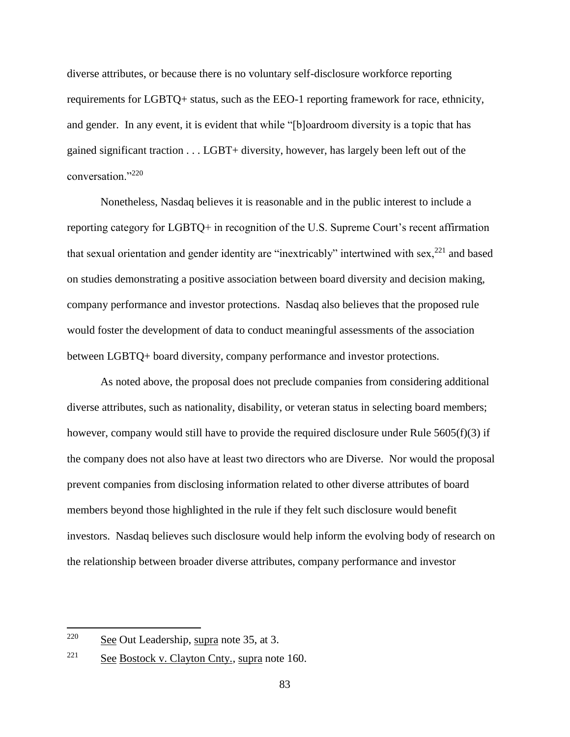diverse attributes, or because there is no voluntary self-disclosure workforce reporting requirements for LGBTQ+ status, such as the EEO-1 reporting framework for race, ethnicity, and gender. In any event, it is evident that while "[b]oardroom diversity is a topic that has gained significant traction . . . LGBT+ diversity, however, has largely been left out of the conversation."<sup>220</sup>

Nonetheless, Nasdaq believes it is reasonable and in the public interest to include a reporting category for LGBTQ+ in recognition of the U.S. Supreme Court's recent affirmation that sexual orientation and gender identity are "inextricably" intertwined with sex,<sup>221</sup> and based on studies demonstrating a positive association between board diversity and decision making, company performance and investor protections. Nasdaq also believes that the proposed rule would foster the development of data to conduct meaningful assessments of the association between LGBTQ+ board diversity, company performance and investor protections.

As noted above, the proposal does not preclude companies from considering additional diverse attributes, such as nationality, disability, or veteran status in selecting board members; however, company would still have to provide the required disclosure under Rule 5605(f)(3) if the company does not also have at least two directors who are Diverse. Nor would the proposal prevent companies from disclosing information related to other diverse attributes of board members beyond those highlighted in the rule if they felt such disclosure would benefit investors. Nasdaq believes such disclosure would help inform the evolving body of research on the relationship between broader diverse attributes, company performance and investor

 $220$  See Out Leadership, supra note 35, at 3.

<sup>&</sup>lt;sup>221</sup> See Bostock v. Clayton Cnty., supra note 160.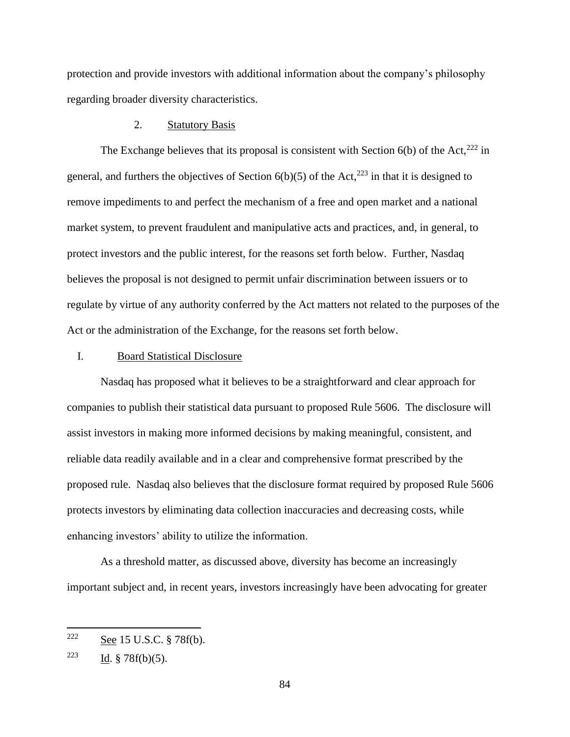protection and provide investors with additional information about the company's philosophy regarding broader diversity characteristics.

# 2. Statutory Basis

The Exchange believes that its proposal is consistent with Section  $6(b)$  of the Act,<sup>222</sup> in general, and furthers the objectives of Section  $6(b)(5)$  of the Act,<sup>223</sup> in that it is designed to remove impediments to and perfect the mechanism of a free and open market and a national market system, to prevent fraudulent and manipulative acts and practices, and, in general, to protect investors and the public interest, for the reasons set forth below. Further, Nasdaq believes the proposal is not designed to permit unfair discrimination between issuers or to regulate by virtue of any authority conferred by the Act matters not related to the purposes of the Act or the administration of the Exchange, for the reasons set forth below.

## I. Board Statistical Disclosure

Nasdaq has proposed what it believes to be a straightforward and clear approach for companies to publish their statistical data pursuant to proposed Rule 5606. The disclosure will assist investors in making more informed decisions by making meaningful, consistent, and reliable data readily available and in a clear and comprehensive format prescribed by the proposed rule. Nasdaq also believes that the disclosure format required by proposed Rule 5606 protects investors by eliminating data collection inaccuracies and decreasing costs, while enhancing investors' ability to utilize the information.

As a threshold matter, as discussed above, diversity has become an increasingly important subject and, in recent years, investors increasingly have been advocating for greater

 $222$  See 15 U.S.C. § 78f(b).

<sup>&</sup>lt;sup>223</sup> Id. § 78 $f(b)(5)$ .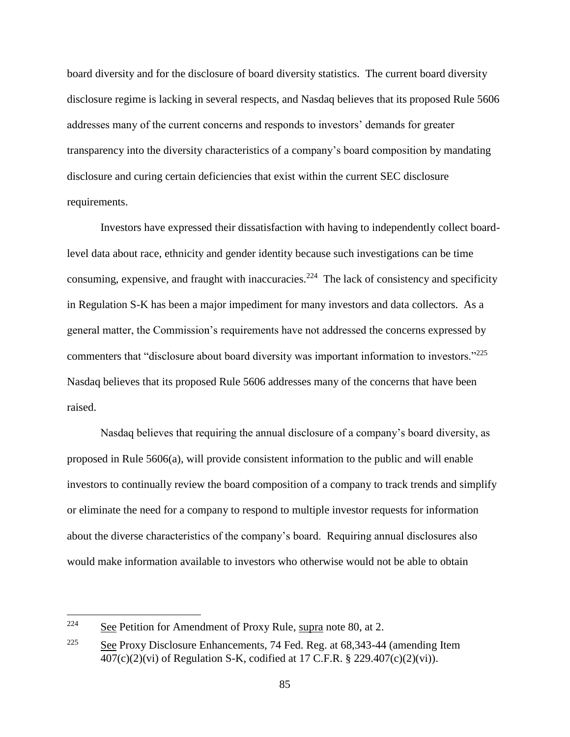board diversity and for the disclosure of board diversity statistics. The current board diversity disclosure regime is lacking in several respects, and Nasdaq believes that its proposed Rule 5606 addresses many of the current concerns and responds to investors' demands for greater transparency into the diversity characteristics of a company's board composition by mandating disclosure and curing certain deficiencies that exist within the current SEC disclosure requirements.

Investors have expressed their dissatisfaction with having to independently collect boardlevel data about race, ethnicity and gender identity because such investigations can be time consuming, expensive, and fraught with inaccuracies.<sup>224</sup> The lack of consistency and specificity in Regulation S-K has been a major impediment for many investors and data collectors. As a general matter, the Commission's requirements have not addressed the concerns expressed by commenters that "disclosure about board diversity was important information to investors."<sup>225</sup> Nasdaq believes that its proposed Rule 5606 addresses many of the concerns that have been raised.

Nasdaq believes that requiring the annual disclosure of a company's board diversity, as proposed in Rule 5606(a), will provide consistent information to the public and will enable investors to continually review the board composition of a company to track trends and simplify or eliminate the need for a company to respond to multiple investor requests for information about the diverse characteristics of the company's board. Requiring annual disclosures also would make information available to investors who otherwise would not be able to obtain

<sup>224</sup> See Petition for Amendment of Proxy Rule, supra note 80, at 2.

<sup>&</sup>lt;sup>225</sup> See Proxy Disclosure Enhancements, 74 Fed. Reg. at  $68,343-44$  (amending Item 407(c)(2)(vi) of Regulation S-K, codified at 17 C.F.R. § 229.407(c)(2)(vi)).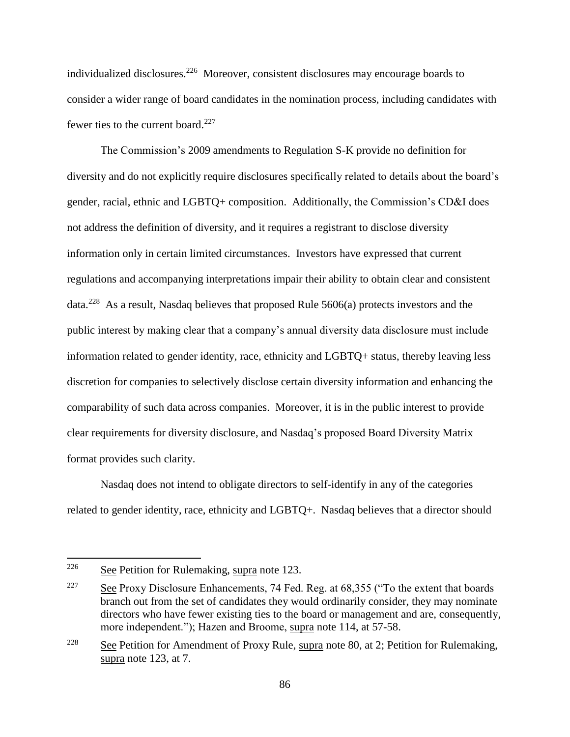individualized disclosures.<sup>226</sup> Moreover, consistent disclosures may encourage boards to consider a wider range of board candidates in the nomination process, including candidates with fewer ties to the current board. $227$ 

The Commission's 2009 amendments to Regulation S-K provide no definition for diversity and do not explicitly require disclosures specifically related to details about the board's gender, racial, ethnic and LGBTQ+ composition. Additionally, the Commission's CD&I does not address the definition of diversity, and it requires a registrant to disclose diversity information only in certain limited circumstances. Investors have expressed that current regulations and accompanying interpretations impair their ability to obtain clear and consistent data.<sup>228</sup> As a result, Nasdaq believes that proposed Rule 5606(a) protects investors and the public interest by making clear that a company's annual diversity data disclosure must include information related to gender identity, race, ethnicity and LGBTQ+ status, thereby leaving less discretion for companies to selectively disclose certain diversity information and enhancing the comparability of such data across companies. Moreover, it is in the public interest to provide clear requirements for diversity disclosure, and Nasdaq's proposed Board Diversity Matrix format provides such clarity.

Nasdaq does not intend to obligate directors to self-identify in any of the categories related to gender identity, race, ethnicity and LGBTQ+. Nasdaq believes that a director should

<sup>&</sup>lt;sup>226</sup> See Petition for Rulemaking, supra note 123.

<sup>&</sup>lt;sup>227</sup> See Proxy Disclosure Enhancements, 74 Fed. Reg. at  $68,355$  ("To the extent that boards" branch out from the set of candidates they would ordinarily consider, they may nominate directors who have fewer existing ties to the board or management and are, consequently, more independent."); Hazen and Broome, supra note 114, at 57-58.

<sup>&</sup>lt;sup>228</sup> See Petition for Amendment of Proxy Rule, supra note 80, at 2; Petition for Rulemaking, supra note 123, at 7.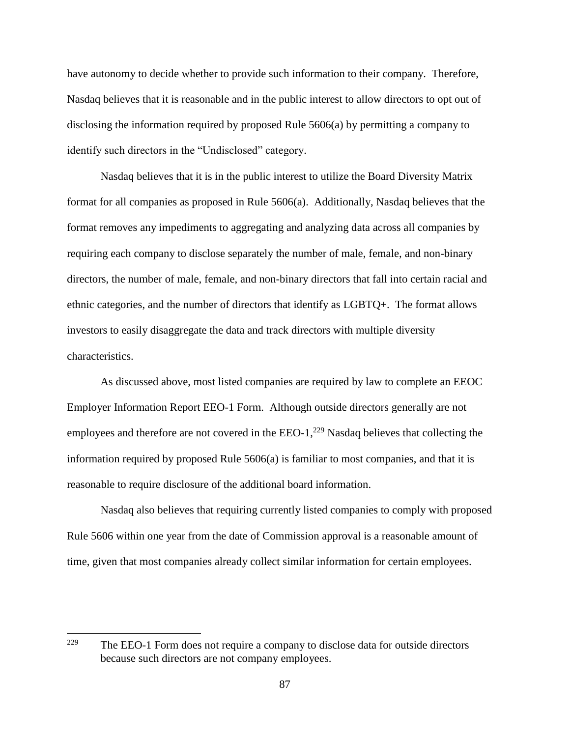have autonomy to decide whether to provide such information to their company. Therefore, Nasdaq believes that it is reasonable and in the public interest to allow directors to opt out of disclosing the information required by proposed Rule 5606(a) by permitting a company to identify such directors in the "Undisclosed" category.

Nasdaq believes that it is in the public interest to utilize the Board Diversity Matrix format for all companies as proposed in Rule 5606(a). Additionally, Nasdaq believes that the format removes any impediments to aggregating and analyzing data across all companies by requiring each company to disclose separately the number of male, female, and non-binary directors, the number of male, female, and non-binary directors that fall into certain racial and ethnic categories, and the number of directors that identify as LGBTQ+. The format allows investors to easily disaggregate the data and track directors with multiple diversity characteristics.

As discussed above, most listed companies are required by law to complete an EEOC Employer Information Report EEO-1 Form. Although outside directors generally are not employees and therefore are not covered in the  $EEO-1$ ,  $229$  Nasdaq believes that collecting the information required by proposed Rule  $5606(a)$  is familiar to most companies, and that it is reasonable to require disclosure of the additional board information.

Nasdaq also believes that requiring currently listed companies to comply with proposed Rule 5606 within one year from the date of Commission approval is a reasonable amount of time, given that most companies already collect similar information for certain employees.

<sup>229</sup> The EEO-1 Form does not require a company to disclose data for outside directors because such directors are not company employees.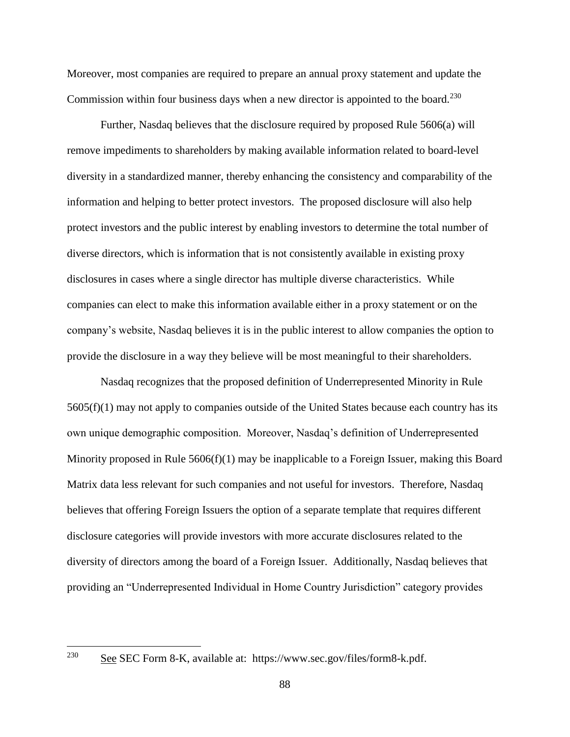Moreover, most companies are required to prepare an annual proxy statement and update the Commission within four business days when a new director is appointed to the board.<sup>230</sup>

Further, Nasdaq believes that the disclosure required by proposed Rule 5606(a) will remove impediments to shareholders by making available information related to board-level diversity in a standardized manner, thereby enhancing the consistency and comparability of the information and helping to better protect investors. The proposed disclosure will also help protect investors and the public interest by enabling investors to determine the total number of diverse directors, which is information that is not consistently available in existing proxy disclosures in cases where a single director has multiple diverse characteristics. While companies can elect to make this information available either in a proxy statement or on the company's website, Nasdaq believes it is in the public interest to allow companies the option to provide the disclosure in a way they believe will be most meaningful to their shareholders.

Nasdaq recognizes that the proposed definition of Underrepresented Minority in Rule 5605(f)(1) may not apply to companies outside of the United States because each country has its own unique demographic composition. Moreover, Nasdaq's definition of Underrepresented Minority proposed in Rule  $5606(f)(1)$  may be inapplicable to a Foreign Issuer, making this Board Matrix data less relevant for such companies and not useful for investors. Therefore, Nasdaq believes that offering Foreign Issuers the option of a separate template that requires different disclosure categories will provide investors with more accurate disclosures related to the diversity of directors among the board of a Foreign Issuer. Additionally, Nasdaq believes that providing an "Underrepresented Individual in Home Country Jurisdiction" category provides

See SEC Form 8-K, available at: https://www.sec.gov/files/form8-k.pdf.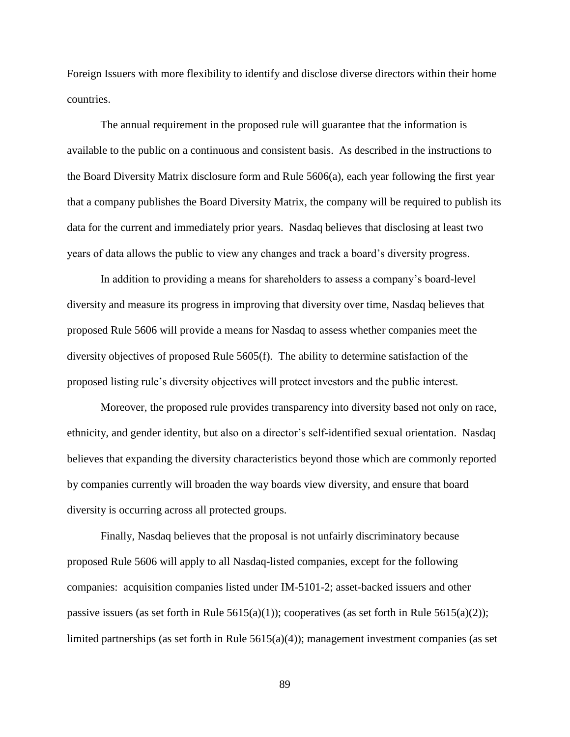Foreign Issuers with more flexibility to identify and disclose diverse directors within their home countries.

The annual requirement in the proposed rule will guarantee that the information is available to the public on a continuous and consistent basis. As described in the instructions to the Board Diversity Matrix disclosure form and Rule 5606(a), each year following the first year that a company publishes the Board Diversity Matrix, the company will be required to publish its data for the current and immediately prior years. Nasdaq believes that disclosing at least two years of data allows the public to view any changes and track a board's diversity progress.

In addition to providing a means for shareholders to assess a company's board-level diversity and measure its progress in improving that diversity over time, Nasdaq believes that proposed Rule 5606 will provide a means for Nasdaq to assess whether companies meet the diversity objectives of proposed Rule 5605(f). The ability to determine satisfaction of the proposed listing rule's diversity objectives will protect investors and the public interest.

Moreover, the proposed rule provides transparency into diversity based not only on race, ethnicity, and gender identity, but also on a director's self-identified sexual orientation. Nasdaq believes that expanding the diversity characteristics beyond those which are commonly reported by companies currently will broaden the way boards view diversity, and ensure that board diversity is occurring across all protected groups.

Finally, Nasdaq believes that the proposal is not unfairly discriminatory because proposed Rule 5606 will apply to all Nasdaq-listed companies, except for the following companies: acquisition companies listed under IM-5101-2; asset-backed issuers and other passive issuers (as set forth in Rule  $5615(a)(1)$ ); cooperatives (as set forth in Rule  $5615(a)(2)$ ); limited partnerships (as set forth in Rule  $5615(a)(4)$ ); management investment companies (as set

89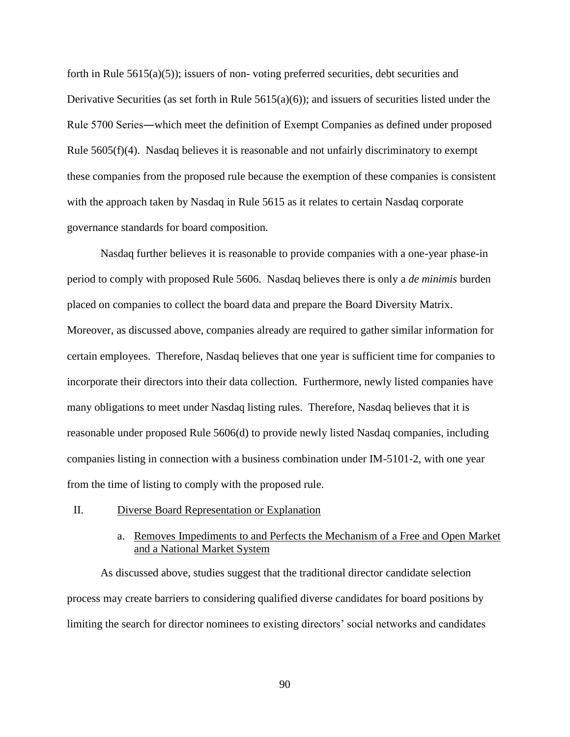forth in Rule  $5615(a)(5)$ ; issuers of non-voting preferred securities, debt securities and Derivative Securities (as set forth in Rule  $5615(a)(6)$ ); and issuers of securities listed under the Rule 5700 Series―which meet the definition of Exempt Companies as defined under proposed Rule 5605(f)(4). Nasdaq believes it is reasonable and not unfairly discriminatory to exempt these companies from the proposed rule because the exemption of these companies is consistent with the approach taken by Nasdaq in Rule 5615 as it relates to certain Nasdaq corporate governance standards for board composition.

Nasdaq further believes it is reasonable to provide companies with a one-year phase-in period to comply with proposed Rule 5606. Nasdaq believes there is only a *de minimis* burden placed on companies to collect the board data and prepare the Board Diversity Matrix. Moreover, as discussed above, companies already are required to gather similar information for certain employees. Therefore, Nasdaq believes that one year is sufficient time for companies to incorporate their directors into their data collection. Furthermore, newly listed companies have many obligations to meet under Nasdaq listing rules. Therefore, Nasdaq believes that it is reasonable under proposed Rule 5606(d) to provide newly listed Nasdaq companies, including companies listing in connection with a business combination under IM-5101-2, with one year from the time of listing to comply with the proposed rule.

## II. Diverse Board Representation or Explanation

## a. Removes Impediments to and Perfects the Mechanism of a Free and Open Market and a National Market System

As discussed above, studies suggest that the traditional director candidate selection process may create barriers to considering qualified diverse candidates for board positions by limiting the search for director nominees to existing directors' social networks and candidates

90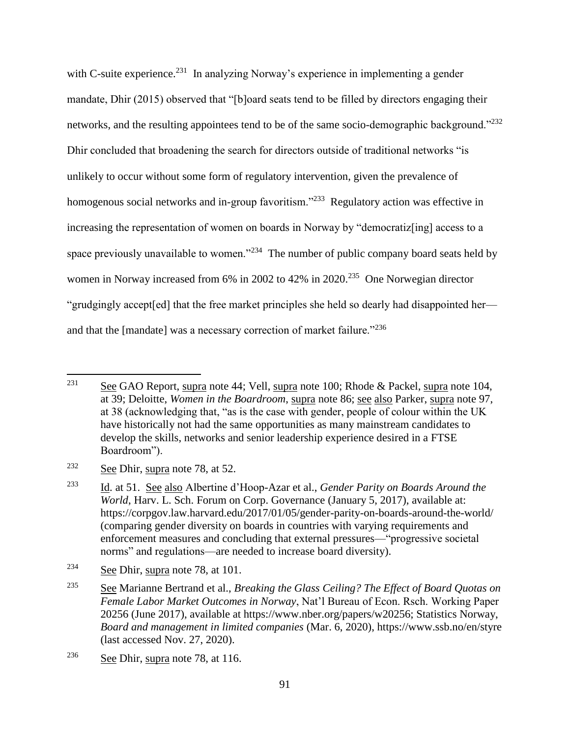with C-suite experience.<sup>231</sup> In analyzing Norway's experience in implementing a gender mandate, Dhir (2015) observed that "[b]oard seats tend to be filled by directors engaging their networks, and the resulting appointees tend to be of the same socio-demographic background."<sup>232</sup> Dhir concluded that broadening the search for directors outside of traditional networks "is unlikely to occur without some form of regulatory intervention, given the prevalence of homogenous social networks and in-group favoritism."<sup>233</sup> Regulatory action was effective in increasing the representation of women on boards in Norway by "democratizentlest" access to a space previously unavailable to women."<sup>234</sup> The number of public company board seats held by women in Norway increased from 6% in 2002 to 42% in 2020.<sup>235</sup> One Norwegian director "grudgingly accept[ed] that the free market principles she held so dearly had disappointed her and that the [mandate] was a necessary correction of market failure."<sup>236</sup>

<sup>&</sup>lt;sup>231</sup> See GAO Report, supra note 44; Vell, supra note 100; Rhode & Packel, supra note 104, at 39; Deloitte, *Women in the Boardroom*, supra note 86; see also Parker, supra note 97, at 38 (acknowledging that, "as is the case with gender, people of colour within the UK have historically not had the same opportunities as many mainstream candidates to develop the skills, networks and senior leadership experience desired in a FTSE Boardroom").

<sup>&</sup>lt;sup>232</sup> See Dhir, supra note 78, at 52.

<sup>233</sup> Id. at 51. See also Albertine d'Hoop-Azar et al., *Gender Parity on Boards Around the World*, Harv. L. Sch. Forum on Corp. Governance (January 5, 2017), available at: https://corpgov.law.harvard.edu/2017/01/05/gender-parity-on-boards-around-the-world/ (comparing gender diversity on boards in countries with varying requirements and enforcement measures and concluding that external pressures—"progressive societal norms" and regulations—are needed to increase board diversity).

<sup>234</sup> See Dhir, supra note 78, at 101.

<sup>235</sup> See Marianne Bertrand et al., *Breaking the Glass Ceiling? The Effect of Board Quotas on Female Labor Market Outcomes in Norway*, Nat'l Bureau of Econ. Rsch. Working Paper 20256 (June 2017), available at https://www.nber.org/papers/w20256; Statistics Norway, *Board and management in limited companies* (Mar. 6, 2020), https://www.ssb.no/en/styre (last accessed Nov. 27, 2020).

<sup>&</sup>lt;sup>236</sup> See Dhir, supra note 78, at 116.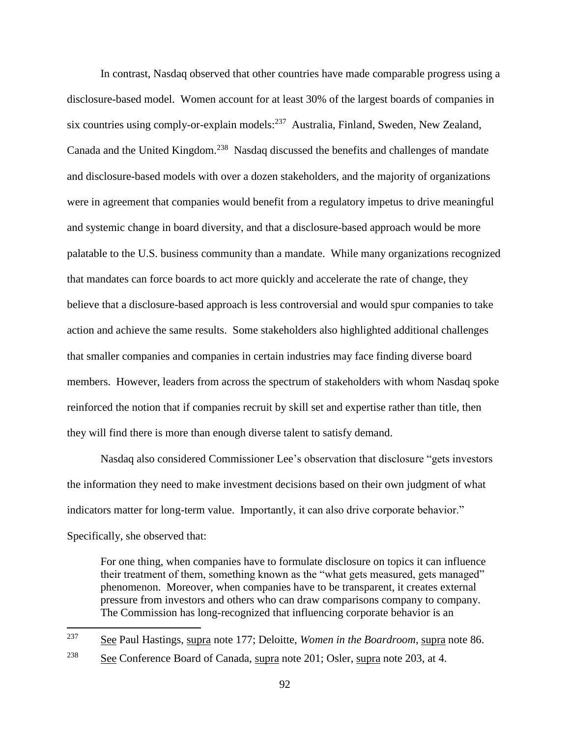In contrast, Nasdaq observed that other countries have made comparable progress using a disclosure-based model. Women account for at least 30% of the largest boards of companies in six countries using comply-or-explain models: $^{237}$  Australia, Finland, Sweden, New Zealand, Canada and the United Kingdom.<sup>238</sup> Nasdaq discussed the benefits and challenges of mandate and disclosure-based models with over a dozen stakeholders, and the majority of organizations were in agreement that companies would benefit from a regulatory impetus to drive meaningful and systemic change in board diversity, and that a disclosure-based approach would be more palatable to the U.S. business community than a mandate. While many organizations recognized that mandates can force boards to act more quickly and accelerate the rate of change, they believe that a disclosure-based approach is less controversial and would spur companies to take action and achieve the same results. Some stakeholders also highlighted additional challenges that smaller companies and companies in certain industries may face finding diverse board members. However, leaders from across the spectrum of stakeholders with whom Nasdaq spoke reinforced the notion that if companies recruit by skill set and expertise rather than title, then they will find there is more than enough diverse talent to satisfy demand.

Nasdaq also considered Commissioner Lee's observation that disclosure "gets investors the information they need to make investment decisions based on their own judgment of what indicators matter for long-term value. Importantly, it can also drive corporate behavior." Specifically, she observed that:

For one thing, when companies have to formulate disclosure on topics it can influence their treatment of them, something known as the "what gets measured, gets managed" phenomenon. Moreover, when companies have to be transparent, it creates external pressure from investors and others who can draw comparisons company to company. The Commission has long-recognized that influencing corporate behavior is an

<sup>237</sup> See Paul Hastings, supra note 177; Deloitte, *Women in the Boardroom*, supra note 86. <sup>238</sup> See Conference Board of Canada, supra note 201; Osler, supra note 203, at 4.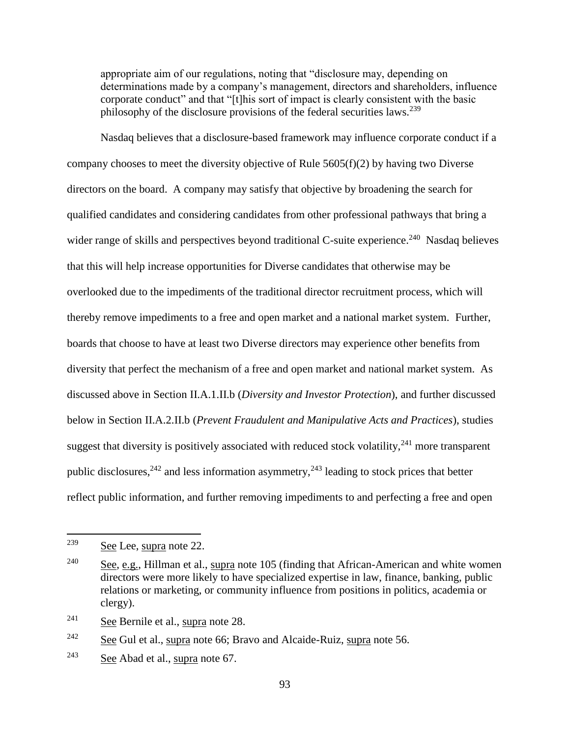appropriate aim of our regulations, noting that "disclosure may, depending on determinations made by a company's management, directors and shareholders, influence corporate conduct" and that "[t]his sort of impact is clearly consistent with the basic philosophy of the disclosure provisions of the federal securities laws.<sup>239</sup>

Nasdaq believes that a disclosure-based framework may influence corporate conduct if a company chooses to meet the diversity objective of Rule 5605(f)(2) by having two Diverse directors on the board. A company may satisfy that objective by broadening the search for qualified candidates and considering candidates from other professional pathways that bring a wider range of skills and perspectives beyond traditional C-suite experience.<sup>240</sup> Nasdaq believes that this will help increase opportunities for Diverse candidates that otherwise may be overlooked due to the impediments of the traditional director recruitment process, which will thereby remove impediments to a free and open market and a national market system. Further, boards that choose to have at least two Diverse directors may experience other benefits from diversity that perfect the mechanism of a free and open market and national market system. As discussed above in Section II.A.1.II.b (*Diversity and Investor Protection*), and further discussed below in Section II.A.2.II.b (*Prevent Fraudulent and Manipulative Acts and Practices*), studies suggest that diversity is positively associated with reduced stock volatility,  $241$  more transparent public disclosures,  $242$  and less information asymmetry,  $243$  leading to stock prices that better reflect public information, and further removing impediments to and perfecting a free and open

 $\overline{a}$ 

 $242$  See Gul et al., supra note 66; Bravo and Alcaide-Ruiz, supra note 56.

<sup>239</sup> See Lee, supra note 22.

<sup>240</sup> See, e.g., Hillman et al., supra note 105 (finding that African-American and white women directors were more likely to have specialized expertise in law, finance, banking, public relations or marketing, or community influence from positions in politics, academia or clergy).

<sup>241</sup> See Bernile et al., supra note 28.

 $243$  See Abad et al., supra note 67.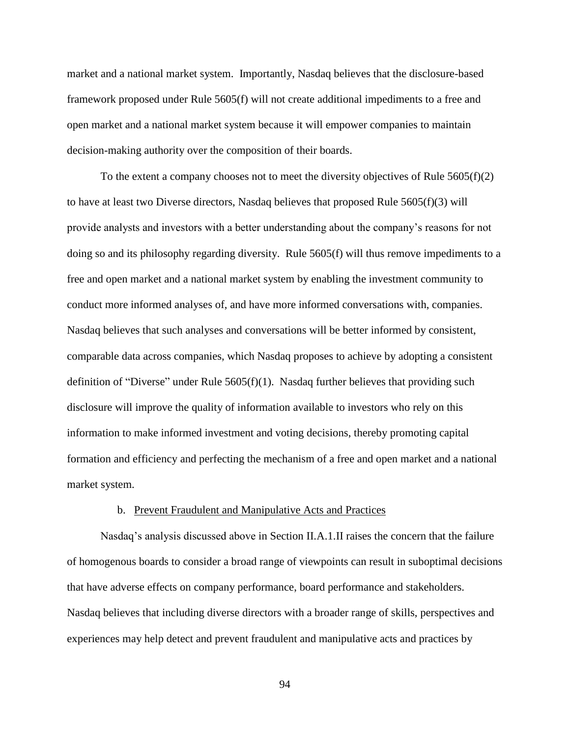market and a national market system. Importantly, Nasdaq believes that the disclosure-based framework proposed under Rule 5605(f) will not create additional impediments to a free and open market and a national market system because it will empower companies to maintain decision-making authority over the composition of their boards.

To the extent a company chooses not to meet the diversity objectives of Rule  $5605(f)(2)$ to have at least two Diverse directors, Nasdaq believes that proposed Rule 5605(f)(3) will provide analysts and investors with a better understanding about the company's reasons for not doing so and its philosophy regarding diversity. Rule 5605(f) will thus remove impediments to a free and open market and a national market system by enabling the investment community to conduct more informed analyses of, and have more informed conversations with, companies. Nasdaq believes that such analyses and conversations will be better informed by consistent, comparable data across companies, which Nasdaq proposes to achieve by adopting a consistent definition of "Diverse" under Rule 5605(f)(1). Nasdaq further believes that providing such disclosure will improve the quality of information available to investors who rely on this information to make informed investment and voting decisions, thereby promoting capital formation and efficiency and perfecting the mechanism of a free and open market and a national market system.

#### b. Prevent Fraudulent and Manipulative Acts and Practices

Nasdaq's analysis discussed above in Section II.A.1.II raises the concern that the failure of homogenous boards to consider a broad range of viewpoints can result in suboptimal decisions that have adverse effects on company performance, board performance and stakeholders. Nasdaq believes that including diverse directors with a broader range of skills, perspectives and experiences may help detect and prevent fraudulent and manipulative acts and practices by

94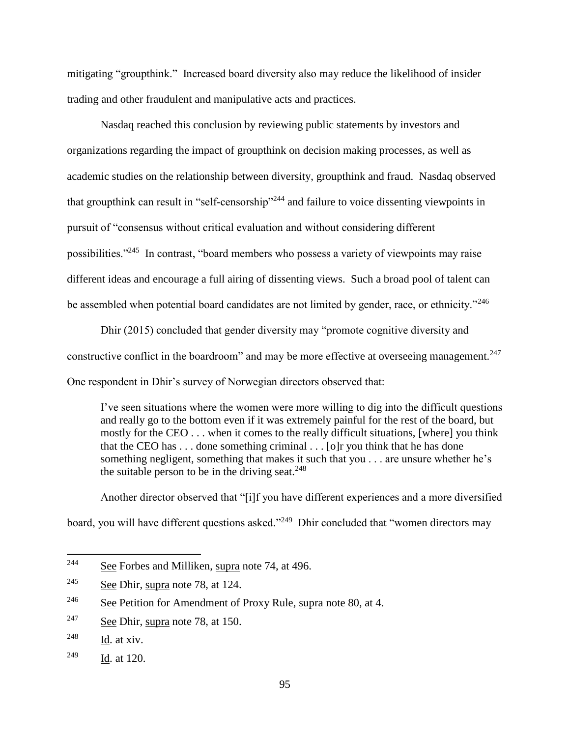mitigating "groupthink." Increased board diversity also may reduce the likelihood of insider trading and other fraudulent and manipulative acts and practices.

Nasdaq reached this conclusion by reviewing public statements by investors and organizations regarding the impact of groupthink on decision making processes, as well as academic studies on the relationship between diversity, groupthink and fraud. Nasdaq observed that groupthink can result in "self-censorship"<sup>244</sup> and failure to voice dissenting viewpoints in pursuit of "consensus without critical evaluation and without considering different possibilities."<sup>245</sup> In contrast, "board members who possess a variety of viewpoints may raise different ideas and encourage a full airing of dissenting views. Such a broad pool of talent can be assembled when potential board candidates are not limited by gender, race, or ethnicity."<sup>246</sup>

Dhir (2015) concluded that gender diversity may "promote cognitive diversity and constructive conflict in the boardroom" and may be more effective at overseeing management.<sup>247</sup> One respondent in Dhir's survey of Norwegian directors observed that:

I've seen situations where the women were more willing to dig into the difficult questions and really go to the bottom even if it was extremely painful for the rest of the board, but mostly for the CEO . . . when it comes to the really difficult situations, [where] you think that the CEO has . . . done something criminal . . . [o]r you think that he has done something negligent, something that makes it such that you . . . are unsure whether he's the suitable person to be in the driving seat.  $248$ 

Another director observed that "[i]f you have different experiences and a more diversified board, you will have different questions asked."<sup>249</sup> Dhir concluded that "women directors may

<sup>244</sup> See Forbes and Milliken, supra note 74, at 496.

<sup>&</sup>lt;sup>245</sup> See Dhir, supra note 78, at 124.

<sup>&</sup>lt;sup>246</sup> See Petition for Amendment of Proxy Rule, supra note 80, at 4.

<sup>&</sup>lt;sup>247</sup> See Dhir, supra note 78, at 150.

 $248$  Id. at xiv.

<sup>249</sup> Id. at 120.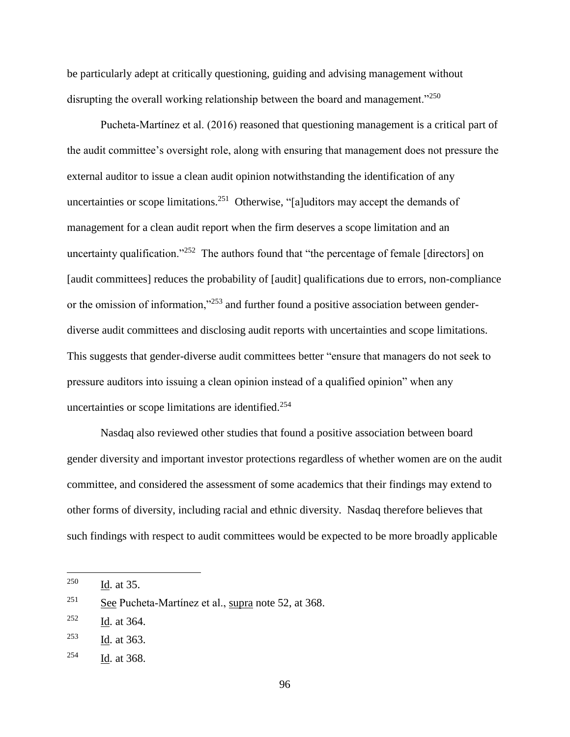be particularly adept at critically questioning, guiding and advising management without disrupting the overall working relationship between the board and management."<sup>250</sup>

Pucheta‐Martínez et al. (2016) reasoned that questioning management is a critical part of the audit committee's oversight role, along with ensuring that management does not pressure the external auditor to issue a clean audit opinion notwithstanding the identification of any uncertainties or scope limitations.<sup>251</sup> Otherwise, "[a]uditors may accept the demands of management for a clean audit report when the firm deserves a scope limitation and an uncertainty qualification."<sup>252</sup> The authors found that "the percentage of female [directors] on [audit committees] reduces the probability of [audit] qualifications due to errors, non-compliance or the omission of information,"<sup>253</sup> and further found a positive association between genderdiverse audit committees and disclosing audit reports with uncertainties and scope limitations. This suggests that gender-diverse audit committees better "ensure that managers do not seek to pressure auditors into issuing a clean opinion instead of a qualified opinion" when any uncertainties or scope limitations are identified.<sup>254</sup>

Nasdaq also reviewed other studies that found a positive association between board gender diversity and important investor protections regardless of whether women are on the audit committee, and considered the assessment of some academics that their findings may extend to other forms of diversity, including racial and ethnic diversity. Nasdaq therefore believes that such findings with respect to audit committees would be expected to be more broadly applicable

<sup>250</sup> Id. at 35.

<sup>&</sup>lt;sup>251</sup> See Pucheta-Martínez et al., supra note 52, at 368.

<sup>252</sup> Id. at 364.

<sup>253</sup> Id. at 363.

<sup>254</sup> Id. at 368.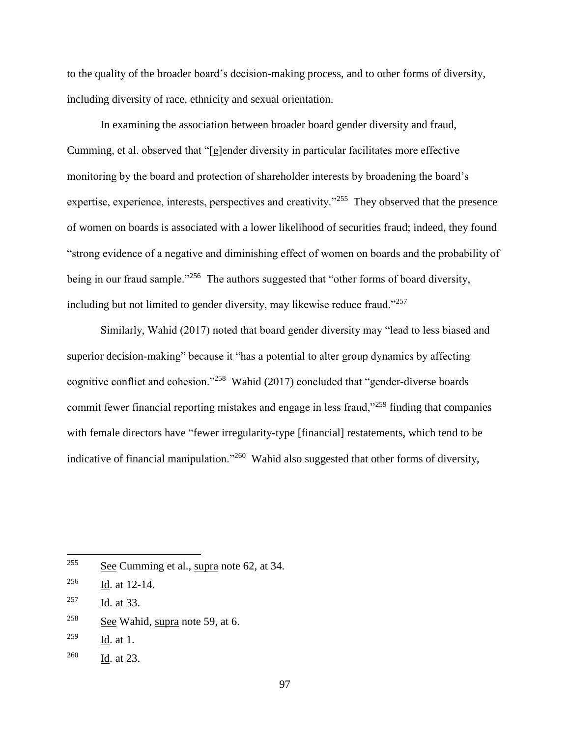to the quality of the broader board's decision-making process, and to other forms of diversity, including diversity of race, ethnicity and sexual orientation.

In examining the association between broader board gender diversity and fraud, Cumming, et al. observed that "[g]ender diversity in particular facilitates more effective monitoring by the board and protection of shareholder interests by broadening the board's expertise, experience, interests, perspectives and creativity."<sup>255</sup> They observed that the presence of women on boards is associated with a lower likelihood of securities fraud; indeed, they found "strong evidence of a negative and diminishing effect of women on boards and the probability of being in our fraud sample."<sup>256</sup> The authors suggested that "other forms of board diversity, including but not limited to gender diversity, may likewise reduce fraud."<sup>257</sup>

Similarly, Wahid (2017) noted that board gender diversity may "lead to less biased and superior decision-making" because it "has a potential to alter group dynamics by affecting cognitive conflict and cohesion."<sup>258</sup> Wahid (2017) concluded that "gender-diverse boards commit fewer financial reporting mistakes and engage in less fraud,"<sup>259</sup> finding that companies with female directors have "fewer irregularity-type [financial] restatements, which tend to be indicative of financial manipulation."<sup>260</sup> Wahid also suggested that other forms of diversity,

- <sup>258</sup> See Wahid, supra note 59, at 6.
- $^{259}$  Id. at 1.

<sup>255</sup> See Cumming et al., supra note 62, at 34.

<sup>256</sup> Id. at 12-14.

<sup>257</sup> Id. at 33.

<sup>260</sup> Id. at 23.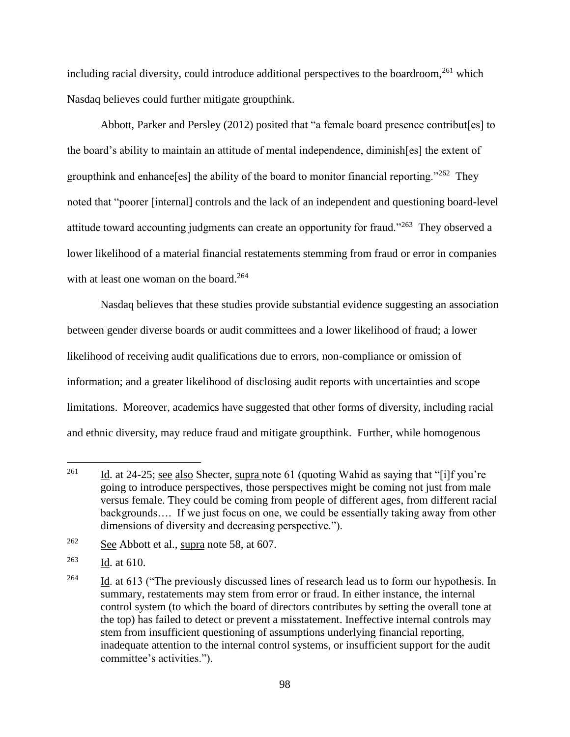including racial diversity, could introduce additional perspectives to the boardroom, $^{261}$  which Nasdaq believes could further mitigate groupthink.

Abbott, Parker and Persley (2012) posited that "a female board presence contribut[es] to the board's ability to maintain an attitude of mental independence, diminish[es] the extent of groupthink and enhance [es] the ability of the board to monitor financial reporting."<sup>262</sup> They noted that "poorer [internal] controls and the lack of an independent and questioning board-level attitude toward accounting judgments can create an opportunity for fraud."<sup>263</sup> They observed a lower likelihood of a material financial restatements stemming from fraud or error in companies with at least one woman on the board.<sup>264</sup>

Nasdaq believes that these studies provide substantial evidence suggesting an association between gender diverse boards or audit committees and a lower likelihood of fraud; a lower likelihood of receiving audit qualifications due to errors, non-compliance or omission of information; and a greater likelihood of disclosing audit reports with uncertainties and scope limitations. Moreover, academics have suggested that other forms of diversity, including racial and ethnic diversity, may reduce fraud and mitigate groupthink. Further, while homogenous

<sup>261</sup> Id. at 24-25; see also Shecter, supra note 61 (quoting Wahid as saying that "[i]f you're going to introduce perspectives, those perspectives might be coming not just from male versus female. They could be coming from people of different ages, from different racial backgrounds…. If we just focus on one, we could be essentially taking away from other dimensions of diversity and decreasing perspective.").

 $262$  See Abbott et al., supra note 58, at 607.

 $263$  Id. at 610.

<sup>&</sup>lt;sup>264</sup> Id. at 613 ("The previously discussed lines of research lead us to form our hypothesis. In summary, restatements may stem from error or fraud. In either instance, the internal control system (to which the board of directors contributes by setting the overall tone at the top) has failed to detect or prevent a misstatement. Ineffective internal controls may stem from insufficient questioning of assumptions underlying financial reporting, inadequate attention to the internal control systems, or insufficient support for the audit committee's activities.").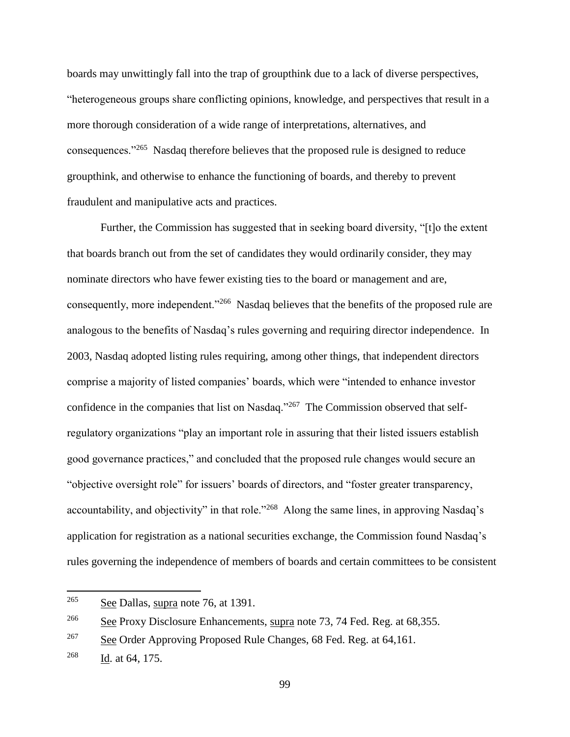boards may unwittingly fall into the trap of groupthink due to a lack of diverse perspectives, "heterogeneous groups share conflicting opinions, knowledge, and perspectives that result in a more thorough consideration of a wide range of interpretations, alternatives, and consequences."<sup>265</sup> Nasdaq therefore believes that the proposed rule is designed to reduce groupthink, and otherwise to enhance the functioning of boards, and thereby to prevent fraudulent and manipulative acts and practices.

Further, the Commission has suggested that in seeking board diversity, "[t]o the extent that boards branch out from the set of candidates they would ordinarily consider, they may nominate directors who have fewer existing ties to the board or management and are, consequently, more independent."<sup>266</sup> Nasdaq believes that the benefits of the proposed rule are analogous to the benefits of Nasdaq's rules governing and requiring director independence. In 2003, Nasdaq adopted listing rules requiring, among other things, that independent directors comprise a majority of listed companies' boards, which were "intended to enhance investor confidence in the companies that list on Nasdaq."<sup>267</sup> The Commission observed that selfregulatory organizations "play an important role in assuring that their listed issuers establish good governance practices," and concluded that the proposed rule changes would secure an "objective oversight role" for issuers' boards of directors, and "foster greater transparency, accountability, and objectivity" in that role."<sup>268</sup> Along the same lines, in approving Nasdaq's application for registration as a national securities exchange, the Commission found Nasdaq's rules governing the independence of members of boards and certain committees to be consistent

<sup>265</sup> See Dallas, supra note 76, at 1391.

<sup>&</sup>lt;sup>266</sup> See Proxy Disclosure Enhancements, supra note 73, 74 Fed. Reg. at 68,355.

 $267$  See Order Approving Proposed Rule Changes, 68 Fed. Reg. at 64,161.

<sup>268</sup> Id. at 64, 175.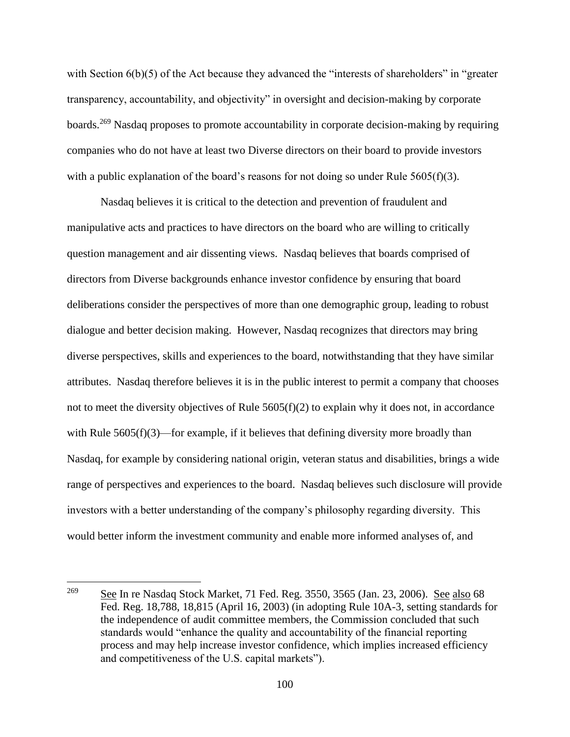with Section  $6(b)(5)$  of the Act because they advanced the "interests of shareholders" in "greater transparency, accountability, and objectivity" in oversight and decision-making by corporate boards.<sup>269</sup> Nasdaq proposes to promote accountability in corporate decision-making by requiring companies who do not have at least two Diverse directors on their board to provide investors with a public explanation of the board's reasons for not doing so under Rule  $5605(f)(3)$ .

Nasdaq believes it is critical to the detection and prevention of fraudulent and manipulative acts and practices to have directors on the board who are willing to critically question management and air dissenting views. Nasdaq believes that boards comprised of directors from Diverse backgrounds enhance investor confidence by ensuring that board deliberations consider the perspectives of more than one demographic group, leading to robust dialogue and better decision making. However, Nasdaq recognizes that directors may bring diverse perspectives, skills and experiences to the board, notwithstanding that they have similar attributes. Nasdaq therefore believes it is in the public interest to permit a company that chooses not to meet the diversity objectives of Rule  $5605(f)(2)$  to explain why it does not, in accordance with Rule  $5605(f)(3)$ —for example, if it believes that defining diversity more broadly than Nasdaq, for example by considering national origin, veteran status and disabilities, brings a wide range of perspectives and experiences to the board. Nasdaq believes such disclosure will provide investors with a better understanding of the company's philosophy regarding diversity. This would better inform the investment community and enable more informed analyses of, and

<sup>&</sup>lt;sup>269</sup> See In re Nasdaq Stock Market, 71 Fed. Reg. 3550, 3565 (Jan. 23, 2006). See also 68 Fed. Reg. 18,788, 18,815 (April 16, 2003) (in adopting Rule 10A-3, setting standards for the independence of audit committee members, the Commission concluded that such standards would "enhance the quality and accountability of the financial reporting process and may help increase investor confidence, which implies increased efficiency and competitiveness of the U.S. capital markets").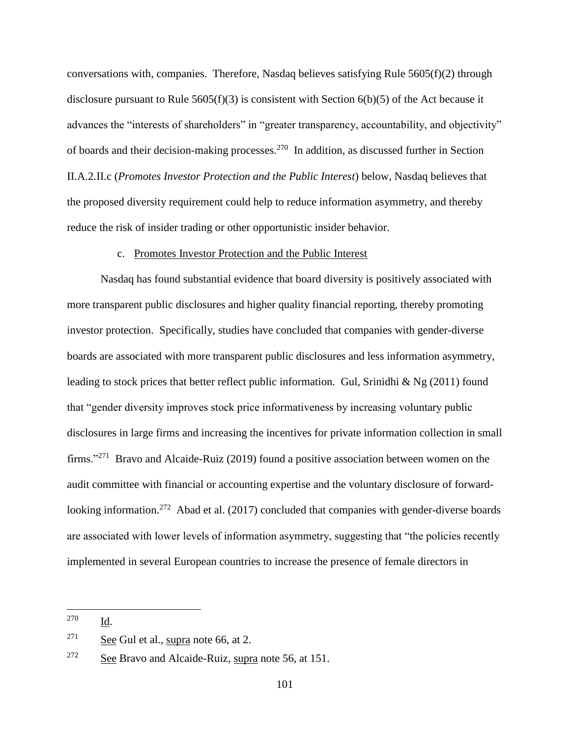conversations with, companies. Therefore, Nasdaq believes satisfying Rule  $5605(f)(2)$  through disclosure pursuant to Rule 5605(f)(3) is consistent with Section 6(b)(5) of the Act because it advances the "interests of shareholders" in "greater transparency, accountability, and objectivity" of boards and their decision-making processes.<sup>270</sup> In addition, as discussed further in Section II.A.2.II.c (*Promotes Investor Protection and the Public Interest*) below, Nasdaq believes that the proposed diversity requirement could help to reduce information asymmetry, and thereby reduce the risk of insider trading or other opportunistic insider behavior.

## c. Promotes Investor Protection and the Public Interest

Nasdaq has found substantial evidence that board diversity is positively associated with more transparent public disclosures and higher quality financial reporting, thereby promoting investor protection. Specifically, studies have concluded that companies with gender-diverse boards are associated with more transparent public disclosures and less information asymmetry, leading to stock prices that better reflect public information. Gul, Srinidhi & Ng (2011) found that "gender diversity improves stock price informativeness by increasing voluntary public disclosures in large firms and increasing the incentives for private information collection in small firms."<sup>271</sup> Bravo and Alcaide-Ruiz (2019) found a positive association between women on the audit committee with financial or accounting expertise and the voluntary disclosure of forwardlooking information.<sup>272</sup> Abad et al. (2017) concluded that companies with gender-diverse boards are associated with lower levels of information asymmetry, suggesting that "the policies recently implemented in several European countries to increase the presence of female directors in

<sup>270</sup> Id.

 $271$  See Gul et al., supra note 66, at 2.

 $272$  See Bravo and Alcaide-Ruiz, supra note 56, at 151.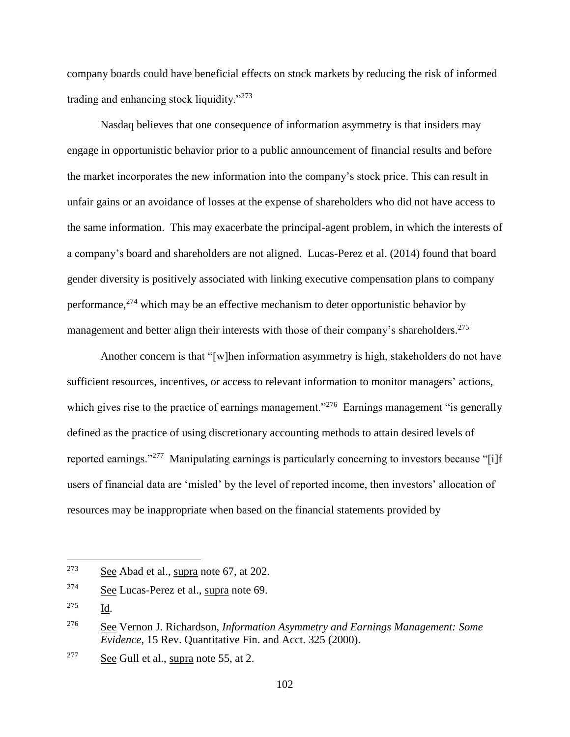company boards could have beneficial effects on stock markets by reducing the risk of informed trading and enhancing stock liquidity."<sup>273</sup>

Nasdaq believes that one consequence of information asymmetry is that insiders may engage in opportunistic behavior prior to a public announcement of financial results and before the market incorporates the new information into the company's stock price. This can result in unfair gains or an avoidance of losses at the expense of shareholders who did not have access to the same information. This may exacerbate the principal-agent problem, in which the interests of a company's board and shareholders are not aligned. Lucas-Perez et al. (2014) found that board gender diversity is positively associated with linking executive compensation plans to company performance,  $274$  which may be an effective mechanism to deter opportunistic behavior by management and better align their interests with those of their company's shareholders.<sup>275</sup>

Another concern is that "[w]hen information asymmetry is high, stakeholders do not have sufficient resources, incentives, or access to relevant information to monitor managers' actions, which gives rise to the practice of earnings management."<sup>276</sup> Earnings management "is generally defined as the practice of using discretionary accounting methods to attain desired levels of reported earnings."<sup>277</sup> Manipulating earnings is particularly concerning to investors because "[i]f users of financial data are 'misled' by the level of reported income, then investors' allocation of resources may be inappropriate when based on the financial statements provided by

<sup>&</sup>lt;sup>273</sup> See Abad et al., supra note 67, at 202.

<sup>274</sup> See Lucas-Perez et al., supra note 69.

<sup>275</sup> Id.

<sup>276</sup> See Vernon J. Richardson, *Information Asymmetry and Earnings Management: Some Evidence*, 15 Rev. Quantitative Fin. and Acct. 325 (2000).

 $277$  See Gull et al., supra note 55, at 2.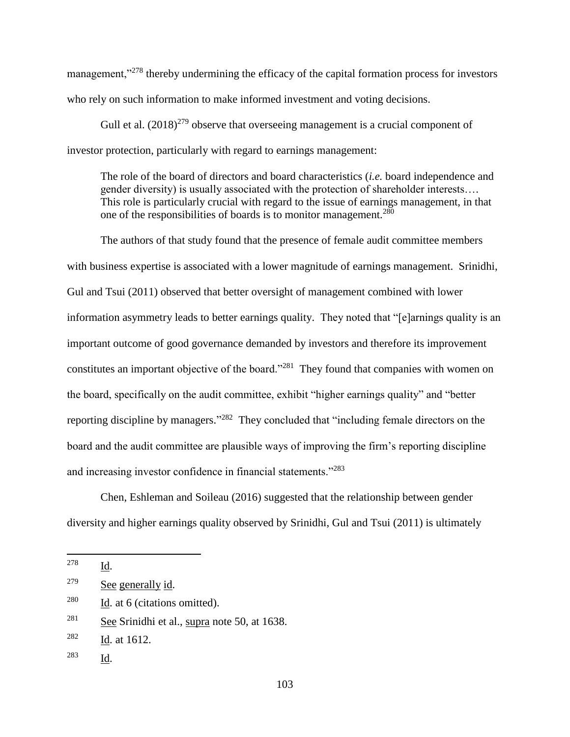management,"<sup>278</sup> thereby undermining the efficacy of the capital formation process for investors who rely on such information to make informed investment and voting decisions.

Gull et al.  $(2018)^{279}$  observe that overseeing management is a crucial component of investor protection, particularly with regard to earnings management:

The role of the board of directors and board characteristics (*i.e.* board independence and gender diversity) is usually associated with the protection of shareholder interests…. This role is particularly crucial with regard to the issue of earnings management, in that one of the responsibilities of boards is to monitor management.<sup>280</sup>

The authors of that study found that the presence of female audit committee members with business expertise is associated with a lower magnitude of earnings management. Srinidhi, Gul and Tsui (2011) observed that better oversight of management combined with lower information asymmetry leads to better earnings quality. They noted that "[e]arnings quality is an important outcome of good governance demanded by investors and therefore its improvement constitutes an important objective of the board."<sup>281</sup> They found that companies with women on the board, specifically on the audit committee, exhibit "higher earnings quality" and "better reporting discipline by managers."<sup>282</sup> They concluded that "including female directors on the board and the audit committee are plausible ways of improving the firm's reporting discipline and increasing investor confidence in financial statements."<sup>283</sup>

Chen, Eshleman and Soileau (2016) suggested that the relationship between gender diversity and higher earnings quality observed by Srinidhi, Gul and Tsui (2011) is ultimately

<sup>283</sup> Id.

<sup>278</sup> Id.

<sup>279</sup> See generally id.

 $280$  Id. at 6 (citations omitted).

<sup>281</sup> See Srinidhi et al., supra note 50, at 1638.

<sup>282</sup> Id. at 1612.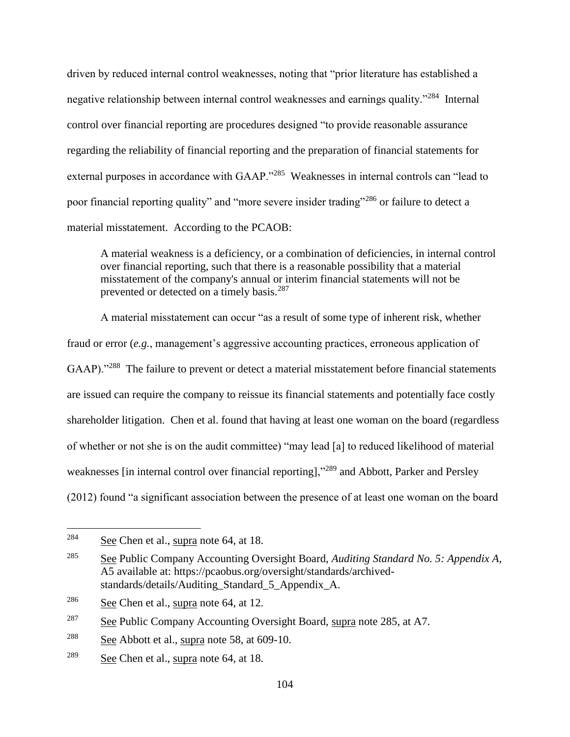driven by reduced internal control weaknesses, noting that "prior literature has established a negative relationship between internal control weaknesses and earnings quality."<sup>284</sup> Internal control over financial reporting are procedures designed "to provide reasonable assurance regarding the reliability of financial reporting and the preparation of financial statements for external purposes in accordance with GAAP."<sup>285</sup> Weaknesses in internal controls can "lead to poor financial reporting quality" and "more severe insider trading"<sup>286</sup> or failure to detect a material misstatement. According to the PCAOB:

A material weakness is a deficiency, or a combination of deficiencies, in internal control over financial reporting, such that there is a reasonable possibility that a material misstatement of the company's annual or interim financial statements will not be prevented or detected on a timely basis.<sup>287</sup>

A material misstatement can occur "as a result of some type of inherent risk, whether fraud or error (*e.g.*, management's aggressive accounting practices, erroneous application of GAAP)."<sup>288</sup> The failure to prevent or detect a material misstatement before financial statements are issued can require the company to reissue its financial statements and potentially face costly shareholder litigation. Chen et al. found that having at least one woman on the board (regardless of whether or not she is on the audit committee) "may lead [a] to reduced likelihood of material weaknesses [in internal control over financial reporting],"<sup>289</sup> and Abbott, Parker and Persley (2012) found "a significant association between the presence of at least one woman on the board

<sup>284</sup> See Chen et al., supra note 64, at 18.

<sup>285</sup> See Public Company Accounting Oversight Board, *Auditing Standard No. 5: Appendix A*, A5 available at: https://pcaobus.org/oversight/standards/archivedstandards/details/Auditing\_Standard\_5\_Appendix\_A.

<sup>&</sup>lt;sup>286</sup> See Chen et al., supra note 64, at 12.

<sup>&</sup>lt;sup>287</sup> See Public Company Accounting Oversight Board, supra note 285, at A7.

 $288$  See Abbott et al., supra note 58, at 609-10.

<sup>&</sup>lt;sup>289</sup> See Chen et al., supra note  $64$ , at 18.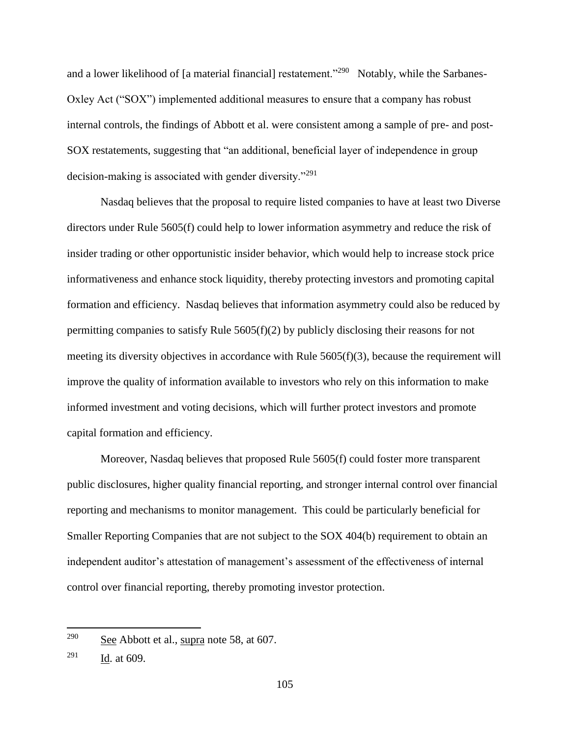and a lower likelihood of [a material financial] restatement."<sup>290</sup> Notably, while the Sarbanes-Oxley Act ("SOX") implemented additional measures to ensure that a company has robust internal controls, the findings of Abbott et al. were consistent among a sample of pre- and post-SOX restatements, suggesting that "an additional, beneficial layer of independence in group decision-making is associated with gender diversity."<sup>291</sup>

Nasdaq believes that the proposal to require listed companies to have at least two Diverse directors under Rule 5605(f) could help to lower information asymmetry and reduce the risk of insider trading or other opportunistic insider behavior, which would help to increase stock price informativeness and enhance stock liquidity, thereby protecting investors and promoting capital formation and efficiency. Nasdaq believes that information asymmetry could also be reduced by permitting companies to satisfy Rule  $5605(f)(2)$  by publicly disclosing their reasons for not meeting its diversity objectives in accordance with Rule 5605(f)(3), because the requirement will improve the quality of information available to investors who rely on this information to make informed investment and voting decisions, which will further protect investors and promote capital formation and efficiency.

Moreover, Nasdaq believes that proposed Rule 5605(f) could foster more transparent public disclosures, higher quality financial reporting, and stronger internal control over financial reporting and mechanisms to monitor management. This could be particularly beneficial for Smaller Reporting Companies that are not subject to the SOX 404(b) requirement to obtain an independent auditor's attestation of management's assessment of the effectiveness of internal control over financial reporting, thereby promoting investor protection.

<sup>&</sup>lt;sup>290</sup> See Abbott et al., supra note 58, at 607.

 $^{291}$  Id. at 609.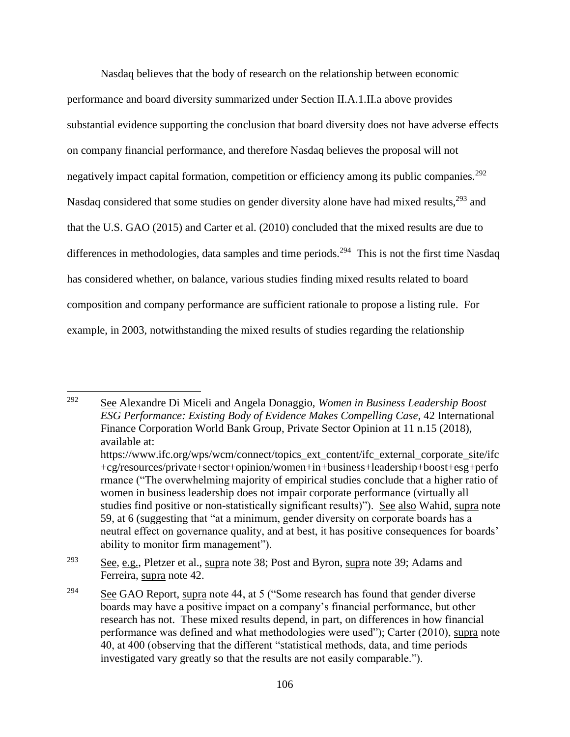Nasdaq believes that the body of research on the relationship between economic performance and board diversity summarized under Section II.A.1.II.a above provides substantial evidence supporting the conclusion that board diversity does not have adverse effects on company financial performance, and therefore Nasdaq believes the proposal will not negatively impact capital formation, competition or efficiency among its public companies.<sup>292</sup> Nasdaq considered that some studies on gender diversity alone have had mixed results,<sup>293</sup> and that the U.S. GAO (2015) and Carter et al. (2010) concluded that the mixed results are due to differences in methodologies, data samples and time periods.<sup>294</sup> This is not the first time Nasdaq has considered whether, on balance, various studies finding mixed results related to board composition and company performance are sufficient rationale to propose a listing rule. For example, in 2003, notwithstanding the mixed results of studies regarding the relationship

<sup>292</sup> See Alexandre Di Miceli and Angela Donaggio, *Women in Business Leadership Boost ESG Performance: Existing Body of Evidence Makes Compelling Case*, 42 International Finance Corporation World Bank Group, Private Sector Opinion at 11 n.15 (2018), available at: https://www.ifc.org/wps/wcm/connect/topics\_ext\_content/ifc\_external\_corporate\_site/ifc +cg/resources/private+sector+opinion/women+in+business+leadership+boost+esg+perfo rmance ("The overwhelming majority of empirical studies conclude that a higher ratio of women in business leadership does not impair corporate performance (virtually all studies find positive or non-statistically significant results)"). See also Wahid, supra note 59, at 6 (suggesting that "at a minimum, gender diversity on corporate boards has a neutral effect on governance quality, and at best, it has positive consequences for boards' ability to monitor firm management").

<sup>293</sup> See, e.g., Pletzer et al., supra note 38; Post and Byron, supra note 39; Adams and Ferreira, supra note 42.

<sup>&</sup>lt;sup>294</sup> See GAO Report, supra note 44, at 5 ("Some research has found that gender diverse boards may have a positive impact on a company's financial performance, but other research has not. These mixed results depend, in part, on differences in how financial performance was defined and what methodologies were used"); Carter (2010), supra note 40, at 400 (observing that the different "statistical methods, data, and time periods investigated vary greatly so that the results are not easily comparable.").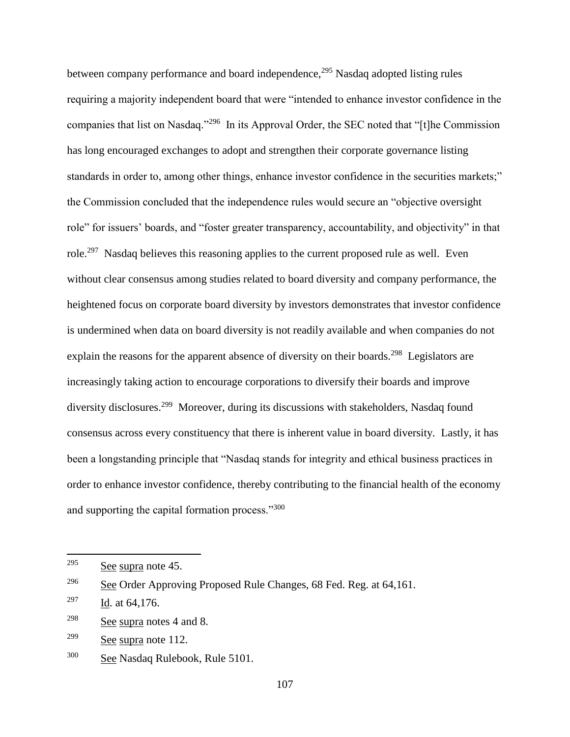between company performance and board independence,<sup>295</sup> Nasdaq adopted listing rules requiring a majority independent board that were "intended to enhance investor confidence in the companies that list on Nasdaq."<sup>296</sup> In its Approval Order, the SEC noted that "[t]he Commission has long encouraged exchanges to adopt and strengthen their corporate governance listing standards in order to, among other things, enhance investor confidence in the securities markets;" the Commission concluded that the independence rules would secure an "objective oversight role" for issuers' boards, and "foster greater transparency, accountability, and objectivity" in that role.<sup>297</sup> Nasdaq believes this reasoning applies to the current proposed rule as well. Even without clear consensus among studies related to board diversity and company performance, the heightened focus on corporate board diversity by investors demonstrates that investor confidence is undermined when data on board diversity is not readily available and when companies do not explain the reasons for the apparent absence of diversity on their boards.<sup>298</sup> Legislators are increasingly taking action to encourage corporations to diversify their boards and improve diversity disclosures.<sup>299</sup> Moreover, during its discussions with stakeholders, Nasdaq found consensus across every constituency that there is inherent value in board diversity. Lastly, it has been a longstanding principle that "Nasdaq stands for integrity and ethical business practices in order to enhance investor confidence, thereby contributing to the financial health of the economy and supporting the capital formation process."<sup>300</sup>

<sup>295</sup> See supra note 45.

<sup>&</sup>lt;sup>296</sup> See Order Approving Proposed Rule Changes, 68 Fed. Reg. at 64,161.

<sup>&</sup>lt;sup>297</sup> Id. at  $64,176$ .

 $298$  See supra notes 4 and 8.

 $299$  See supra note 112.

<sup>300</sup> See Nasdaq Rulebook, Rule 5101.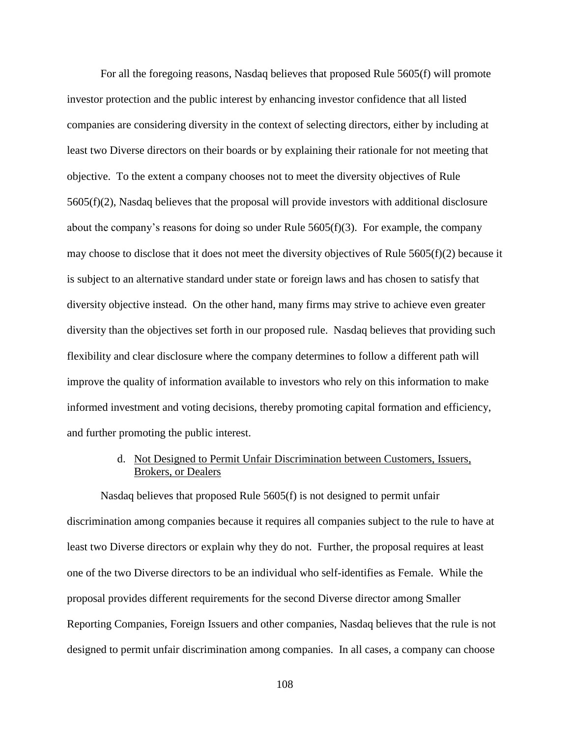For all the foregoing reasons, Nasdaq believes that proposed Rule 5605(f) will promote investor protection and the public interest by enhancing investor confidence that all listed companies are considering diversity in the context of selecting directors, either by including at least two Diverse directors on their boards or by explaining their rationale for not meeting that objective. To the extent a company chooses not to meet the diversity objectives of Rule 5605(f)(2), Nasdaq believes that the proposal will provide investors with additional disclosure about the company's reasons for doing so under Rule  $5605(f)(3)$ . For example, the company may choose to disclose that it does not meet the diversity objectives of Rule  $5605(f)(2)$  because it is subject to an alternative standard under state or foreign laws and has chosen to satisfy that diversity objective instead. On the other hand, many firms may strive to achieve even greater diversity than the objectives set forth in our proposed rule. Nasdaq believes that providing such flexibility and clear disclosure where the company determines to follow a different path will improve the quality of information available to investors who rely on this information to make informed investment and voting decisions, thereby promoting capital formation and efficiency, and further promoting the public interest.

> d. Not Designed to Permit Unfair Discrimination between Customers, Issuers, Brokers, or Dealers

Nasdaq believes that proposed Rule 5605(f) is not designed to permit unfair discrimination among companies because it requires all companies subject to the rule to have at least two Diverse directors or explain why they do not. Further, the proposal requires at least one of the two Diverse directors to be an individual who self-identifies as Female. While the proposal provides different requirements for the second Diverse director among Smaller Reporting Companies, Foreign Issuers and other companies, Nasdaq believes that the rule is not designed to permit unfair discrimination among companies. In all cases, a company can choose

108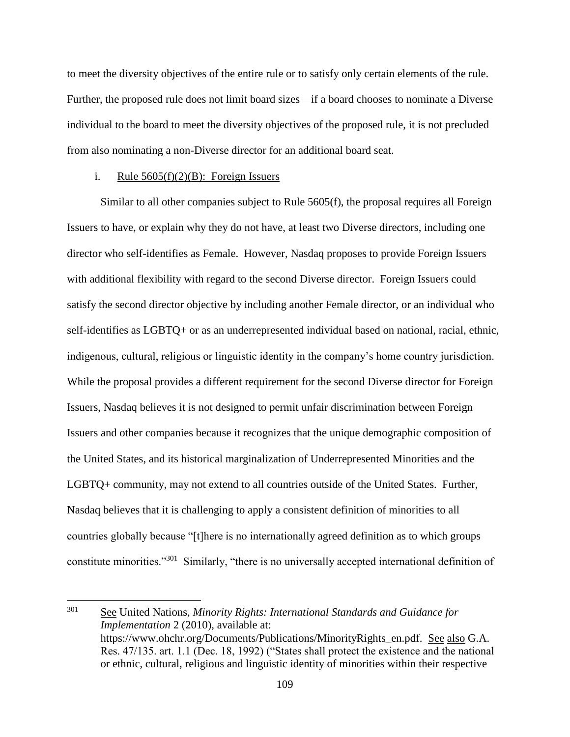to meet the diversity objectives of the entire rule or to satisfy only certain elements of the rule. Further, the proposed rule does not limit board sizes—if a board chooses to nominate a Diverse individual to the board to meet the diversity objectives of the proposed rule, it is not precluded from also nominating a non-Diverse director for an additional board seat.

#### i. Rule  $5605(f)(2)(B)$ : Foreign Issuers

 $\overline{a}$ 

Similar to all other companies subject to Rule 5605(f), the proposal requires all Foreign Issuers to have, or explain why they do not have, at least two Diverse directors, including one director who self-identifies as Female. However, Nasdaq proposes to provide Foreign Issuers with additional flexibility with regard to the second Diverse director. Foreign Issuers could satisfy the second director objective by including another Female director, or an individual who self-identifies as LGBTQ+ or as an underrepresented individual based on national, racial, ethnic, indigenous, cultural, religious or linguistic identity in the company's home country jurisdiction. While the proposal provides a different requirement for the second Diverse director for Foreign Issuers, Nasdaq believes it is not designed to permit unfair discrimination between Foreign Issuers and other companies because it recognizes that the unique demographic composition of the United States, and its historical marginalization of Underrepresented Minorities and the LGBTQ+ community, may not extend to all countries outside of the United States. Further, Nasdaq believes that it is challenging to apply a consistent definition of minorities to all countries globally because "[t]here is no internationally agreed definition as to which groups constitute minorities."<sup>301</sup> Similarly, "there is no universally accepted international definition of

<sup>&</sup>lt;sup>301</sup> See United Nations, *Minority Rights: International Standards and Guidance for Implementation* 2 (2010), available at: https://www.ohchr.org/Documents/Publications/MinorityRights\_en.pdf. See also G.A. Res. 47/135. art. 1.1 (Dec. 18, 1992) ("States shall protect the existence and the national or ethnic, cultural, religious and linguistic identity of minorities within their respective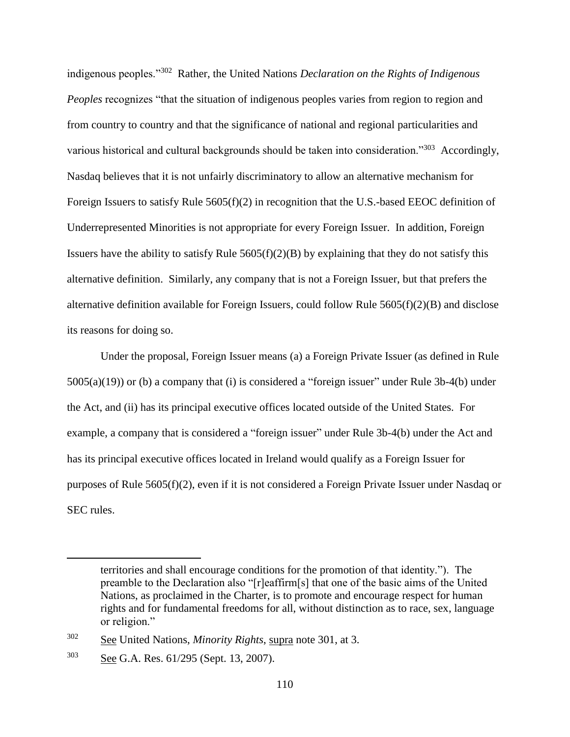indigenous peoples."<sup>302</sup> Rather, the United Nations *Declaration on the Rights of Indigenous Peoples* recognizes "that the situation of indigenous peoples varies from region to region and from country to country and that the significance of national and regional particularities and various historical and cultural backgrounds should be taken into consideration."<sup>303</sup> Accordingly, Nasdaq believes that it is not unfairly discriminatory to allow an alternative mechanism for Foreign Issuers to satisfy Rule  $5605(f)(2)$  in recognition that the U.S.-based EEOC definition of Underrepresented Minorities is not appropriate for every Foreign Issuer. In addition, Foreign Issuers have the ability to satisfy Rule  $5605(f)(2)(B)$  by explaining that they do not satisfy this alternative definition. Similarly, any company that is not a Foreign Issuer, but that prefers the alternative definition available for Foreign Issuers, could follow Rule  $5605(f)(2)(B)$  and disclose its reasons for doing so.

Under the proposal, Foreign Issuer means (a) a Foreign Private Issuer (as defined in Rule 5005(a)(19)) or (b) a company that (i) is considered a "foreign issuer" under Rule 3b-4(b) under the Act, and (ii) has its principal executive offices located outside of the United States. For example, a company that is considered a "foreign issuer" under Rule 3b-4(b) under the Act and has its principal executive offices located in Ireland would qualify as a Foreign Issuer for purposes of Rule 5605(f)(2), even if it is not considered a Foreign Private Issuer under Nasdaq or SEC rules.

territories and shall encourage conditions for the promotion of that identity."). The preamble to the Declaration also "[r]eaffirm[s] that one of the basic aims of the United Nations, as proclaimed in the Charter, is to promote and encourage respect for human rights and for fundamental freedoms for all, without distinction as to race, sex, language or religion."

<sup>302</sup> See United Nations, *Minority Rights*, supra note 301, at 3.

<sup>303</sup> See G.A. Res. 61/295 (Sept. 13, 2007).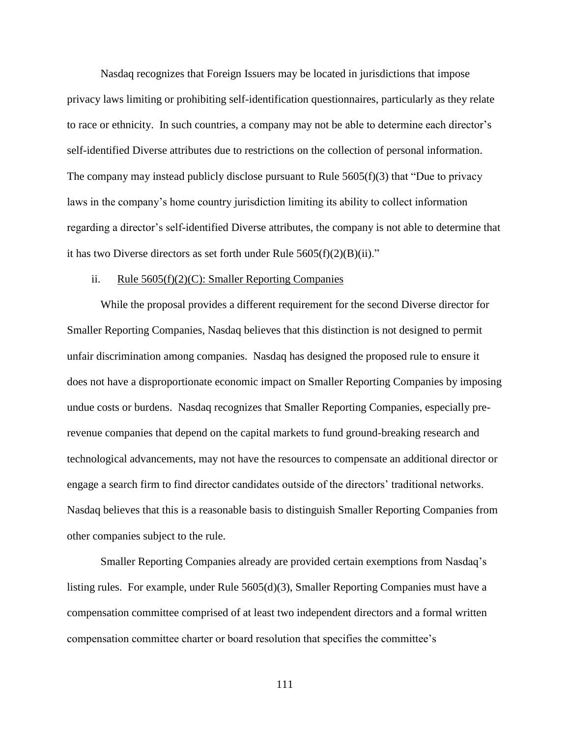Nasdaq recognizes that Foreign Issuers may be located in jurisdictions that impose privacy laws limiting or prohibiting self-identification questionnaires, particularly as they relate to race or ethnicity. In such countries, a company may not be able to determine each director's self-identified Diverse attributes due to restrictions on the collection of personal information. The company may instead publicly disclose pursuant to Rule  $5605(f)(3)$  that "Due to privacy" laws in the company's home country jurisdiction limiting its ability to collect information regarding a director's self-identified Diverse attributes, the company is not able to determine that it has two Diverse directors as set forth under Rule  $5605(f)(2)(B)(ii)$ ."

### ii. Rule 5605(f)(2)(C): Smaller Reporting Companies

While the proposal provides a different requirement for the second Diverse director for Smaller Reporting Companies, Nasdaq believes that this distinction is not designed to permit unfair discrimination among companies. Nasdaq has designed the proposed rule to ensure it does not have a disproportionate economic impact on Smaller Reporting Companies by imposing undue costs or burdens. Nasdaq recognizes that Smaller Reporting Companies, especially prerevenue companies that depend on the capital markets to fund ground-breaking research and technological advancements, may not have the resources to compensate an additional director or engage a search firm to find director candidates outside of the directors' traditional networks. Nasdaq believes that this is a reasonable basis to distinguish Smaller Reporting Companies from other companies subject to the rule.

Smaller Reporting Companies already are provided certain exemptions from Nasdaq's listing rules. For example, under Rule 5605(d)(3), Smaller Reporting Companies must have a compensation committee comprised of at least two independent directors and a formal written compensation committee charter or board resolution that specifies the committee's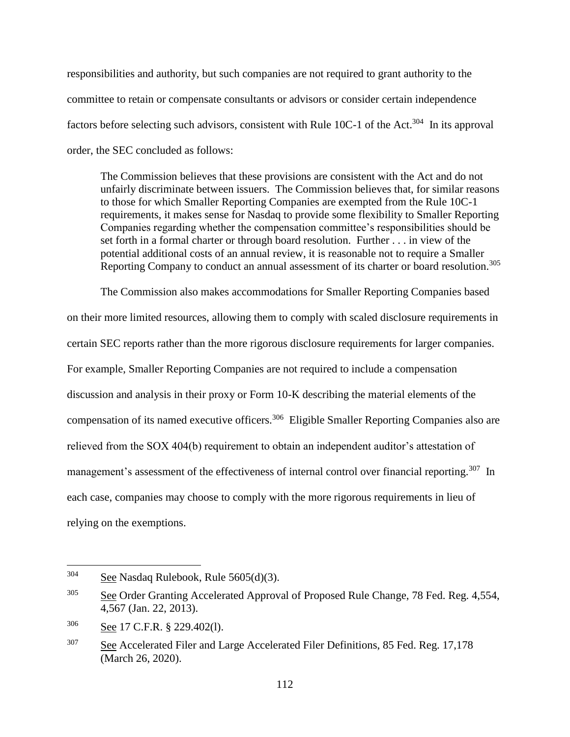responsibilities and authority, but such companies are not required to grant authority to the committee to retain or compensate consultants or advisors or consider certain independence factors before selecting such advisors, consistent with Rule 10C-1 of the Act.<sup>304</sup> In its approval order, the SEC concluded as follows:

The Commission believes that these provisions are consistent with the Act and do not unfairly discriminate between issuers. The Commission believes that, for similar reasons to those for which Smaller Reporting Companies are exempted from the Rule 10C-1 requirements, it makes sense for Nasdaq to provide some flexibility to Smaller Reporting Companies regarding whether the compensation committee's responsibilities should be set forth in a formal charter or through board resolution. Further . . . in view of the potential additional costs of an annual review, it is reasonable not to require a Smaller Reporting Company to conduct an annual assessment of its charter or board resolution.<sup>305</sup>

The Commission also makes accommodations for Smaller Reporting Companies based on their more limited resources, allowing them to comply with scaled disclosure requirements in certain SEC reports rather than the more rigorous disclosure requirements for larger companies. For example, Smaller Reporting Companies are not required to include a compensation discussion and analysis in their proxy or Form 10-K describing the material elements of the compensation of its named executive officers.<sup>306</sup> Eligible Smaller Reporting Companies also are relieved from the SOX 404(b) requirement to obtain an independent auditor's attestation of management's assessment of the effectiveness of internal control over financial reporting.<sup>307</sup> In each case, companies may choose to comply with the more rigorous requirements in lieu of relying on the exemptions.

<sup>304</sup> See Nasdaq Rulebook, Rule 5605(d)(3).

 $305$  See Order Granting Accelerated Approval of Proposed Rule Change, 78 Fed. Reg. 4,554, 4,567 (Jan. 22, 2013).

<sup>306</sup> See 17 C.F.R. § 229.402(l).

<sup>&</sup>lt;sup>307</sup> See Accelerated Filer and Large Accelerated Filer Definitions, 85 Fed. Reg. 17,178 (March 26, 2020).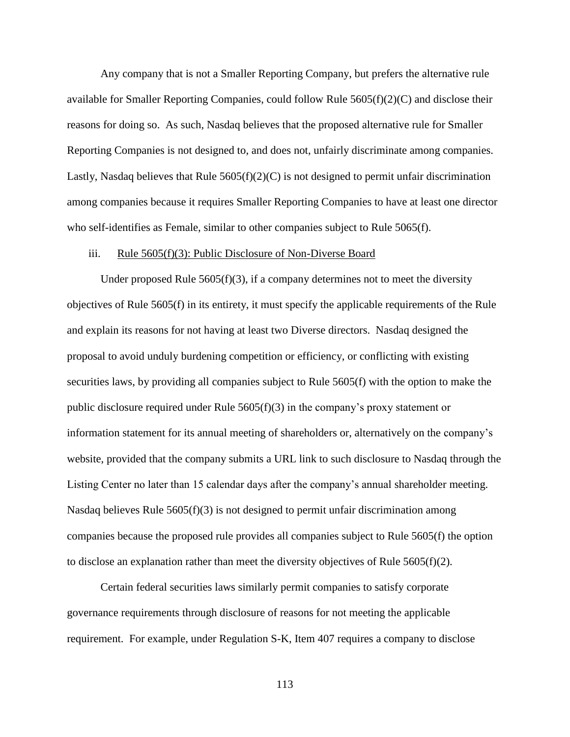Any company that is not a Smaller Reporting Company, but prefers the alternative rule available for Smaller Reporting Companies, could follow Rule 5605(f)(2)(C) and disclose their reasons for doing so. As such, Nasdaq believes that the proposed alternative rule for Smaller Reporting Companies is not designed to, and does not, unfairly discriminate among companies. Lastly, Nasdaq believes that Rule  $5605(f)(2)(C)$  is not designed to permit unfair discrimination among companies because it requires Smaller Reporting Companies to have at least one director who self-identifies as Female, similar to other companies subject to Rule 5065(f).

#### iii. Rule 5605(f)(3): Public Disclosure of Non-Diverse Board

Under proposed Rule  $5605(f)(3)$ , if a company determines not to meet the diversity objectives of Rule 5605(f) in its entirety, it must specify the applicable requirements of the Rule and explain its reasons for not having at least two Diverse directors. Nasdaq designed the proposal to avoid unduly burdening competition or efficiency, or conflicting with existing securities laws, by providing all companies subject to Rule 5605(f) with the option to make the public disclosure required under Rule  $5605(f)(3)$  in the company's proxy statement or information statement for its annual meeting of shareholders or, alternatively on the company's website, provided that the company submits a URL link to such disclosure to Nasdaq through the Listing Center no later than 15 calendar days after the company's annual shareholder meeting. Nasdaq believes Rule  $5605(f)(3)$  is not designed to permit unfair discrimination among companies because the proposed rule provides all companies subject to Rule 5605(f) the option to disclose an explanation rather than meet the diversity objectives of Rule  $5605(f)(2)$ .

Certain federal securities laws similarly permit companies to satisfy corporate governance requirements through disclosure of reasons for not meeting the applicable requirement. For example, under Regulation S-K, Item 407 requires a company to disclose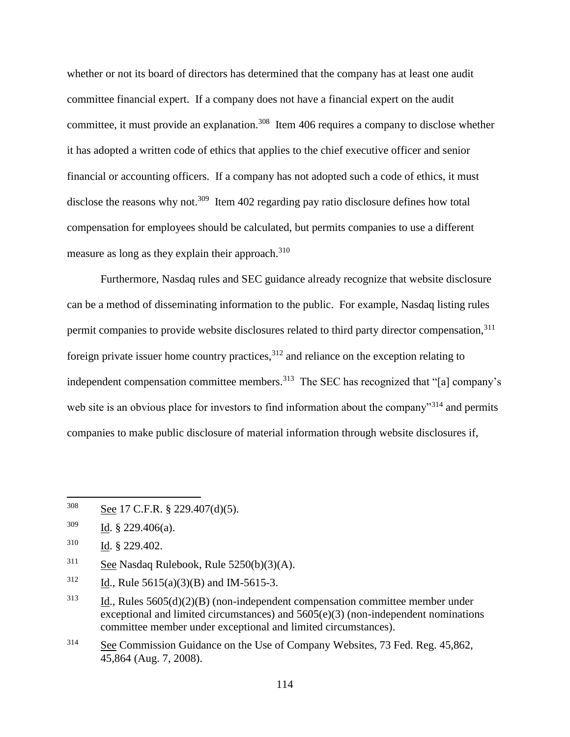whether or not its board of directors has determined that the company has at least one audit committee financial expert. If a company does not have a financial expert on the audit committee, it must provide an explanation.<sup>308</sup> Item 406 requires a company to disclose whether it has adopted a written code of ethics that applies to the chief executive officer and senior financial or accounting officers. If a company has not adopted such a code of ethics, it must disclose the reasons why not.<sup>309</sup> Item 402 regarding pay ratio disclosure defines how total compensation for employees should be calculated, but permits companies to use a different measure as long as they explain their approach.<sup>310</sup>

Furthermore, Nasdaq rules and SEC guidance already recognize that website disclosure can be a method of disseminating information to the public. For example, Nasdaq listing rules permit companies to provide website disclosures related to third party director compensation,<sup>311</sup> foreign private issuer home country practices,  $312$  and reliance on the exception relating to independent compensation committee members.<sup>313</sup> The SEC has recognized that "[a] company's web site is an obvious place for investors to find information about the company<sup>314</sup> and permits companies to make public disclosure of material information through website disclosures if,

 $\overline{a}$ 

<sup>314</sup> See Commission Guidance on the Use of Company Websites, 73 Fed. Reg. 45,862, 45,864 (Aug. 7, 2008).

<sup>308</sup> See 17 C.F.R. § 229.407(d)(5).

 $309$  Id. § 229.406(a).

<sup>310</sup> Id. § 229.402.

 $311$  See Nasdaq Rulebook, Rule 5250(b)(3)(A).

 $312$  Id., Rule 5615(a)(3)(B) and IM-5615-3.

 $313$  Id., Rules  $5605(d)(2)(B)$  (non-independent compensation committee member under exceptional and limited circumstances) and 5605(e)(3) (non-independent nominations committee member under exceptional and limited circumstances).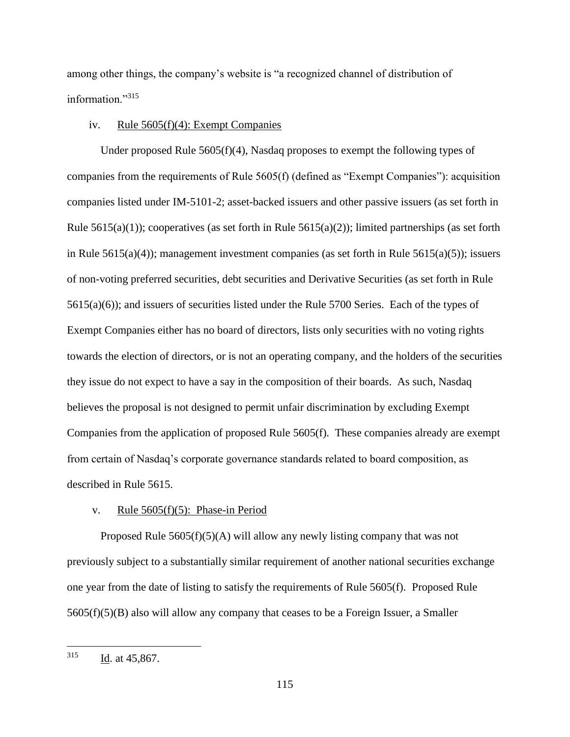among other things, the company's website is "a recognized channel of distribution of information."<sup>315</sup>

#### iv. Rule 5605(f)(4): Exempt Companies

Under proposed Rule 5605(f)(4), Nasdaq proposes to exempt the following types of companies from the requirements of Rule 5605(f) (defined as "Exempt Companies"): acquisition companies listed under IM-5101-2; asset-backed issuers and other passive issuers (as set forth in Rule 5615(a)(1)); cooperatives (as set forth in Rule 5615(a)(2)); limited partnerships (as set forth in Rule  $5615(a)(4)$ ; management investment companies (as set forth in Rule  $5615(a)(5)$ ); issuers of non-voting preferred securities, debt securities and Derivative Securities (as set forth in Rule 5615(a)(6)); and issuers of securities listed under the Rule 5700 Series. Each of the types of Exempt Companies either has no board of directors, lists only securities with no voting rights towards the election of directors, or is not an operating company, and the holders of the securities they issue do not expect to have a say in the composition of their boards. As such, Nasdaq believes the proposal is not designed to permit unfair discrimination by excluding Exempt Companies from the application of proposed Rule 5605(f). These companies already are exempt from certain of Nasdaq's corporate governance standards related to board composition, as described in Rule 5615.

# v. Rule 5605(f)(5): Phase-in Period

Proposed Rule  $5605(f)(5)(A)$  will allow any newly listing company that was not previously subject to a substantially similar requirement of another national securities exchange one year from the date of listing to satisfy the requirements of Rule 5605(f). Proposed Rule 5605(f)(5)(B) also will allow any company that ceases to be a Foreign Issuer, a Smaller

<sup>315</sup> Id. at 45,867.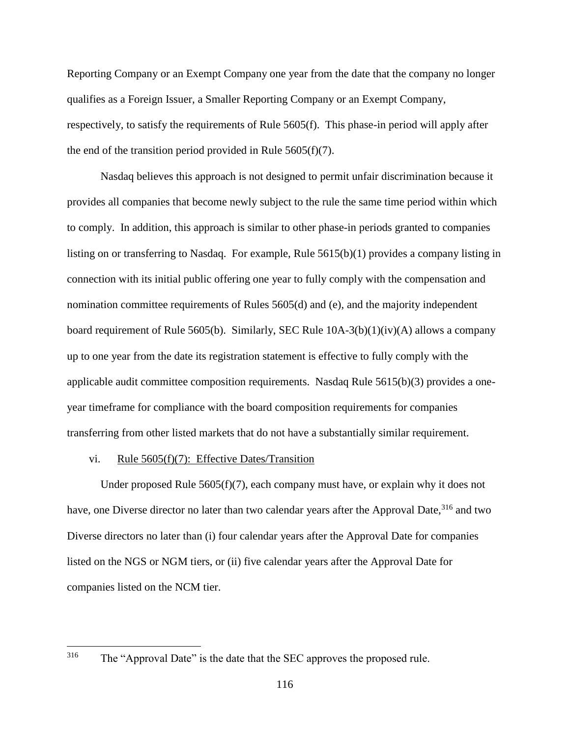Reporting Company or an Exempt Company one year from the date that the company no longer qualifies as a Foreign Issuer, a Smaller Reporting Company or an Exempt Company, respectively, to satisfy the requirements of Rule 5605(f). This phase-in period will apply after the end of the transition period provided in Rule  $5605(f)(7)$ .

Nasdaq believes this approach is not designed to permit unfair discrimination because it provides all companies that become newly subject to the rule the same time period within which to comply. In addition, this approach is similar to other phase-in periods granted to companies listing on or transferring to Nasdaq. For example, Rule 5615(b)(1) provides a company listing in connection with its initial public offering one year to fully comply with the compensation and nomination committee requirements of Rules 5605(d) and (e), and the majority independent board requirement of Rule 5605(b). Similarly, SEC Rule  $10A-3(b)(1)(iv)(A)$  allows a company up to one year from the date its registration statement is effective to fully comply with the applicable audit committee composition requirements. Nasdaq Rule 5615(b)(3) provides a oneyear timeframe for compliance with the board composition requirements for companies transferring from other listed markets that do not have a substantially similar requirement.

## vi. Rule 5605(f)(7): Effective Dates/Transition

Under proposed Rule 5605(f)(7), each company must have, or explain why it does not have, one Diverse director no later than two calendar years after the Approval Date,<sup>316</sup> and two Diverse directors no later than (i) four calendar years after the Approval Date for companies listed on the NGS or NGM tiers, or (ii) five calendar years after the Approval Date for companies listed on the NCM tier.

The "Approval Date" is the date that the SEC approves the proposed rule.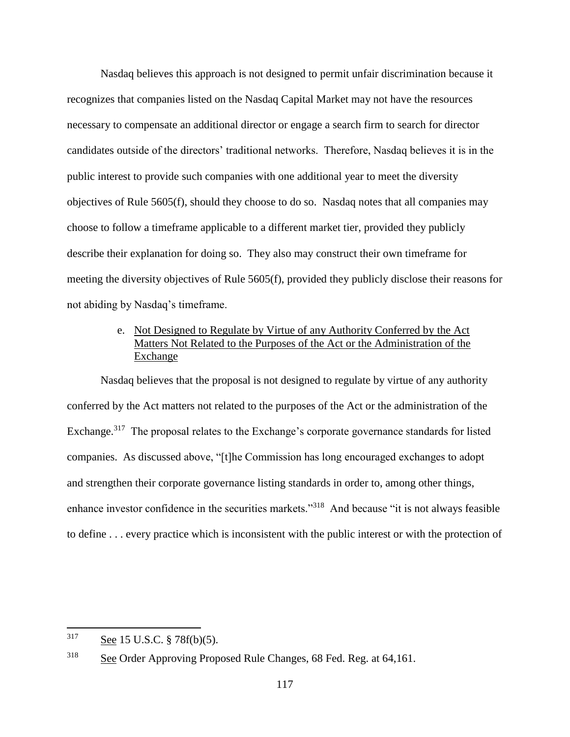Nasdaq believes this approach is not designed to permit unfair discrimination because it recognizes that companies listed on the Nasdaq Capital Market may not have the resources necessary to compensate an additional director or engage a search firm to search for director candidates outside of the directors' traditional networks. Therefore, Nasdaq believes it is in the public interest to provide such companies with one additional year to meet the diversity objectives of Rule 5605(f), should they choose to do so. Nasdaq notes that all companies may choose to follow a timeframe applicable to a different market tier, provided they publicly describe their explanation for doing so. They also may construct their own timeframe for meeting the diversity objectives of Rule 5605(f), provided they publicly disclose their reasons for not abiding by Nasdaq's timeframe.

# e. Not Designed to Regulate by Virtue of any Authority Conferred by the Act Matters Not Related to the Purposes of the Act or the Administration of the Exchange

Nasdaq believes that the proposal is not designed to regulate by virtue of any authority conferred by the Act matters not related to the purposes of the Act or the administration of the Exchange.<sup>317</sup> The proposal relates to the Exchange's corporate governance standards for listed companies. As discussed above, "[t]he Commission has long encouraged exchanges to adopt and strengthen their corporate governance listing standards in order to, among other things, enhance investor confidence in the securities markets."<sup>318</sup> And because "it is not always feasible to define . . . every practice which is inconsistent with the public interest or with the protection of

<sup>317</sup> See 15 U.S.C. § 78f(b)(5).

<sup>318</sup> See Order Approving Proposed Rule Changes, 68 Fed. Reg. at 64,161.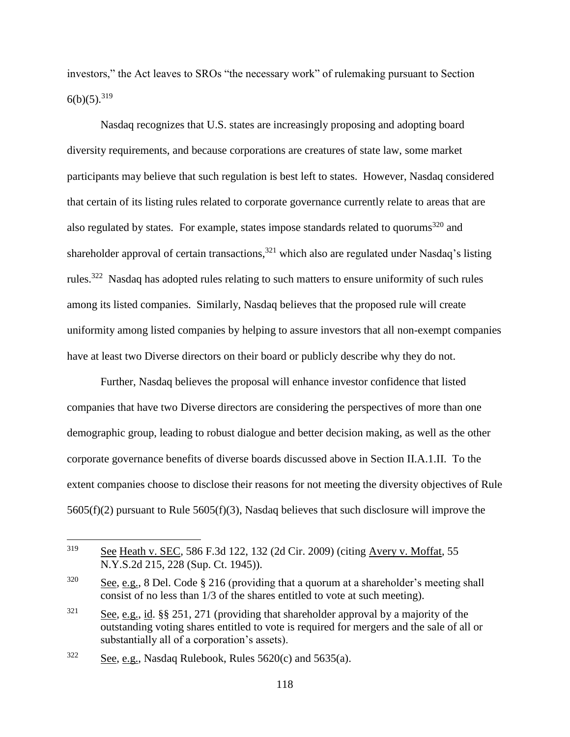investors," the Act leaves to SROs "the necessary work" of rulemaking pursuant to Section  $6(b)(5)$ <sup>319</sup>

Nasdaq recognizes that U.S. states are increasingly proposing and adopting board diversity requirements, and because corporations are creatures of state law, some market participants may believe that such regulation is best left to states. However, Nasdaq considered that certain of its listing rules related to corporate governance currently relate to areas that are also regulated by states. For example, states impose standards related to quorums<sup>320</sup> and shareholder approval of certain transactions,  $321$  which also are regulated under Nasdaq's listing rules.<sup>322</sup> Nasdaq has adopted rules relating to such matters to ensure uniformity of such rules among its listed companies. Similarly, Nasdaq believes that the proposed rule will create uniformity among listed companies by helping to assure investors that all non-exempt companies have at least two Diverse directors on their board or publicly describe why they do not.

Further, Nasdaq believes the proposal will enhance investor confidence that listed companies that have two Diverse directors are considering the perspectives of more than one demographic group, leading to robust dialogue and better decision making, as well as the other corporate governance benefits of diverse boards discussed above in Section II.A.1.II. To the extent companies choose to disclose their reasons for not meeting the diversity objectives of Rule 5605(f)(2) pursuant to Rule 5605(f)(3), Nasdaq believes that such disclosure will improve the

<sup>319</sup> See Heath v. SEC, 586 F.3d 122, 132 (2d Cir. 2009) (citing Avery v. Moffat, 55 N.Y.S.2d 215, 228 (Sup. Ct. 1945)).

<sup>&</sup>lt;sup>320</sup> See, e.g., 8 Del. Code § 216 (providing that a quorum at a shareholder's meeting shall consist of no less than 1/3 of the shares entitled to vote at such meeting).

<sup>&</sup>lt;sup>321</sup> See, e.g., id. §§ 251, 271 (providing that shareholder approval by a majority of the outstanding voting shares entitled to vote is required for mergers and the sale of all or substantially all of a corporation's assets).

 $322$  See, e.g., Nasdaq Rulebook, Rules 5620(c) and 5635(a).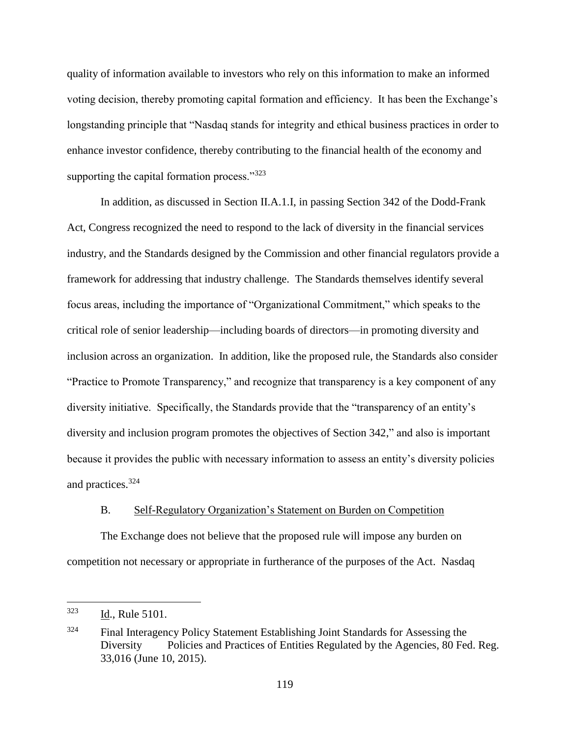quality of information available to investors who rely on this information to make an informed voting decision, thereby promoting capital formation and efficiency. It has been the Exchange's longstanding principle that "Nasdaq stands for integrity and ethical business practices in order to enhance investor confidence, thereby contributing to the financial health of the economy and supporting the capital formation process."<sup>323</sup>

In addition, as discussed in Section II.A.1.I, in passing Section 342 of the Dodd-Frank Act, Congress recognized the need to respond to the lack of diversity in the financial services industry, and the Standards designed by the Commission and other financial regulators provide a framework for addressing that industry challenge. The Standards themselves identify several focus areas, including the importance of "Organizational Commitment," which speaks to the critical role of senior leadership—including boards of directors—in promoting diversity and inclusion across an organization. In addition, like the proposed rule, the Standards also consider "Practice to Promote Transparency," and recognize that transparency is a key component of any diversity initiative. Specifically, the Standards provide that the "transparency of an entity's diversity and inclusion program promotes the objectives of Section 342," and also is important because it provides the public with necessary information to assess an entity's diversity policies and practices.<sup>324</sup>

### B. Self-Regulatory Organization's Statement on Burden on Competition

The Exchange does not believe that the proposed rule will impose any burden on competition not necessary or appropriate in furtherance of the purposes of the Act. Nasdaq

<sup>323</sup> Id., Rule 5101.

<sup>&</sup>lt;sup>324</sup> Final Interagency Policy Statement Establishing Joint Standards for Assessing the Diversity Policies and Practices of Entities Regulated by the Agencies, 80 Fed. Reg. 33,016 (June 10, 2015).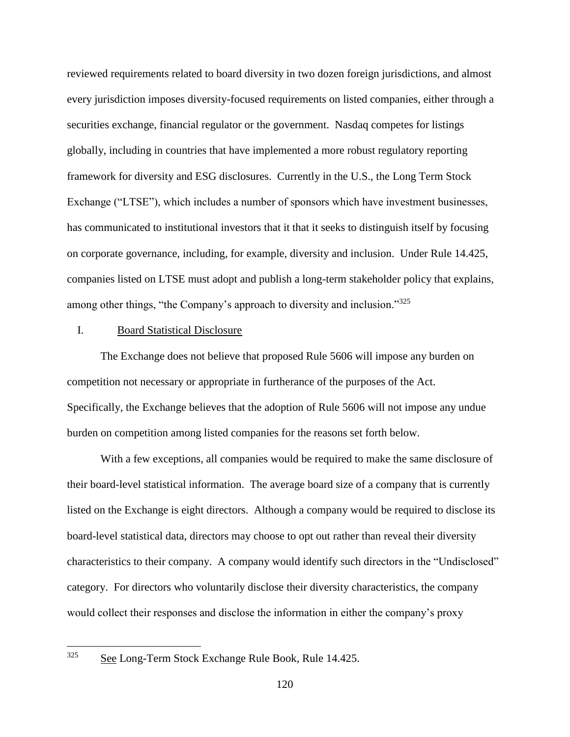reviewed requirements related to board diversity in two dozen foreign jurisdictions, and almost every jurisdiction imposes diversity-focused requirements on listed companies, either through a securities exchange, financial regulator or the government. Nasdaq competes for listings globally, including in countries that have implemented a more robust regulatory reporting framework for diversity and ESG disclosures. Currently in the U.S., the Long Term Stock Exchange ("LTSE"), which includes a number of sponsors which have investment businesses, has communicated to institutional investors that it that it seeks to distinguish itself by focusing on corporate governance, including, for example, diversity and inclusion. Under Rule 14.425, companies listed on LTSE must adopt and publish a long-term stakeholder policy that explains, among other things, "the Company's approach to diversity and inclusion."<sup>325</sup>

#### I. Board Statistical Disclosure

The Exchange does not believe that proposed Rule 5606 will impose any burden on competition not necessary or appropriate in furtherance of the purposes of the Act. Specifically, the Exchange believes that the adoption of Rule 5606 will not impose any undue burden on competition among listed companies for the reasons set forth below.

With a few exceptions, all companies would be required to make the same disclosure of their board-level statistical information. The average board size of a company that is currently listed on the Exchange is eight directors. Although a company would be required to disclose its board-level statistical data, directors may choose to opt out rather than reveal their diversity characteristics to their company. A company would identify such directors in the "Undisclosed" category. For directors who voluntarily disclose their diversity characteristics, the company would collect their responses and disclose the information in either the company's proxy

See Long-Term Stock Exchange Rule Book, Rule 14.425.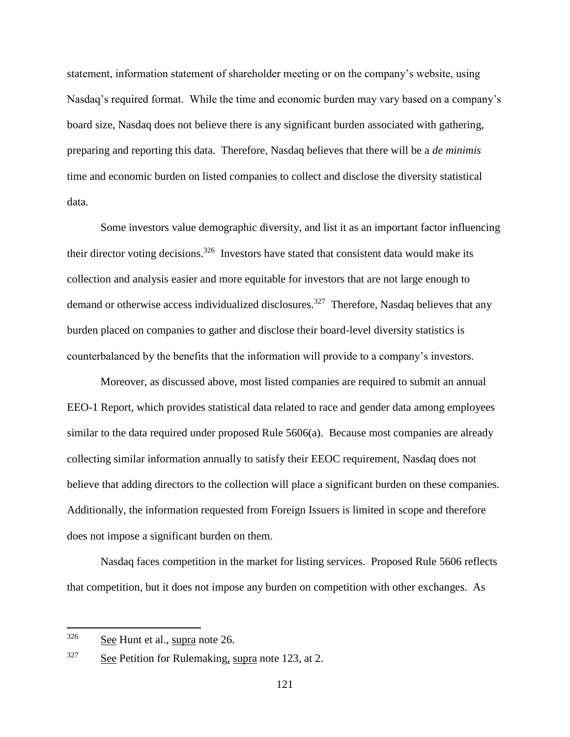statement, information statement of shareholder meeting or on the company's website, using Nasdaq's required format. While the time and economic burden may vary based on a company's board size, Nasdaq does not believe there is any significant burden associated with gathering, preparing and reporting this data. Therefore, Nasdaq believes that there will be a *de minimis* time and economic burden on listed companies to collect and disclose the diversity statistical data.

Some investors value demographic diversity, and list it as an important factor influencing their director voting decisions.<sup>326</sup> Investors have stated that consistent data would make its collection and analysis easier and more equitable for investors that are not large enough to demand or otherwise access individualized disclosures.<sup>327</sup> Therefore, Nasdaq believes that any burden placed on companies to gather and disclose their board-level diversity statistics is counterbalanced by the benefits that the information will provide to a company's investors.

Moreover, as discussed above, most listed companies are required to submit an annual EEO-1 Report, which provides statistical data related to race and gender data among employees similar to the data required under proposed Rule 5606(a). Because most companies are already collecting similar information annually to satisfy their EEOC requirement, Nasdaq does not believe that adding directors to the collection will place a significant burden on these companies. Additionally, the information requested from Foreign Issuers is limited in scope and therefore does not impose a significant burden on them.

Nasdaq faces competition in the market for listing services. Proposed Rule 5606 reflects that competition, but it does not impose any burden on competition with other exchanges. As

 $326$  See Hunt et al., supra note 26.

 $327$  See Petition for Rulemaking, supra note 123, at 2.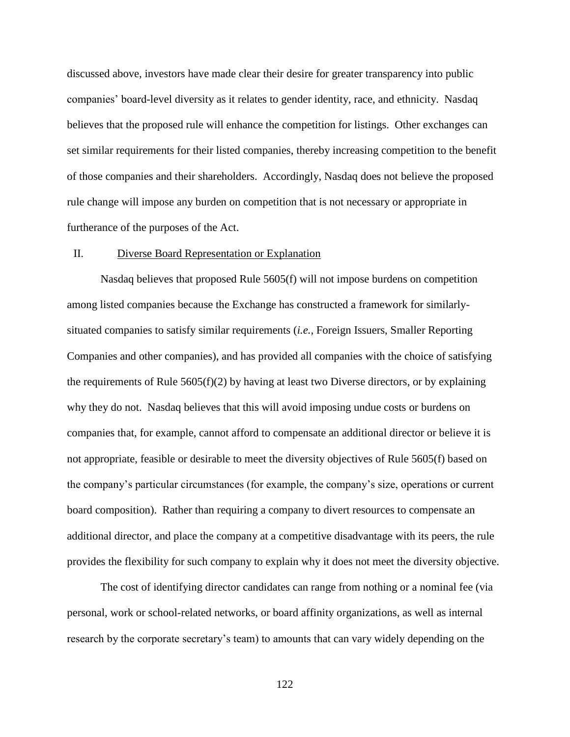discussed above, investors have made clear their desire for greater transparency into public companies' board-level diversity as it relates to gender identity, race, and ethnicity. Nasdaq believes that the proposed rule will enhance the competition for listings. Other exchanges can set similar requirements for their listed companies, thereby increasing competition to the benefit of those companies and their shareholders. Accordingly, Nasdaq does not believe the proposed rule change will impose any burden on competition that is not necessary or appropriate in furtherance of the purposes of the Act.

### II. Diverse Board Representation or Explanation

Nasdaq believes that proposed Rule 5605(f) will not impose burdens on competition among listed companies because the Exchange has constructed a framework for similarlysituated companies to satisfy similar requirements (*i.e.*, Foreign Issuers, Smaller Reporting Companies and other companies), and has provided all companies with the choice of satisfying the requirements of Rule  $5605(f)(2)$  by having at least two Diverse directors, or by explaining why they do not. Nasdaq believes that this will avoid imposing undue costs or burdens on companies that, for example, cannot afford to compensate an additional director or believe it is not appropriate, feasible or desirable to meet the diversity objectives of Rule 5605(f) based on the company's particular circumstances (for example, the company's size, operations or current board composition). Rather than requiring a company to divert resources to compensate an additional director, and place the company at a competitive disadvantage with its peers, the rule provides the flexibility for such company to explain why it does not meet the diversity objective.

The cost of identifying director candidates can range from nothing or a nominal fee (via personal, work or school-related networks, or board affinity organizations, as well as internal research by the corporate secretary's team) to amounts that can vary widely depending on the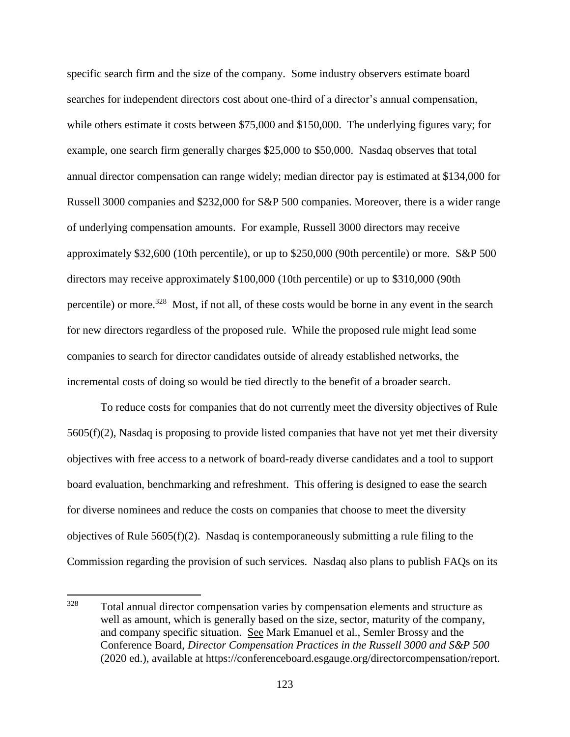specific search firm and the size of the company. Some industry observers estimate board searches for independent directors cost about one-third of a director's annual compensation, while others estimate it costs between \$75,000 and \$150,000. The underlying figures vary; for example, one search firm generally charges \$25,000 to \$50,000. Nasdaq observes that total annual director compensation can range widely; median director pay is estimated at \$134,000 for Russell 3000 companies and \$232,000 for S&P 500 companies. Moreover, there is a wider range of underlying compensation amounts. For example, Russell 3000 directors may receive approximately \$32,600 (10th percentile), or up to \$250,000 (90th percentile) or more. S&P 500 directors may receive approximately \$100,000 (10th percentile) or up to \$310,000 (90th percentile) or more.<sup>328</sup> Most, if not all, of these costs would be borne in any event in the search for new directors regardless of the proposed rule. While the proposed rule might lead some companies to search for director candidates outside of already established networks, the incremental costs of doing so would be tied directly to the benefit of a broader search.

To reduce costs for companies that do not currently meet the diversity objectives of Rule 5605(f)(2), Nasdaq is proposing to provide listed companies that have not yet met their diversity objectives with free access to a network of board-ready diverse candidates and a tool to support board evaluation, benchmarking and refreshment. This offering is designed to ease the search for diverse nominees and reduce the costs on companies that choose to meet the diversity objectives of Rule 5605(f)(2). Nasdaq is contemporaneously submitting a rule filing to the Commission regarding the provision of such services. Nasdaq also plans to publish FAQs on its

<sup>328</sup> Total annual director compensation varies by compensation elements and structure as well as amount, which is generally based on the size, sector, maturity of the company, and company specific situation. See Mark Emanuel et al., Semler Brossy and the Conference Board, *Director Compensation Practices in the Russell 3000 and S&P 500*  (2020 ed.), available at https://conferenceboard.esgauge.org/directorcompensation/report.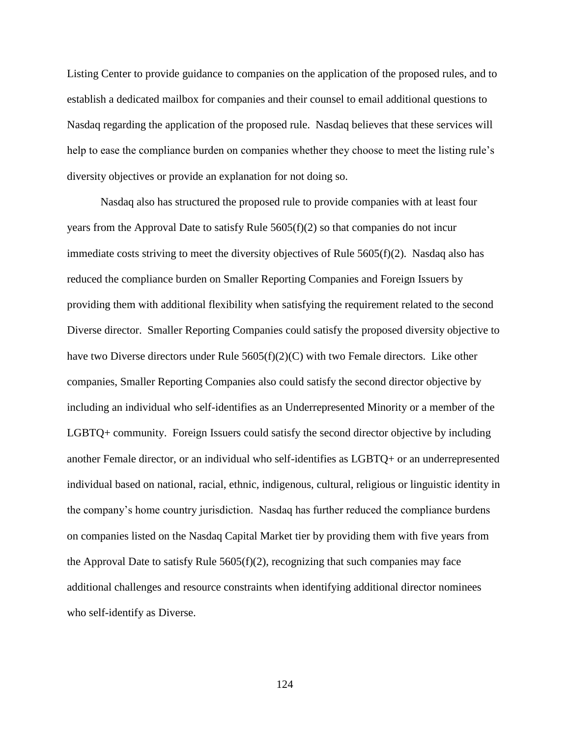Listing Center to provide guidance to companies on the application of the proposed rules, and to establish a dedicated mailbox for companies and their counsel to email additional questions to Nasdaq regarding the application of the proposed rule. Nasdaq believes that these services will help to ease the compliance burden on companies whether they choose to meet the listing rule's diversity objectives or provide an explanation for not doing so.

Nasdaq also has structured the proposed rule to provide companies with at least four years from the Approval Date to satisfy Rule 5605(f)(2) so that companies do not incur immediate costs striving to meet the diversity objectives of Rule  $5605(f)(2)$ . Nasdaq also has reduced the compliance burden on Smaller Reporting Companies and Foreign Issuers by providing them with additional flexibility when satisfying the requirement related to the second Diverse director. Smaller Reporting Companies could satisfy the proposed diversity objective to have two Diverse directors under Rule  $5605(f)(2)(C)$  with two Female directors. Like other companies, Smaller Reporting Companies also could satisfy the second director objective by including an individual who self-identifies as an Underrepresented Minority or a member of the LGBTQ+ community. Foreign Issuers could satisfy the second director objective by including another Female director, or an individual who self-identifies as LGBTQ+ or an underrepresented individual based on national, racial, ethnic, indigenous, cultural, religious or linguistic identity in the company's home country jurisdiction. Nasdaq has further reduced the compliance burdens on companies listed on the Nasdaq Capital Market tier by providing them with five years from the Approval Date to satisfy Rule  $5605(f)(2)$ , recognizing that such companies may face additional challenges and resource constraints when identifying additional director nominees who self-identify as Diverse.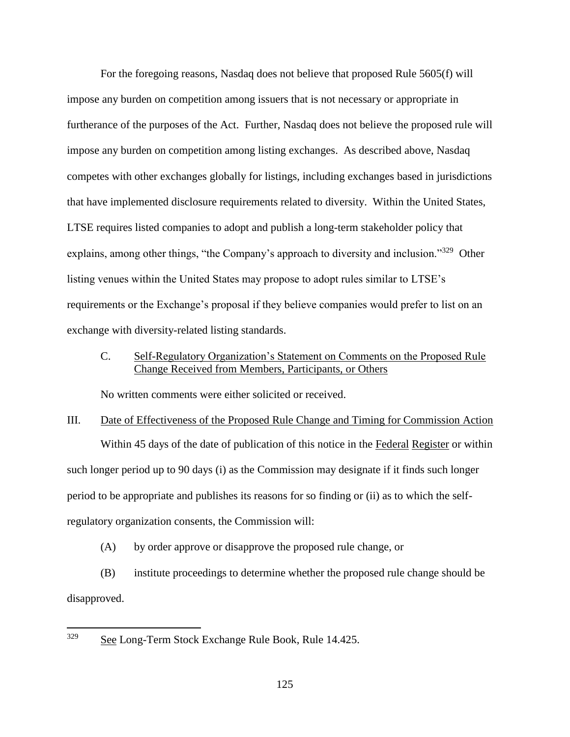For the foregoing reasons, Nasdaq does not believe that proposed Rule 5605(f) will impose any burden on competition among issuers that is not necessary or appropriate in furtherance of the purposes of the Act. Further, Nasdaq does not believe the proposed rule will impose any burden on competition among listing exchanges. As described above, Nasdaq competes with other exchanges globally for listings, including exchanges based in jurisdictions that have implemented disclosure requirements related to diversity. Within the United States, LTSE requires listed companies to adopt and publish a long-term stakeholder policy that explains, among other things, "the Company's approach to diversity and inclusion."<sup>329</sup> Other listing venues within the United States may propose to adopt rules similar to LTSE's requirements or the Exchange's proposal if they believe companies would prefer to list on an exchange with diversity-related listing standards.

# C. Self-Regulatory Organization's Statement on Comments on the Proposed Rule Change Received from Members, Participants, or Others

No written comments were either solicited or received.

III. Date of Effectiveness of the Proposed Rule Change and Timing for Commission Action Within 45 days of the date of publication of this notice in the Federal Register or within such longer period up to 90 days (i) as the Commission may designate if it finds such longer period to be appropriate and publishes its reasons for so finding or (ii) as to which the selfregulatory organization consents, the Commission will:

(A) by order approve or disapprove the proposed rule change, or

(B) institute proceedings to determine whether the proposed rule change should be disapproved.

<sup>329</sup> See Long-Term Stock Exchange Rule Book, Rule 14.425.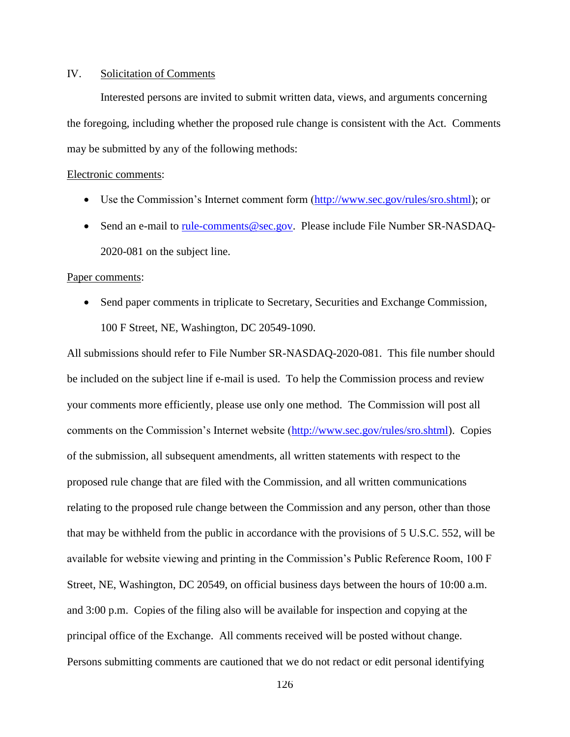# IV. Solicitation of Comments

Interested persons are invited to submit written data, views, and arguments concerning the foregoing, including whether the proposed rule change is consistent with the Act. Comments may be submitted by any of the following methods:

### Electronic comments:

- Use the Commission's Internet comment form [\(http://www.sec.gov/rules/sro.shtml\)](http://www.sec.gov/rules/sro.shtml); or
- Send an e-mail to [rule-comments@sec.gov.](mailto:rule-comments@sec.gov) Please include File Number SR-NASDAQ-2020-081 on the subject line.

#### Paper comments:

• Send paper comments in triplicate to Secretary, Securities and Exchange Commission, 100 F Street, NE, Washington, DC 20549-1090.

All submissions should refer to File Number SR-NASDAQ-2020-081. This file number should be included on the subject line if e-mail is used. To help the Commission process and review your comments more efficiently, please use only one method. The Commission will post all comments on the Commission's Internet website [\(http://www.sec.gov/rules/sro.shtml\)](http://www.sec.gov/rules/sro.shtml). Copies of the submission, all subsequent amendments, all written statements with respect to the proposed rule change that are filed with the Commission, and all written communications relating to the proposed rule change between the Commission and any person, other than those that may be withheld from the public in accordance with the provisions of 5 U.S.C. 552, will be available for website viewing and printing in the Commission's Public Reference Room, 100 F Street, NE, Washington, DC 20549, on official business days between the hours of 10:00 a.m. and 3:00 p.m. Copies of the filing also will be available for inspection and copying at the principal office of the Exchange. All comments received will be posted without change. Persons submitting comments are cautioned that we do not redact or edit personal identifying